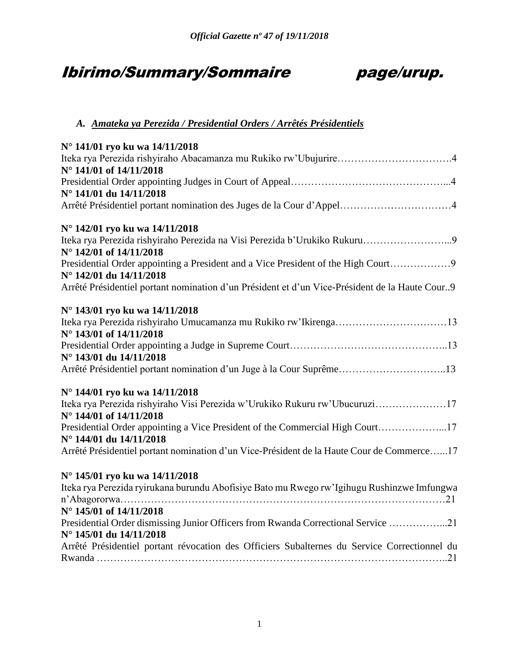# Ibirimo/Summary/Sommaire page/urup.



## *A. Amateka ya Perezida / Presidential Orders / Arrêtés Présidentiels*

| N° 141/01 ryo ku wa 14/11/2018                                                                              |
|-------------------------------------------------------------------------------------------------------------|
|                                                                                                             |
| N° 141/01 of 14/11/2018                                                                                     |
|                                                                                                             |
| N° 141/01 du 14/11/2018                                                                                     |
| Arrêté Présidentiel portant nomination des Juges de la Cour d'Appel4                                        |
| N° 142/01 ryo ku wa 14/11/2018                                                                              |
| N° 142/01 of 14/11/2018                                                                                     |
| Presidential Order appointing a President and a Vice President of the High Court<br>N° 142/01 du 14/11/2018 |
| Arrêté Présidentiel portant nomination d'un Président et d'un Vice-Président de la Haute Cour9              |
| N° 143/01 ryo ku wa 14/11/2018                                                                              |
| N° 143/01 of 14/11/2018                                                                                     |
|                                                                                                             |
| N° 143/01 du 14/11/2018                                                                                     |
| Arrêté Présidentiel portant nomination d'un Juge à la Cour Suprême13                                        |
| N° 144/01 ryo ku wa 14/11/2018                                                                              |
| Iteka rya Perezida rishyiraho Visi Perezida w'Urukiko Rukuru rw'Ubucuruzi17<br>N° 144/01 of 14/11/2018      |
| Presidential Order appointing a Vice President of the Commercial High Court17                               |
| N° 144/01 du 14/11/2018                                                                                     |
| Arrêté Présidentiel portant nomination d'un Vice-Président de la Haute Cour de Commerce17                   |
| N° 145/01 ryo ku wa 14/11/2018                                                                              |
| Iteka rya Perezida ryirukana burundu Abofisiye Bato mu Rwego rw'Igihugu Rushinzwe Imfungwa                  |
|                                                                                                             |
| N° 145/01 of 14/11/2018                                                                                     |
| Presidential Order dismissing Junior Officers from Rwanda Correctional Service 21                           |
| N° 145/01 du 14/11/2018                                                                                     |
| Arrêté Présidentiel portant révocation des Officiers Subalternes du Service Correctionnel du                |
|                                                                                                             |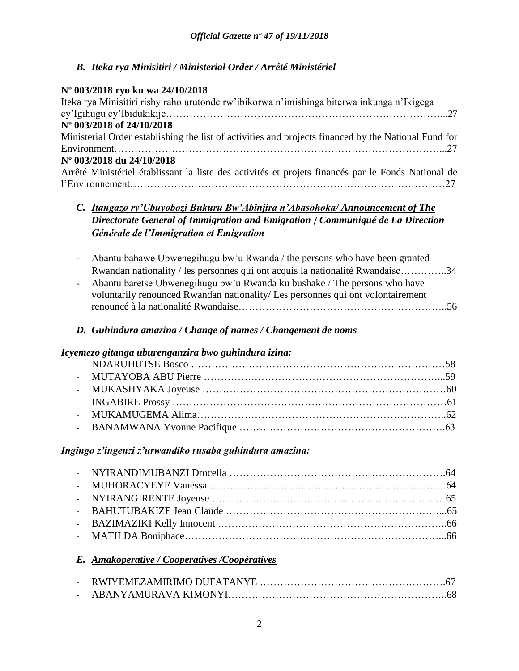## *B. Iteka rya Minisitiri / Ministerial Order / Arrêté Ministériel*

## **Nº 003/2018 ryo ku wa 24/10/2018**

| Iteka rya Minisitiri rishyiraho urutonde rw'ibikorwa n'imishinga biterwa inkunga n'Ikigega           |
|------------------------------------------------------------------------------------------------------|
|                                                                                                      |
| N° 003/2018 of 24/10/2018                                                                            |
| Ministerial Order establishing the list of activities and projects financed by the National Fund for |
|                                                                                                      |
| Nº 003/2018 du 24/10/2018                                                                            |
| Arrêté Ministériel établissant la liste des activités et projets financés par le Fonds National de   |
|                                                                                                      |

## *C. Itangazo ry'Ubuyobozi Bukuru Bw'Abinjira n'Abasohoka/ Announcement of The Directorate General of Immigration and Emigration* / *Communiqué de La Direction Générale de l'Immigration et Emigration*

- Abantu bahawe Ubwenegihugu bw'u Rwanda / the persons who have been granted Rwandan nationality / les personnes qui ont acquis la nationalité Rwandaise…………..34
- Abantu baretse Ubwenegihugu bw'u Rwanda ku bushake / The persons who have voluntarily renounced Rwandan nationality/ Les personnes qui ont volontairement renouncé à la nationalité Rwandaise……………………………………………………..56

## *D. Guhindura amazina / Change of names / Changement de noms*

## *Icyemezo gitanga uburenganzira bwo guhindura izina:*

## *Ingingo z'ingenzi z'urwandiko rusaba guhindura amazina:*

## *E. Amakoperative / Cooperatives /Coopératives*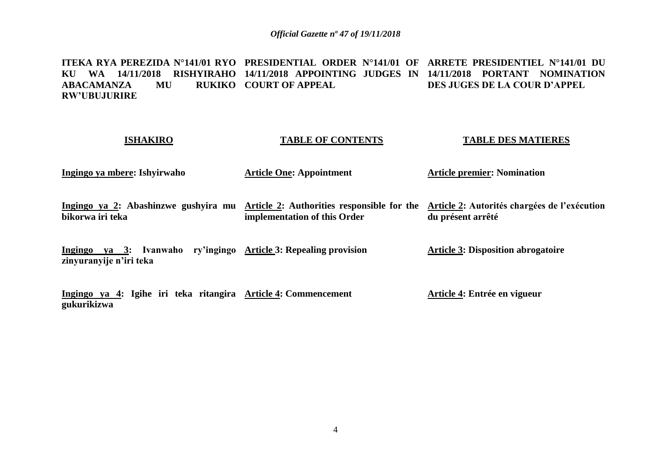**ITEKA RYA PEREZIDA N°141/01 RYO PRESIDENTIAL ORDER N°141/01 OF ARRETE PRESIDENTIEL N°141/01 DU KU WA 14/11/2018 RISHYIRAHO 14/11/2018 APPOINTING JUDGES IN 14/11/2018 PORTANT NOMINATION ABACAMANZA** MU **RW'UBUJURIRE RUKIKO COURT OF APPEAL DES JUGES DE LA COUR D'APPEL**

### **ISHAKIRO**

**Ingingo ya mbere: Ishyirwaho** 

### **TABLE OF CONTENTS**

### **TABLE DES MATIERES**

**Article premier: Nomination**

| підпідо уа піреге; ізнун мано | Article Olle: Appointment    | ATUCIE premier; indimitation                                                                                                 |
|-------------------------------|------------------------------|------------------------------------------------------------------------------------------------------------------------------|
|                               |                              |                                                                                                                              |
|                               |                              | Ingingo ya 2: Abashinzwe gushyira mu Article 2: Authorities responsible for the Article 2: Autorités chargées de l'exécution |
| bikorwa iri teka              | implementation of this Order | du présent arrêté                                                                                                            |

**Article One: Appointment**

**Ingingo ya 3: Ivanwaho ry'ingingo Article 3: Repealing provision zinyuranyije n'iri teka Article 3: Disposition abrogatoire**

**Ingingo ya 4: Igihe iri teka ritangira Article 4: Commencement gukurikizwa Article 4: Entrée en vigueur**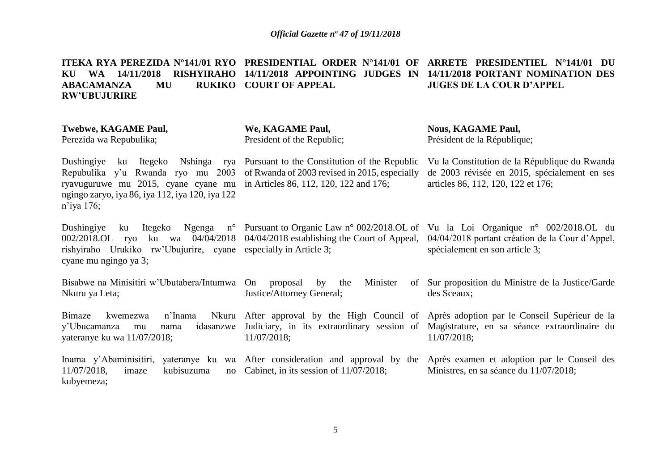**ITEKA RYA PEREZIDA N°141/01 RYO PRESIDENTIAL ORDER N°141/01 OF ARRETE PRESIDENTIEL N°141/01 DU KU WA 14/11/2018 RISHYIRAHO 14/11/2018 APPOINTING JUDGES IN 14/11/2018 PORTANT NOMINATION DES ABACAMANZA MU RW'UBUJURIRE RUKIKO COURT OF APPEAL JUGES DE LA COUR D'APPEL**

| <b>Twebwe, KAGAME Paul,</b><br>Perezida wa Repubulika;                                                                                                                                                                         | We, KAGAME Paul,<br>President of the Republic;                                                | <b>Nous, KAGAME Paul,</b><br>Président de la République;                                                                                                                                      |
|--------------------------------------------------------------------------------------------------------------------------------------------------------------------------------------------------------------------------------|-----------------------------------------------------------------------------------------------|-----------------------------------------------------------------------------------------------------------------------------------------------------------------------------------------------|
| Dushingiye<br>ku Itegeko<br>Nshinga rya<br>Repubulika y'u Rwanda ryo mu 2003<br>ryavuguruwe mu 2015, cyane cyane mu in Articles 86, 112, 120, 122 and 176;<br>ngingo zaryo, iya 86, iya 112, iya 120, iya 122<br>$n'$ iya 176; | Pursuant to the Constitution of the Republic<br>of Rwanda of 2003 revised in 2015, especially | Vu la Constitution de la République du Rwanda<br>de 2003 révisée en 2015, spécialement en ses<br>articles 86, 112, 120, 122 et 176;                                                           |
| Dushingiye<br>Itegeko<br>ku<br>04/04/2018<br>002/2018.OL ryo<br>ku wa<br>rishyiraho Urukiko rw'Ubujurire, cyane especially in Article 3;<br>cyane mu ngingo ya 3;                                                              | 04/04/2018 establishing the Court of Appeal,                                                  | Ngenga n° Pursuant to Organic Law n° 002/2018.OL of Vu la Loi Organique n° 002/2018.OL du<br>04/04/2018 portant création de la Cour d'Appel,<br>spécialement en son article 3;                |
| Bisabwe na Minisitiri w'Ubutabera/Intumwa<br>Nkuru ya Leta;                                                                                                                                                                    | On proposal<br>Minister<br>by<br>the<br>Justice/Attorney General;                             | of Sur proposition du Ministre de la Justice/Garde<br>des Sceaux;                                                                                                                             |
| Bimaze<br>n'Inama<br>Nkuru<br>kwemezwa<br>idasanzwe<br>y'Ubucamanza<br>nama<br>mu<br>yateranye ku wa 11/07/2018;                                                                                                               | 11/07/2018;                                                                                   | After approval by the High Council of Après adoption par le Conseil Supérieur de la<br>Judiciary, in its extraordinary session of Magistrature, en sa séance extraordinaire du<br>11/07/2018; |
| 11/07/2018,<br>kubisuzuma<br>imaze<br>no<br>kubyemeza;                                                                                                                                                                         | Cabinet, in its session of $11/07/2018$ ;                                                     | Inama y'Abaminisitiri, yateranye ku wa After consideration and approval by the Après examen et adoption par le Conseil des<br>Ministres, en sa séance du 11/07/2018;                          |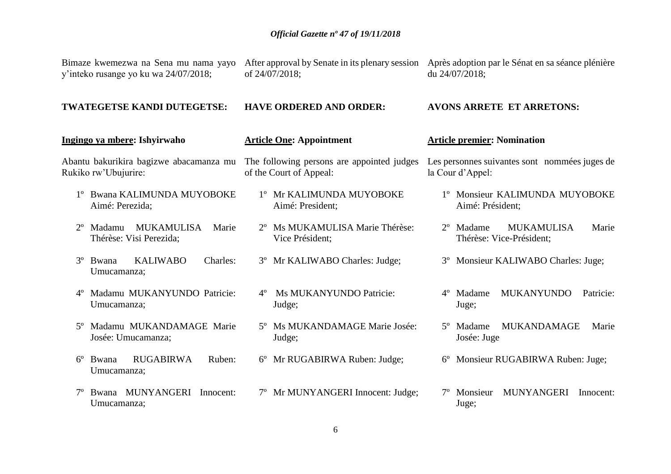|             | Bimaze kwemezwa na Sena mu nama yayo<br>y'inteko rusange yo ku wa 24/07/2018; | of 24/07/2018;                                                        | After approval by Senate in its plenary session Après adoption par le Sénat en sa séance plénière<br>du 24/07/2018; |
|-------------|-------------------------------------------------------------------------------|-----------------------------------------------------------------------|---------------------------------------------------------------------------------------------------------------------|
|             | <b>TWATEGETSE KANDI DUTEGETSE:</b>                                            | <b>HAVE ORDERED AND ORDER:</b>                                        | <b>AVONS ARRETE ET ARRETONS:</b>                                                                                    |
|             | Ingingo ya mbere: Ishyirwaho                                                  | <b>Article One: Appointment</b>                                       | <b>Article premier: Nomination</b>                                                                                  |
|             | Abantu bakurikira bagizwe abacamanza mu<br>Rukiko rw'Ubujurire:               | The following persons are appointed judges<br>of the Court of Appeal: | Les personnes suivantes sont nommées juges de<br>la Cour d'Appel:                                                   |
|             | <b>Bwana KALIMUNDA MUYOBOKE</b><br>Aimé: Perezida;                            | <sup>1</sup> ° Mr KALIMUNDA MUYOBOKE<br>Aimé: President;              | 1º Monsieur KALIMUNDA MUYOBOKE<br>Aimé: Président;                                                                  |
| $2^{\circ}$ | <b>MUKAMULISA</b><br>Madamu<br>Marie<br>Thérèse: Visi Perezida;               | 2° Ms MUKAMULISA Marie Thérèse:<br>Vice Président;                    | 2 <sup>°</sup> Madame<br><b>MUKAMULISA</b><br>Marie<br>Thérèse: Vice-Président;                                     |
| $3^{\circ}$ | <b>KALIWABO</b><br>Charles:<br>Bwana<br>Umucamanza;                           | 3° Mr KALIWABO Charles: Judge;                                        | 3° Monsieur KALIWABO Charles: Juge;                                                                                 |
| $4^{\circ}$ | Madamu MUKANYUNDO Patricie:<br>Umucamanza;                                    | Ms MUKANYUNDO Patricie:<br>$4^{\circ}$<br>Judge;                      | <b>MUKANYUNDO</b><br>$4^{\circ}$<br>Madame<br>Patricie:<br>Juge;                                                    |
| $5^\circ$   | Madamu MUKANDAMAGE Marie<br>Josée: Umucamanza;                                | 5° Ms MUKANDAMAGE Marie Josée:<br>Judge;                              | <b>MUKANDAMAGE</b><br>5° Madame<br>Marie<br>Josée: Juge                                                             |
| $6^{\circ}$ | <b>RUGABIRWA</b><br>Bwana<br>Ruben:<br>Umucamanza;                            | 6° Mr RUGABIRWA Ruben: Judge;                                         | Monsieur RUGABIRWA Ruben: Juge;<br>$6^{\circ}$                                                                      |
|             | Bwana MUNYANGERI<br>Innocent:<br>Umucamanza;                                  | 7° Mr MUNYANGERI Innocent: Judge;                                     | <b>MUNYANGERI</b><br>Monsieur<br>Innocent:<br>Juge;                                                                 |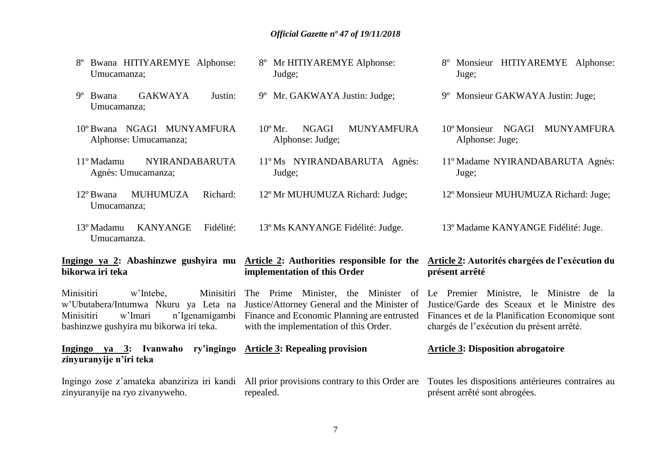8º Mr HITIYAREMYE Alphonse:

9º Mr. GAKWAYA Justin: Judge;

Alphonse: Judge;

10º Mr. NGAGI MUNYAMFURA

11º Ms NYIRANDABARUTA Agnès:

12º Mr MUHUMUZA Richard: Judge;

13º Ms KANYANGE Fidélité: Judge.

- 8º Bwana HITIYAREMYE Alphonse: Umucamanza;
- 9º Bwana GAKWAYA Justin: Umucamanza;
- 10º Bwana NGAGI MUNYAMFURA Alphonse: Umucamanza;
- 11º Madamu NYIRANDABARUTA Agnès: Umucamanza;
- 12º Bwana MUHUMUZA Richard: Umucamanza;
- 13º Madamu KANYANGE Fidélité: Umucamanza.

## **Ingingo ya 2: Abashinzwe gushyira mu bikorwa iri teka**

**Article 2: Authorities responsible for the** 

Judge;

Judge;

## **Article 2: Autorités chargées de l'exécution du présent arrêté**

Minisitiri w'Intebe, Minisitiri The Prime Minister, the Minister of Le Premier Ministre, le Ministre de la w'Ubutabera/Intumwa Nkuru ya Leta na Minisitiri w'Imari n'Igenamigambi Finance and Economic Planning are entrusted bashinzwe gushyira mu bikorwa iri teka. Justice/Attorney General and the Minister of with the implementation of this Order. Justice/Garde des Sceaux et le Ministre des Finances et de la Planification Economique sont chargés de l'exécution du présent arrêté.

**implementation of this Order**

**Ingingo ya 3: Ivanwaho ry'ingingo zinyuranyije n'iri teka Article 3: Repealing provision Article 3: Disposition abrogatoire**

#### Ingingo zose z'amateka abanziriza iri kandi zinyuranyije na ryo zivanyweho. All prior provisions contrary to this Order are repealed. Toutes les dispositions antérieures contraires au présent arrêté sont abrogées.

- 8º Monsieur HITIYAREMYE Alphonse: Juge;
- 9º Monsieur GAKWAYA Justin: Juge;
- 10º Monsieur NGAGI MUNYAMFURA Alphonse: Juge;
- 11º Madame NYIRANDABARUTA Agnès: Juge;
- 12º Monsieur MUHUMUZA Richard: Juge;

13º Madame KANYANGE Fidélité: Juge.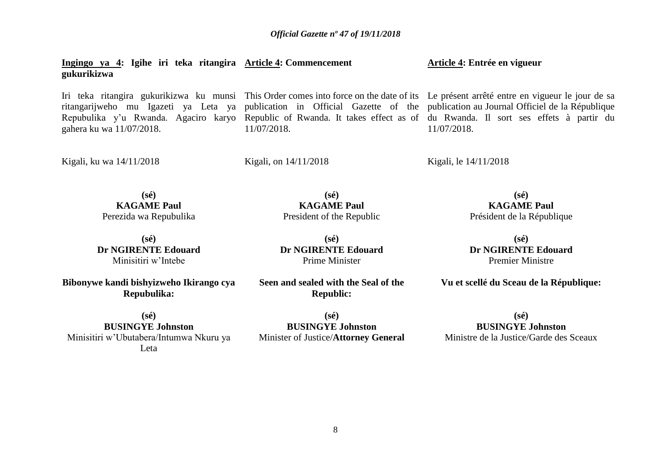**Ingingo ya 4: Igihe iri teka ritangira Article 4: Commencement gukurikizwa Article 4: Entrée en vigueur**

Iri teka ritangira gukurikizwa ku munsi This Order comes into force on the date of its Le présent arrêté entre en vigueur le jour de sa ritangarijweho mu Igazeti ya Leta ya publication in Official Gazette of the publication au Journal Officiel de la République Repubulika y'u Rwanda. Agaciro karyo Republic of Rwanda. It takes effect as of du Rwanda. Il sort ses effets à partir du gahera ku wa 11/07/2018.

11/07/2018.

Kigali, ku wa 14/11/2018

Kigali, on 14/11/2018

Kigali, le 14/11/2018

11/07/2018.

**(sé) KAGAME Paul** Perezida wa Repubulika

**(sé) Dr NGIRENTE Edouard** Minisitiri w'Intebe

**Bibonywe kandi bishyizweho Ikirango cya Repubulika:**

**(sé) BUSINGYE Johnston** Minisitiri w'Ubutabera/Intumwa Nkuru ya Leta

**(sé) KAGAME Paul** President of the Republic

**(sé) Dr NGIRENTE Edouard** Prime Minister

**Seen and sealed with the Seal of the Republic:**

**(sé) BUSINGYE Johnston** Minister of Justice/**Attorney General**

**(sé) KAGAME Paul** Président de la République

**(sé) Dr NGIRENTE Edouard** Premier Ministre

**Vu et scellé du Sceau de la République:**

**(sé) BUSINGYE Johnston** Ministre de la Justice/Garde des Sceaux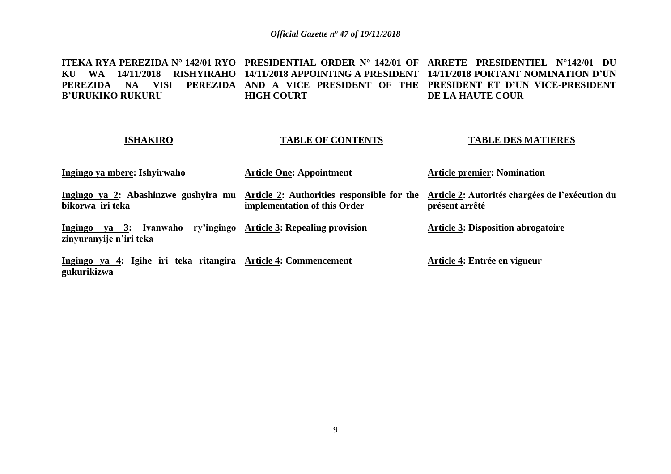**ITEKA RYA PEREZIDA N° 142/01 RYO PRESIDENTIAL ORDER N° 142/01 OF ARRETE PRESIDENTIEL N°142/01 DU KU WA 14/11/2018 RISHYIRAHO 14/11/2018 APPOINTING A PRESIDENT 14/11/2018 PORTANT NOMINATION D'UN PEREZIDA NA VISI PEREZIDA AND A VICE PRESIDENT OF THE PRESIDENT ET D'UN VICE-PRESIDENT B'URUKIKO RUKURU HIGH COURT DE LA HAUTE COUR**

### **ISHAKIRO**

## **TABLE OF CONTENTS**

### **TABLE DES MATIERES**

| Ingingo ya mbere: Ishyirwaho                                                                | <b>Article One: Appointment</b>                                            | <b>Article premier: Nomination</b>                                |
|---------------------------------------------------------------------------------------------|----------------------------------------------------------------------------|-------------------------------------------------------------------|
| Ingingo ya 2: Abashinzwe gushyira mu<br>bikorwa iri teka                                    | Article 2: Authorities responsible for the<br>implementation of this Order | Article 2: Autorités chargées de l'exécution du<br>présent arrêté |
| Ingingo ya 3: Ivanwaho ry'ingingo Article 3: Repealing provision<br>zinyuranyije n'iri teka |                                                                            | <b>Article 3: Disposition abrogatoire</b>                         |
| Ingingo ya 4: Igihe iri teka ritangira Article 4: Commencement<br>gukurikizwa               |                                                                            | Article 4: Entrée en vigueur                                      |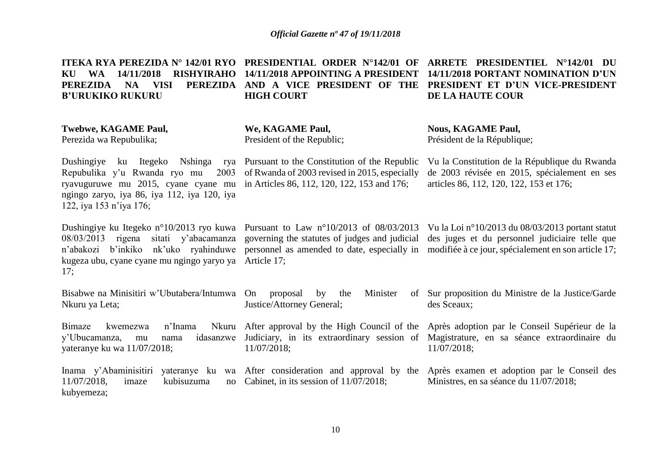|                         |                   | ITEKA RYA PEREZIDA N° 142/01 RYO PRESIDENTIAL ORDER N°142/01 OF ARRETE PRESIDENTIEL N°142/01 DU  |
|-------------------------|-------------------|--------------------------------------------------------------------------------------------------|
|                         |                   | KU WA 14/11/2018 RISHYIRAHO 14/11/2018 APPOINTING A PRESIDENT 14/11/2018 PORTANT NOMINATION D'UN |
| PEREZIDA NA             |                   | VISI PEREZIDA AND A VICE PRESIDENT OF THE PRESIDENT ET D'UN VICE-PRESIDENT                       |
| <b>B'URUKIKO RUKURU</b> | <b>HIGH COURT</b> | DE LA HAUTE COUR                                                                                 |
|                         |                   |                                                                                                  |

**Twebwe, KAGAME Paul,**

Perezida wa Repubulika;

**We, KAGAME Paul,** President of the Republic;

**Nous, KAGAME Paul,** Président de la République;

Dushingiye ku Itegeko Nshinga rya Pursuant to the Constitution of the Republic Repubulika y'u Rwanda ryo mu ryavuguruwe mu 2015, cyane cyane mu in Articles 86, 112, 120, 122, 153 and 176; ngingo zaryo, iya 86, iya 112, iya 120, iya 122, iya 153 n'iya 176; 2003 of Rwanda of 2003 revised in 2015, especially

kugeza ubu, cyane cyane mu ngingo yaryo ya Article 17; 17;

Dushingiye ku Itegeko n°10/2013 ryo kuwa Pursuant to Law n°10/2013 of 08/03/2013 Vu la Loi n°10/2013 du 08/03/2013 portant statut 08/03/2013 rigena sitati y'abacamanza governing the statutes of judges and judicial des juges et du personnel judiciaire telle que n'abakozi b'inkiko nk'uko ryahinduwe personnel as amended to date, especially in modifiée à ce jour, spécialement en son article 17;

Vu la Constitution de la République du Rwanda de 2003 révisée en 2015, spécialement en ses

articles 86, 112, 120, 122, 153 et 176;

Bisabwe na Minisitiri w'Ubutabera/Intumwa Nkuru ya Leta; Bimaze kwemezwa n'Inama y'Ubucamanza, mu nama yateranye ku wa 11/07/2018; Inama y'Abaminisitiri yateranye ku wa After consideration and approval by the Après examen et adoption par le Conseil des  $11/07/2018$ , imaze kubisuzuma kubyemeza; proposal by the Minister Justice/Attorney General; After approval by the High Council of the Après adoption par le Conseil Supérieur de la Judiciary, in its extraordinary session of Magistrature, en sa séance extraordinaire du 11/07/2018; no Cabinet, in its session of  $11/07/2018$ ; Sur proposition du Ministre de la Justice/Garde des Sceaux; 11/07/2018; Ministres, en sa séance du 11/07/2018;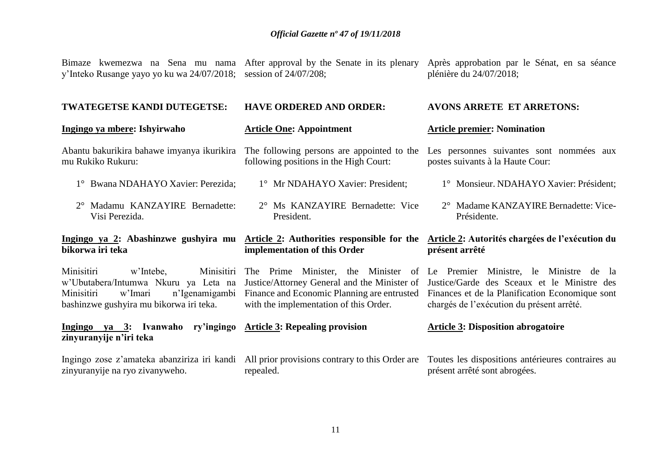Bimaze kwemezwa na Sena mu nama After approval by the Senate in its plenary y'Inteko Rusange yayo yo ku wa 24/07/2018; session of 24/07/208; Après approbation par le Sénat, en sa séance plénière du 24/07/2018;

#### **TWATEGETSE KANDI DUTEGETSE: HAVE ORDERED AND ORDER: AVONS ARRETE ET ARRETONS:**

### **Ingingo ya mbere: Ishyirwaho** Abantu bakurikira bahawe imyanya ikurikira The following persons are appointed to the Les personnes suivantes sont nommées aux mu Rukiko Rukuru: 1° Bwana NDAHAYO Xavier: Perezida; 2° Madamu KANZAYIRE Bernadette: Visi Perezida. Ingingo ya 2: Abashinzwe gushyira mu Article 2: Authorities responsible for the Article 2: Autorités chargées de l'exécution du **bikorwa iri teka** Minisitiri w'Intebe, Minisitiri The Prime Minister, the Minister of Le Premier Ministre, le Ministre de la w'Ubutabera/Intumwa Nkuru ya Leta na Justice/Attorney General and the Minister of Minisitiri w'Imari n'Igenamigambi Finance and Economic Planning are entrusted bashinzwe gushyira mu bikorwa iri teka. **Ingingo ya 3: Ivanwaho ry'ingingo Article 3: Repealing provision zinyuranyije n'iri teka Article One: Appointment** following positions in the High Court: 1° Mr NDAHAYO Xavier: President; 2° Ms KANZAYIRE Bernadette: Vice President. **implementation of this Order** with the implementation of this Order. **Article premier: Nomination**  postes suivants à la Haute Cour: 1° Monsieur. NDAHAYO Xavier: Président; 2° Madame KANZAYIRE Bernadette: Vice-Présidente. **présent arrêté** Justice/Garde des Sceaux et le Ministre des Finances et de la Planification Economique sont chargés de l'exécution du présent arrêté. **Article 3: Disposition abrogatoire**

Ingingo zose z'amateka abanziriza iri kandi All prior provisions contrary to this Order are Toutes les dispositions antérieures contraires au zinyuranyije na ryo zivanyweho. repealed. présent arrêté sont abrogées.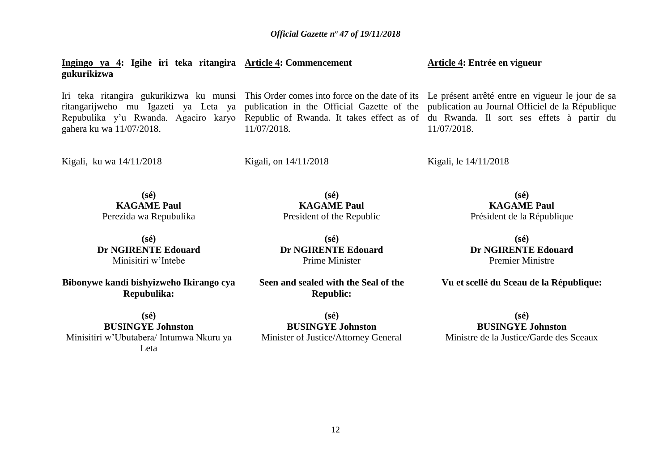**Ingingo ya 4: Igihe iri teka ritangira Article 4: Commencement gukurikizwa Article 4: Entrée en vigueur**

Iri teka ritangira gukurikizwa ku munsi This Order comes into force on the date of its Le présent arrêté entre en vigueur le jour de sa ritangarijweho mu Igazeti ya Leta ya publication in the Official Gazette of the publication au Journal Officiel de la République Repubulika y'u Rwanda. Agaciro karyo Republic of Rwanda. It takes effect as of du Rwanda. Il sort ses effets à partir du gahera ku wa 11/07/2018.

11/07/2018.

Kigali, ku wa 14/11/2018

Kigali, on 14/11/2018

Kigali, le 14/11/2018

11/07/2018.

**(sé) KAGAME Paul** Perezida wa Repubulika

**(sé) Dr NGIRENTE Edouard** Minisitiri w'Intebe

**Bibonywe kandi bishyizweho Ikirango cya Repubulika:**

**(sé) BUSINGYE Johnston** Minisitiri w'Ubutabera/ Intumwa Nkuru ya Leta

**(sé) KAGAME Paul** President of the Republic

**(sé) Dr NGIRENTE Edouard** Prime Minister

**Seen and sealed with the Seal of the Republic:**

**(sé) BUSINGYE Johnston** Minister of Justice/Attorney General

**(sé) KAGAME Paul** Président de la République

**(sé) Dr NGIRENTE Edouard** Premier Ministre

**Vu et scellé du Sceau de la République:**

**(sé) BUSINGYE Johnston** Ministre de la Justice/Garde des Sceaux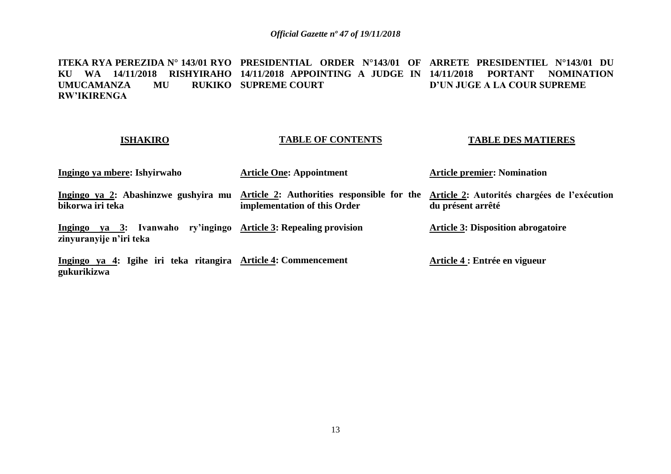**ITEKA RYA PEREZIDA N° 143/01 RYO PRESIDENTIAL ORDER N°143/01 OF ARRETE PRESIDENTIEL N°143/01 DU KU WA 14/11/2018 RISHYIRAHO 14/11/2018 APPOINTING A JUDGE IN 14/11/2018 PORTANT NOMINATION UMUCAMANZA MU RW'IKIRENGA RUKIKO SUPREME COURT D'UN JUGE A LA COUR SUPREME**

### **ISHAKIRO**

## **TABLE OF CONTENTS**

### **TABLE DES MATIERES**

| Ingingo ya mbere: Ishyirwaho                                                                | <b>Article One: Appointment</b>                                            | <b>Article premier: Nomination</b>                                |
|---------------------------------------------------------------------------------------------|----------------------------------------------------------------------------|-------------------------------------------------------------------|
| Ingingo ya 2: Abashinzwe gushyira mu<br>bikorwa iri teka                                    | Article 2: Authorities responsible for the<br>implementation of this Order | Article 2: Autorités chargées de l'exécution<br>du présent arrêté |
| Ingingo ya 3: Ivanwaho ry'ingingo Article 3: Repealing provision<br>zinyuranyije n'iri teka |                                                                            | <b>Article 3: Disposition abrogatoire</b>                         |
| Ingingo ya 4: Igihe iri teka ritangira Article 4: Commencement<br>gukurikizwa               |                                                                            | Article 4 : Entrée en vigueur                                     |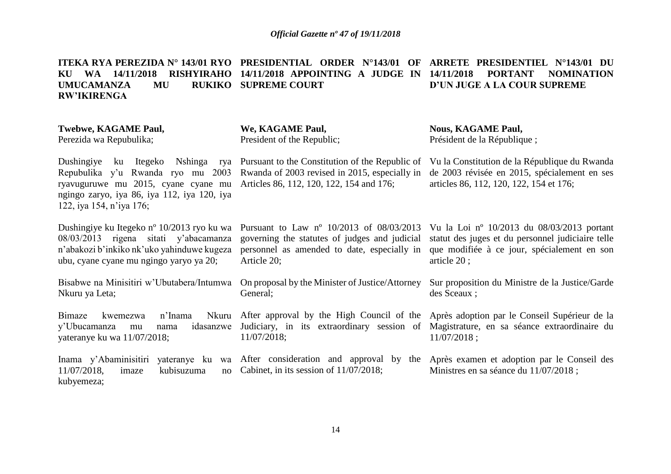**ITEKA RYA PEREZIDA N° 143/01 RYO PRESIDENTIAL ORDER N°143/01 OF ARRETE PRESIDENTIEL N°143/01 DU KU WA 14/11/2018 RISHYIRAHO 14/11/2018 APPOINTING A JUDGE IN 14/11/2018 PORTANT NOMINATION UMUCAMANZA MU RW'IKIRENGA RUKIKO SUPREME COURT D'UN JUGE A LA COUR SUPREME**

| Twebwe, KAGAME Paul,                                                                                                                                                                           | We, KAGAME Paul,                                                                                                                             | <b>Nous, KAGAME Paul,</b>                                                                                                                                                                                  |
|------------------------------------------------------------------------------------------------------------------------------------------------------------------------------------------------|----------------------------------------------------------------------------------------------------------------------------------------------|------------------------------------------------------------------------------------------------------------------------------------------------------------------------------------------------------------|
| Perezida wa Repubulika;                                                                                                                                                                        | President of the Republic;                                                                                                                   | Président de la République;                                                                                                                                                                                |
| Nshinga rya<br>Dushingiye<br>ku Itegeko<br>Repubulika y'u Rwanda ryo mu 2003<br>ryavuguruwe mu 2015, cyane cyane mu<br>ngingo zaryo, iya 86, iya 112, iya 120, iya<br>122, iya 154, n'iya 176; | Pursuant to the Constitution of the Republic of<br>Rwanda of 2003 revised in 2015, especially in<br>Articles 86, 112, 120, 122, 154 and 176; | Vu la Constitution de la République du Rwanda<br>de 2003 révisée en 2015, spécialement en ses<br>articles 86, 112, 120, 122, 154 et 176;                                                                   |
| Dushingiye ku Itegeko n <sup>o</sup> 10/2013 ryo ku wa                                                                                                                                         | Pursuant to Law $n^{\circ}$ 10/2013 of 08/03/2013                                                                                            | Vu la Loi nº $10/2013$ du $08/03/2013$ portant                                                                                                                                                             |
| 08/03/2013 rigena sitati y'abacamanza                                                                                                                                                          | governing the statutes of judges and judicial                                                                                                | statut des juges et du personnel judiciaire telle                                                                                                                                                          |
| n'abakozi b'inkiko nk'uko yahinduwe kugeza                                                                                                                                                     | personnel as amended to date, especially in                                                                                                  | que modifiée à ce jour, spécialement en son                                                                                                                                                                |
| ubu, cyane cyane mu ngingo yaryo ya 20;                                                                                                                                                        | Article 20;                                                                                                                                  | article $20$ ;                                                                                                                                                                                             |
| Bisabwe na Minisitiri w'Ubutabera/Intumwa                                                                                                                                                      | On proposal by the Minister of Justice/Attorney                                                                                              | Sur proposition du Ministre de la Justice/Garde                                                                                                                                                            |
| Nkuru ya Leta;                                                                                                                                                                                 | General;                                                                                                                                     | des Sceaux;                                                                                                                                                                                                |
| n'Inama<br>Bimaze<br>kwemezwa<br>y'Ubucamanza<br>idasanzwe<br>mu<br>nama<br>yateranye ku wa 11/07/2018;                                                                                        | 11/07/2018;                                                                                                                                  | Nkuru After approval by the High Council of the Après adoption par le Conseil Supérieur de la<br>Judiciary, in its extraordinary session of Magistrature, en sa séance extraordinaire du<br>$11/07/2018$ ; |
| kubisuzuma<br>$11/07/2018$ ,<br>imaze<br>no<br>kubyemeza;                                                                                                                                      | Inama y'Abaminisitiri yateranye ku wa After consideration and approval by the<br>Cabinet, in its session of 11/07/2018;                      | Après examen et adoption par le Conseil des<br>Ministres en sa séance du 11/07/2018;                                                                                                                       |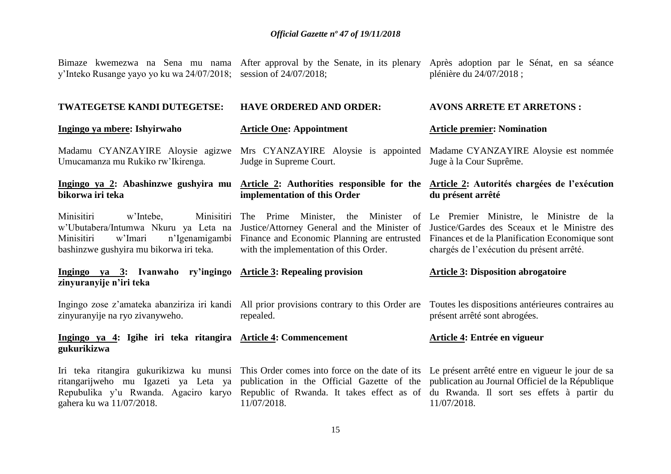|  |  |  | Bimaze kwemezwa na Sena mu nama After approval by the Senate, in its plenary Après adoption par le Sénat, en sa séance |                          |  |  |  |
|--|--|--|------------------------------------------------------------------------------------------------------------------------|--------------------------|--|--|--|
|  |  |  | y'Inteko Rusange yayo yo ku wa 24/07/2018; session of 24/07/2018;                                                      | plénière du 24/07/2018 ; |  |  |  |
|  |  |  |                                                                                                                        |                          |  |  |  |

**AVONS ARRETE ET ARRETONS :**

| TWATEGETSE KANDI DUTEGETSE:                                                                                                                                         | <b>HAVE ORDERED AND ORDER:</b>                                                                           | <b>AVONS ARRETE ET ARRETONS:</b>                                                                                                                                                                                                                                                                |
|---------------------------------------------------------------------------------------------------------------------------------------------------------------------|----------------------------------------------------------------------------------------------------------|-------------------------------------------------------------------------------------------------------------------------------------------------------------------------------------------------------------------------------------------------------------------------------------------------|
| Ingingo ya mbere: Ishyirwaho                                                                                                                                        | <b>Article One: Appointment</b>                                                                          | <b>Article premier: Nomination</b>                                                                                                                                                                                                                                                              |
| Madamu CYANZAYIRE Aloysie agizwe<br>Umucamanza mu Rukiko rw'Ikirenga.                                                                                               | Judge in Supreme Court.                                                                                  | Mrs CYANZAYIRE Aloysie is appointed Madame CYANZAYIRE Aloysie est nommée<br>Juge à la Cour Suprême.                                                                                                                                                                                             |
| bikorwa iri teka                                                                                                                                                    | implementation of this Order                                                                             | Ingingo ya 2: Abashinzwe gushyira mu Article 2: Authorities responsible for the Article 2: Autorités chargées de l'exécution<br>du présent arrêté                                                                                                                                               |
| Minisitiri<br>Minisitiri<br>w'Intebe,<br>w'Ubutabera/Intumwa Nkuru ya Leta na<br>w'Imari<br>n'Igenamigambi<br>Minisitiri<br>bashinzwe gushyira mu bikorwa iri teka. | The Prime Minister,<br>with the implementation of this Order.                                            | the Minister of Le Premier Ministre, le Ministre de la<br>Justice/Attorney General and the Minister of Justice/Gardes des Sceaux et le Ministre des<br>Finance and Economic Planning are entrusted Finances et de la Planification Economique sont<br>chargés de l'exécution du présent arrêté. |
|                                                                                                                                                                     |                                                                                                          |                                                                                                                                                                                                                                                                                                 |
| Ingingo ya 3: Ivanwaho ry'ingingo Article 3: Repealing provision<br>zinyuranyije n'iri teka                                                                         |                                                                                                          | <b>Article 3: Disposition abrogatoire</b>                                                                                                                                                                                                                                                       |
| zinyuranyije na ryo zivanyweho.                                                                                                                                     | Ingingo zose z'amateka abanziriza iri kandi All prior provisions contrary to this Order are<br>repealed. | Toutes les dispositions antérieures contraires au<br>présent arrêté sont abrogées.                                                                                                                                                                                                              |
| Ingingo ya 4: Igihe iri teka ritangira Article 4: Commencement<br>gukurikizwa                                                                                       |                                                                                                          | Article 4: Entrée en vigueur                                                                                                                                                                                                                                                                    |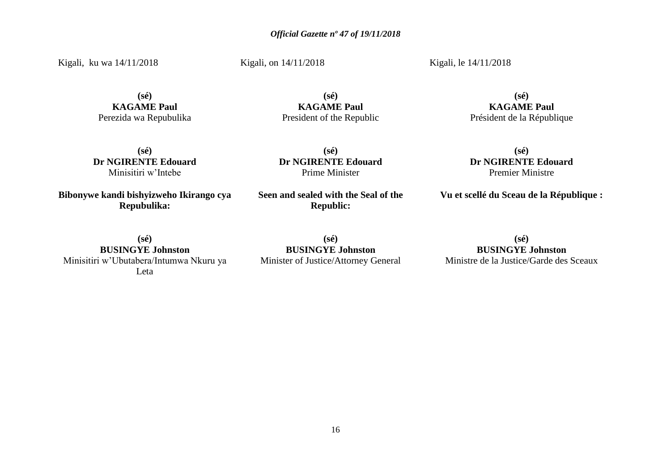Kigali, ku wa 14/11/2018

**(sé) KAGAME Paul** Perezida wa Repubulika

**(sé) Dr NGIRENTE Edouard** Minisitiri w'Intebe

**Bibonywe kandi bishyizweho Ikirango cya Repubulika:**

**(sé) BUSINGYE Johnston** Minisitiri w'Ubutabera/Intumwa Nkuru ya Leta

**(sé) BUSINGYE Johnston** Minister of Justice/Attorney General

**(sé) BUSINGYE Johnston** Ministre de la Justice/Garde des Sceaux

**(sé) KAGAME Paul**

President of the Republic

**(sé) Dr NGIRENTE Edouard** Prime Minister

**Seen and sealed with the Seal of the Republic:**

**(sé)**

Kigali, le 14/11/2018

**KAGAME Paul** Président de la République

**(sé) Dr NGIRENTE Edouard** Premier Ministre

**Vu et scellé du Sceau de la République :**

Kigali, on 14/11/2018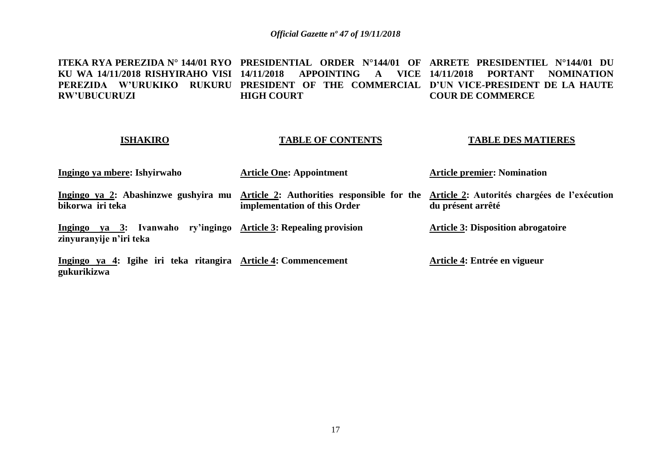**ITEKA RYA PEREZIDA N° 144/01 RYO PRESIDENTIAL ORDER N°144/01 OF ARRETE PRESIDENTIEL N°144/01 DU KU WA 14/11/2018 RISHYIRAHO VISI 14/11/2018 APPOINTING A VICE 14/11/2018 PORTANT NOMINATION PEREZIDA W'URUKIKO RUKURU PRESIDENT OF THE COMMERCIAL D'UN VICE-PRESIDENT DE LA HAUTE RW'UBUCURUZI HIGH COURT COUR DE COMMERCE**

### **ISHAKIRO**

## **TABLE OF CONTENTS**

### **TABLE DES MATIERES**

| Ingingo ya mbere: Ishyirwaho                                                                | <b>Article One: Appointment</b> | <b>Article premier: Nomination</b>                                                                                                                |
|---------------------------------------------------------------------------------------------|---------------------------------|---------------------------------------------------------------------------------------------------------------------------------------------------|
| bikorwa iri teka                                                                            | implementation of this Order    | Ingingo ya 2: Abashinzwe gushyira mu Article 2: Authorities responsible for the Article 2: Autorités chargées de l'exécution<br>du présent arrêté |
| Ingingo ya 3: Ivanwaho ry'ingingo Article 3: Repealing provision<br>zinyuranyije n'iri teka |                                 | <b>Article 3: Disposition abrogatoire</b>                                                                                                         |
| Ingingo ya 4: Igihe iri teka ritangira Article 4: Commencement<br>gukurikizwa               |                                 | Article 4: Entrée en vigueur                                                                                                                      |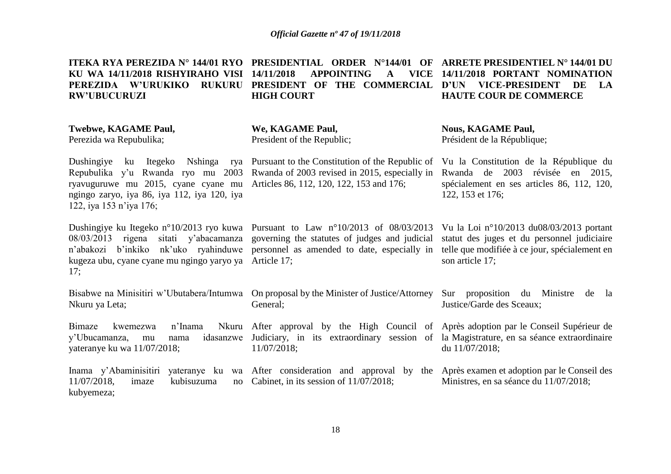**ITEKA RYA PEREZIDA N° 144/01 RYO PRESIDENTIAL ORDER N°144/01 OF ARRETE PRESIDENTIEL N° 144/01 DU KU WA 14/11/2018 RISHYIRAHO VISI PEREZIDA W'URUKIKO RUKURU PRESIDENT OF THE COMMERCIAL D'UN VICE-PRESIDENT DE LA RW'UBUCURUZI 14/11/2018 APPOINTING HIGH COURT 14/11/2018 PORTANT NOMINATION HAUTE COUR DE COMMERCE**

**Twebwe, KAGAME Paul,**

Perezida wa Repubulika;

**We, KAGAME Paul,** President of the Republic;

General;

11/07/2018;

Repubulika y'u Rwanda ryo mu 2003 ryavuguruwe mu 2015, cyane cyane mu Articles 86, 112, 120, 122, 153 and 176; ngingo zaryo, iya 86, iya 112, iya 120, iya 122, iya 153 n'iya 176;

kugeza ubu, cyane cyane mu ngingo yaryo ya Article 17; 17;

Bisabwe na Minisitiri w'Ubutabera/Intumwa On proposal by the Minister of Justice/Attorney Sur proposition du Ministre de la Nkuru ya Leta;

Bimaze kwemezwa n'Inama y'Ubucamanza, mu nama yateranye ku wa 11/07/2018;

Dushingiye ku Itegeko n°10/2013 ryo kuwa Pursuant to Law n°10/2013 of 08/03/2013 Vu la Loi n°10/2013 du08/03/2013 portant 08/03/2013 rigena sitati y'abacamanza governing the statutes of judges and judicial statut des juges et du personnel judiciaire n'abakozi b'inkiko nk'uko ryahinduwe personnel as amended to date, especially in telle que modifiée à ce jour, spécialement en

**Nous, KAGAME Paul,** Président de la République;

Dushingiye ku Itegeko Nshinga rya Pursuant to the Constitution of the Republic of Vu la Constitution de la République du Rwanda of 2003 revised in 2015, especially in Rwanda de 2003 révisée en 2015, spécialement en ses articles 86, 112, 120, 122, 153 et 176;

son article 17;

Justice/Garde des Sceaux;

After approval by the High Council of Après adoption par le Conseil Supérieur de Judiciary, in its extraordinary session of la Magistrature, en sa séance extraordinaire du 11/07/2018;

Inama y'Abaminisitiri yateranye ku wa After consideration and approval by the Après examen et adoption par le Conseil des  $11/07/2018$ , imaze kubisuzuma kubyemeza; no Cabinet, in its session of  $11/07/2018$ ; Ministres, en sa séance du 11/07/2018;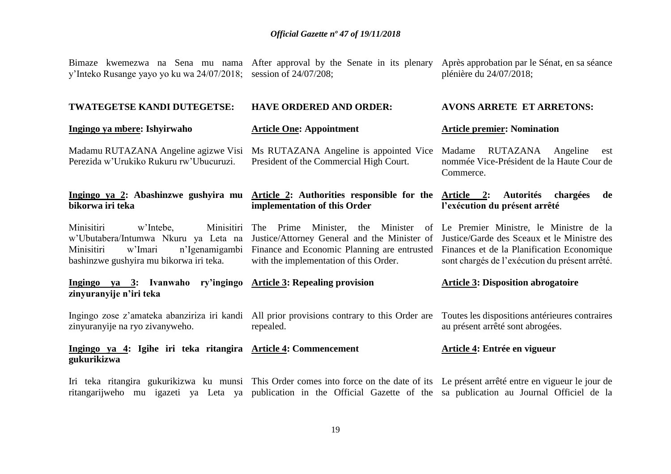Bimaze kwemezwa na Sena mu nama After approval by the Senate in its plenary Après approbation par le Sénat, en sa séance

| y'Inteko Rusange yayo yo ku wa 24/07/2018; session of 24/07/208;                                                                                                    |                                                                                                                                                                                                                                              | plénière du 24/07/2018;                                                                                            |
|---------------------------------------------------------------------------------------------------------------------------------------------------------------------|----------------------------------------------------------------------------------------------------------------------------------------------------------------------------------------------------------------------------------------------|--------------------------------------------------------------------------------------------------------------------|
| <b>TWATEGETSE KANDI DUTEGETSE:</b>                                                                                                                                  | <b>HAVE ORDERED AND ORDER:</b>                                                                                                                                                                                                               | <b>AVONS ARRETE ET ARRETONS:</b>                                                                                   |
| Ingingo ya mbere: Ishyirwaho                                                                                                                                        | <b>Article One: Appointment</b>                                                                                                                                                                                                              | <b>Article premier: Nomination</b>                                                                                 |
| Madamu RUTAZANA Angeline agizwe Visi<br>Perezida w'Urukiko Rukuru rw'Ubucuruzi.                                                                                     | Ms RUTAZANA Angeline is appointed Vice<br>President of the Commercial High Court.                                                                                                                                                            | RUTAZANA<br>Angeline<br>Madame<br>est<br>nommée Vice-Président de la Haute Cour de<br>Commerce.                    |
| bikorwa iri teka                                                                                                                                                    | Ingingo ya 2: Abashinzwe gushyira mu Article 2: Authorities responsible for the<br>implementation of this Order                                                                                                                              | <b>Autorités</b><br>Article 2:<br>chargées<br>de<br>l'exécution du présent arrêté                                  |
| Minisitiri<br>Minisitiri<br>w'Intebe,<br>w'Ubutabera/Intumwa Nkuru ya Leta na<br>Minisitiri<br>n'Igenamigambi<br>w'Imari<br>bashinzwe gushyira mu bikorwa iri teka. | Prime<br>The<br>Justice/Attorney General and the Minister of Justice/Garde des Sceaux et le Ministre des<br>Finance and Economic Planning are entrusted Finances et de la Planification Economique<br>with the implementation of this Order. | Minister, the Minister of Le Premier Ministre, le Ministre de la<br>sont chargés de l'exécution du présent arrêté. |

| $ya \quad 3:$<br>Ingingo<br>zinyuranyije n'iri teka                           | Ivanwaho ry'ingingo Article 3: Repealing provision                                                                                                      | <b>Article 3: Disposition abrogatoire</b> |
|-------------------------------------------------------------------------------|---------------------------------------------------------------------------------------------------------------------------------------------------------|-------------------------------------------|
| zinyuranyije na ryo zivanyweho.                                               | Ingingo zose z'amateka abanziriza iri kandi All prior provisions contrary to this Order are Toutes les dispositions antérieures contraires<br>repealed. | au présent arrêté sont abrogées.          |
| Ingingo ya 4: Igihe iri teka ritangira Article 4: Commencement<br>gukurikizwa |                                                                                                                                                         | Article 4: Entrée en vigueur              |

Iri teka ritangira gukurikizwa ku munsi This Order comes into force on the date of its Le présent arrêté entre en vigueur le jour de ritangarijweho mu igazeti ya Leta ya publication in the Official Gazette of the sa publication au Journal Officiel de la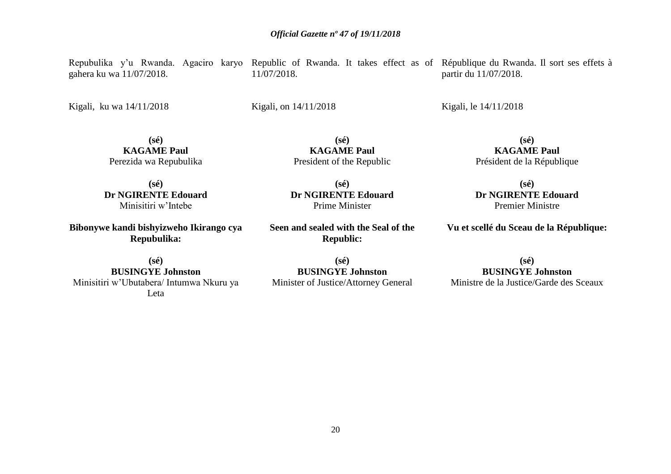gahera ku wa 11/07/2018.

Kigali, ku wa 14/11/2018

11/07/2018.

Kigali, on 14/11/2018

**KAGAME Paul** President of the Republic

**(sé) Dr NGIRENTE Edouard** Prime Minister

**Seen and sealed with the Seal of the Republic:**

**(sé) Dr NGIRENTE Edouard** Minisitiri w'Intebe

**(sé) KAGAME Paul** Perezida wa Repubulika

**Bibonywe kandi bishyizweho Ikirango cya Repubulika:**

**(sé) BUSINGYE Johnston** Minisitiri w'Ubutabera/ Intumwa Nkuru ya Leta

**(sé) BUSINGYE Johnston** Minister of Justice/Attorney General

Repubulika y'u Rwanda. Agaciro karyo Republic of Rwanda. It takes effect as of République du Rwanda. Il sort ses effets à partir du 11/07/2018.

Kigali, le 14/11/2018

**(sé) KAGAME Paul** Président de la République

**(sé) Dr NGIRENTE Edouard** Premier Ministre

**Vu et scellé du Sceau de la République:**

**(sé) BUSINGYE Johnston** Ministre de la Justice/Garde des Sceaux

**(sé)**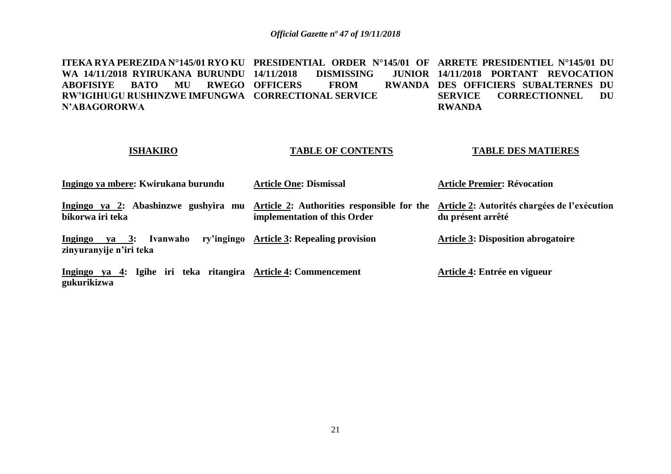**ITEKA RYA PEREZIDA N°145/01 RYO KU PRESIDENTIAL ORDER N°145/01 OF ARRETE PRESIDENTIEL N°145/01 DU WA 14/11/2018 RYIRUKANA BURUNDU ABOFISIYE BATO MU RWEGO OFFICERS FROM RWANDA RW'IGIHUGU RUSHINZWE IMFUNGWA CORRECTIONAL SERVICE N'ABAGORORWA 14/11/2018 PROM 14/11/2018 PORTANT REVOCATION RWANDA DES OFFICIERS SUBALTERNES DU SERVICE CORRECTIONNEL DU RWANDA** 

## **ISHAKIRO**

## **TABLE OF CONTENTS**

## **TABLE DES MATIERES**

| Ingingo ya mbere: Kwirukana burundu                                                         | <b>Article One: Dismissal</b>                                              | <b>Article Premier: Révocation</b>                                |
|---------------------------------------------------------------------------------------------|----------------------------------------------------------------------------|-------------------------------------------------------------------|
| Ingingo ya 2: Abashinzwe gushyira mu<br>bikorwa iri teka                                    | Article 2: Authorities responsible for the<br>implementation of this Order | Article 2: Autorités chargées de l'exécution<br>du présent arrêté |
| Ingingo ya 3: Ivanwaho ry'ingingo Article 3: Repealing provision<br>zinyuranyije n'iri teka |                                                                            | <b>Article 3: Disposition abrogatoire</b>                         |
| Ingingo ya 4: Igihe iri teka ritangira Article 4: Commencement<br>gukurikizwa               |                                                                            | Article 4: Entrée en vigueur                                      |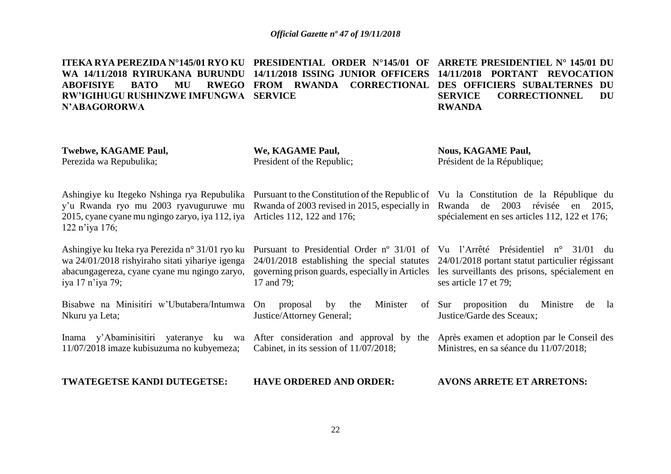**ITEKA RYA PEREZIDA N°145/01 RYO KU PRESIDENTIAL ORDER N°145/01 OF ARRETE PRESIDENTIEL N° 145/01 DU WA 14/11/2018 RYIRUKANA BURUNDU 14/11/2018 ISSING JUNIOR OFFICERS 14/11/2018 PORTANT REVOCATION ABOFISIYE BATO MU RWEGO FROM RWANDA CORRECTIONAL DES OFFICIERS SUBALTERNES DU RW'IGIHUGU RUSHINZWE IMFUNGWA SERVICE N'ABAGORORWA SERVICE CORRECTIONNEL DU RWANDA** 

| Twebwe, KAGAME Paul,<br>Perezida wa Repubulika;                                                                                                                                                                                                                                | We, KAGAME Paul,<br>President of the Republic;                                                                  | <b>Nous, KAGAME Paul,</b><br>Président de la République;                                                                                                                                                     |  |  |
|--------------------------------------------------------------------------------------------------------------------------------------------------------------------------------------------------------------------------------------------------------------------------------|-----------------------------------------------------------------------------------------------------------------|--------------------------------------------------------------------------------------------------------------------------------------------------------------------------------------------------------------|--|--|
| Ashingiye ku Itegeko Nshinga rya Repubulika Pursuant to the Constitution of the Republic of Vu la Constitution de la République du<br>y'u Rwanda ryo mu 2003 ryavuguruwe mu<br>2015, cyane cyane mu ngingo zaryo, iya 112, iya Articles 112, 122 and 176;<br>$122 n'$ iya 176; |                                                                                                                 | Rwanda of 2003 revised in 2015, especially in Rwanda de 2003 révisée en 2015,<br>spécialement en ses articles 112, 122 et 176;                                                                               |  |  |
| Ashingiye ku Iteka rya Perezida n° 31/01 ryo ku<br>wa 24/01/2018 rishyiraho sitati yihariye igenga<br>abacungagereza, cyane cyane mu ngingo zaryo,<br>iya 17 n'iya 79;                                                                                                         | $24/01/2018$ establishing the special statutes<br>governing prison guards, especially in Articles<br>17 and 79; | Pursuant to Presidential Order nº 31/01 of Vu l'Arrêté Présidentiel n° 31/01 du<br>24/01/2018 portant statut particulier régissant<br>les surveillants des prisons, spécialement en<br>ses article 17 et 79; |  |  |
| Bisabwe na Minisitiri w'Ubutabera/Intumwa<br>Nkuru ya Leta;                                                                                                                                                                                                                    | Minister<br>On<br>the<br>proposal<br>by<br>Justice/Attorney General;                                            | of Sur proposition du<br>Ministre<br>de<br>la<br>Justice/Garde des Sceaux;                                                                                                                                   |  |  |
| Inama y'Abaminisitiri yateranye ku wa After consideration and approval by the<br>11/07/2018 imaze kubisuzuma no kubyemeza;                                                                                                                                                     | Cabinet, in its session of $11/07/2018$ ;                                                                       | Après examen et adoption par le Conseil des<br>Ministres, en sa séance du 11/07/2018;                                                                                                                        |  |  |
| TWATEGETSE KANDI DUTEGETSE:                                                                                                                                                                                                                                                    | <b>HAVE ORDERED AND ORDER:</b>                                                                                  | <b>AVONS ARRETE ET ARRETONS:</b>                                                                                                                                                                             |  |  |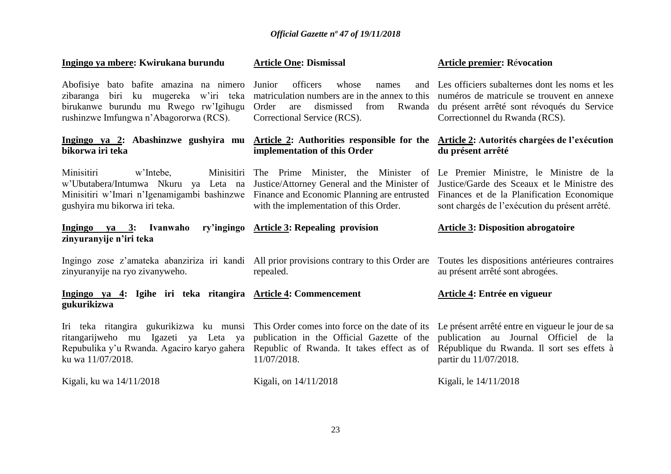| Ingingo ya mbere: Kwirukana burundu                                                                                                                                 | <b>Article One: Dismissal</b>                                                                                                                                               | <b>Article premier: Révocation</b>                                                                                                                                                       |
|---------------------------------------------------------------------------------------------------------------------------------------------------------------------|-----------------------------------------------------------------------------------------------------------------------------------------------------------------------------|------------------------------------------------------------------------------------------------------------------------------------------------------------------------------------------|
| Abofisiye bato bafite amazina na nimero<br>zibaranga biri ku mugereka w'iri teka<br>birukanwe burundu mu Rwego rw'lgihugu<br>rushinzwe Imfungwa n'Abagororwa (RCS). | officers<br>whose<br>Junior<br>names<br>and<br>matriculation numbers are in the annex to this<br>Order<br>dismissed<br>from<br>Rwanda<br>are<br>Correctional Service (RCS). | Les officiers subalternes dont les noms et les<br>numéros de matricule se trouvent en annexe<br>du présent arrêté sont révoqués du Service<br>Correctionnel du Rwanda (RCS).             |
| Ingingo ya 2: Abashinzwe gushyira mu Article 2: Authorities responsible for the<br>bikorwa iri teka                                                                 | implementation of this Order                                                                                                                                                | Article 2: Autorités chargées de l'exécution<br>du présent arrêté                                                                                                                        |
| Minisitiri<br>Minisitiri<br>w'Intebe,<br>w'Ubutabera/Intumwa Nkuru ya Leta na<br>Minisitiri w'Imari n'Igenamigambi bashinzwe<br>gushyira mu bikorwa iri teka.       | The Prime Minister, the Minister<br>Justice/Attorney General and the Minister of<br>Finance and Economic Planning are entrusted<br>with the implementation of this Order.   | of Le Premier Ministre, le Ministre de la<br>Justice/Garde des Sceaux et le Ministre des<br>Finances et de la Planification Economique<br>sont chargés de l'exécution du présent arrêté. |
|                                                                                                                                                                     |                                                                                                                                                                             |                                                                                                                                                                                          |
| ry'ingingo<br>Ingingo ya 3: Ivanwaho<br>zinyuranyije n'iri teka                                                                                                     | <b>Article 3: Repealing provision</b>                                                                                                                                       | <b>Article 3: Disposition abrogatoire</b>                                                                                                                                                |
| Ingingo zose z'amateka abanziriza iri kandi All prior provisions contrary to this Order are<br>zinyuranyije na ryo zivanyweho.                                      | repealed.                                                                                                                                                                   | Toutes les dispositions antérieures contraires<br>au présent arrêté sont abrogées.                                                                                                       |
| Ingingo ya 4: Igihe iri teka ritangira Article 4: Commencement<br>gukurikizwa                                                                                       |                                                                                                                                                                             | Article 4: Entrée en vigueur                                                                                                                                                             |
| Iri teka ritangira gukurikizwa ku munsi<br>ritangarijweho mu Igazeti ya Leta ya<br>Repubulika y'u Rwanda. Agaciro karyo gahera<br>ku wa 11/07/2018.                 | This Order comes into force on the date of its<br>publication in the Official Gazette of the<br>Republic of Rwanda. It takes effect as of<br>11/07/2018.                    | Le présent arrêté entre en vigueur le jour de sa<br>publication au Journal Officiel de la<br>République du Rwanda. Il sort ses effets à<br>partir du 11/07/2018.                         |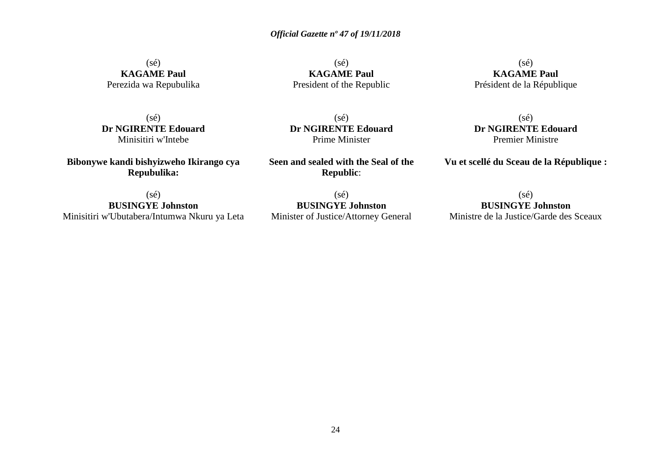$(sé)$ **KAGAME Paul** Perezida wa Repubulika

(sé) **KAGAME Paul** President of the Republic

 $(s\acute{e})$ **KAGAME Paul** Président de la République

(sé) **Dr NGIRENTE Edouard** Minisitiri w'Intebe

**Bibonywe kandi bishyizweho Ikirango cya Repubulika:**

**Dr NGIRENTE Edouard** Prime Minister

(sé)

**Seen and sealed with the Seal of the Republic**:

(sé) **BUSINGYE Johnston** Minisitiri w'Ubutabera/Intumwa Nkuru ya Leta

 $(sé)$ **BUSINGYE Johnston** Minister of Justice/Attorney General

(sé) **Dr NGIRENTE Edouard** Premier Ministre

**Vu et scellé du Sceau de la République :**

 $(sé)$ **BUSINGYE Johnston** Ministre de la Justice/Garde des Sceaux

24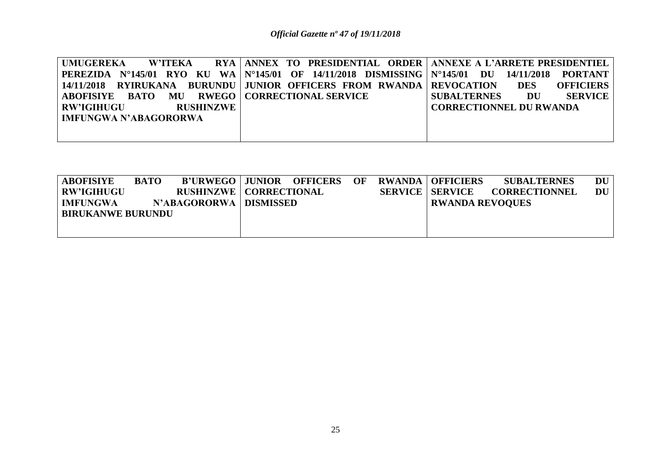| UMUGEREKA<br><b>W'ITEKA</b>                  | RYA ANNEX TO PRESIDENTIAL ORDER ANNEXE A L'ARRETE PRESIDENTIEL                               |                                                                 |
|----------------------------------------------|----------------------------------------------------------------------------------------------|-----------------------------------------------------------------|
|                                              | PEREZIDA N°145/01 RYO KU WA N°145/01 OF 14/11/2018 DISMISSING N°145/01 DU 14/11/2018 PORTANT |                                                                 |
|                                              | 14/11/2018 RYIRUKANA BURUNDU JUNIOR OFFICERS FROM RWANDA REVOCATION                          | <b>OFFICIERS</b><br><b>DES</b>                                  |
| ABOFISIYE BATO MU RWEGO CORRECTIONAL SERVICE |                                                                                              | <b>SERVICE</b><br><b>SUBALTERNES</b><br>$\overline{\mathbf{D}}$ |
| <b>RW'IGIHUGU</b><br><b>RUSHINZWE</b>        |                                                                                              | <b>CORRECTIONNEL DU RWANDA</b>                                  |
| <b>IMFUNGWA N'ABAGORORWA</b>                 |                                                                                              |                                                                 |
|                                              |                                                                                              |                                                                 |
|                                              |                                                                                              |                                                                 |

| <b>ABOFISIYE</b>         | <b>BATO</b> | B'URWEGO JUNIOR OFFICERS OF     |  |  | <b>RWANDA   OFFICIERS</b> | <b>SUBALTERNES</b>   | DU |
|--------------------------|-------------|---------------------------------|--|--|---------------------------|----------------------|----|
| <b>RW'IGIHUGU</b>        |             | <b>RUSHINZWE   CORRECTIONAL</b> |  |  | <b>SERVICE   SERVICE</b>  | <b>CORRECTIONNEL</b> | DU |
| <b>IMFUNGWA</b>          |             | N'ABAGORORWA   DISMISSED        |  |  | <b>RWANDA REVOOUES</b>    |                      |    |
| <b>BIRUKANWE BURUNDU</b> |             |                                 |  |  |                           |                      |    |
|                          |             |                                 |  |  |                           |                      |    |
|                          |             |                                 |  |  |                           |                      |    |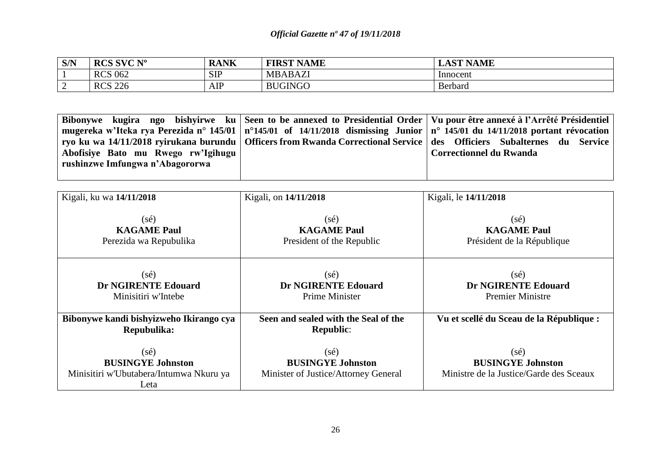| S/N | <b>DOC CVO NO</b><br><b>NUD DA</b><br>$\sim$ 1. | <b>RANK</b> | ' NAME<br><b>FIRST</b> | <b>NAME</b><br>$\alpha$<br>- UAD - |
|-----|-------------------------------------------------|-------------|------------------------|------------------------------------|
|     | <b>RCS 062</b>                                  | <b>SIP</b>  | <b>MBABAZI</b>         | Innocent                           |
|     | 226<br><b>RCS</b><br>-44 J                      | AIP         | <b>BUGINGO</b>         | Berbard                            |

|                                    | Bibonywe kugira ngo bishyirwe ku Seen to be annexed to Presidential Order   Vu pour être annexé à l'Arrêté Présidentiel           |
|------------------------------------|-----------------------------------------------------------------------------------------------------------------------------------|
|                                    | mugereka w'Iteka rya Perezida n° 145/01   n°145/01 of 14/11/2018 dismissing Junior   n° 145/01 du 14/11/2018 portant révocation   |
|                                    | ryo ku wa 14/11/2018 ryirukana burundu   Officers from Rwanda Correctional Service   des   Officiers   Subalternes   du   Service |
| Abofisiye Bato mu Rwego rw'lgihugu | <b>Correctionnel du Rwanda</b>                                                                                                    |
| rushinzwe Imfungwa n'Abagororwa    |                                                                                                                                   |
|                                    |                                                                                                                                   |

| Kigali, ku wa 14/11/2018                | Kigali, on 14/11/2018                | Kigali, le 14/11/2018                    |
|-----------------------------------------|--------------------------------------|------------------------------------------|
|                                         |                                      |                                          |
|                                         |                                      |                                          |
| $(s\acute{e})$                          | $(s\acute{e})$                       | $(s\acute{e})$                           |
| <b>KAGAME Paul</b>                      | <b>KAGAME Paul</b>                   | <b>KAGAME Paul</b>                       |
| Perezida wa Repubulika                  | President of the Republic            | Président de la République               |
|                                         |                                      |                                          |
|                                         |                                      |                                          |
| $(s\acute{e})$                          | $(s\acute{e})$                       | $(s\acute{e})$                           |
| <b>Dr NGIRENTE Edouard</b>              | <b>Dr NGIRENTE Edouard</b>           | <b>Dr NGIRENTE Edouard</b>               |
| Minisitiri w'Intebe                     | <b>Prime Minister</b>                | <b>Premier Ministre</b>                  |
|                                         |                                      |                                          |
| Bibonywe kandi bishyizweho Ikirango cya | Seen and sealed with the Seal of the | Vu et scellé du Sceau de la République : |
| Repubulika:                             | <b>Republic:</b>                     |                                          |
|                                         |                                      |                                          |
| $(s\acute{e})$                          | $(s\acute{e})$                       | $(s\acute{e})$                           |
| <b>BUSINGYE Johnston</b>                | <b>BUSINGYE Johnston</b>             | <b>BUSINGYE Johnston</b>                 |
| Minisitiri w'Ubutabera/Intumwa Nkuru ya | Minister of Justice/Attorney General | Ministre de la Justice/Garde des Sceaux  |
| Leta                                    |                                      |                                          |
|                                         |                                      |                                          |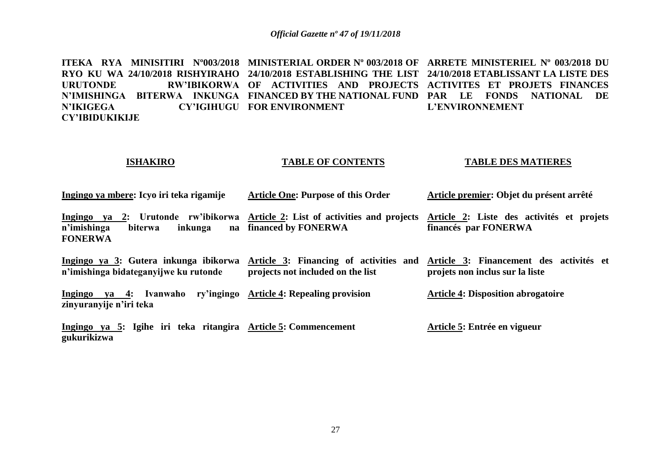**ITEKA RYA MINISITIRI Nº003/2018 MINISTERIAL ORDER Nº 003/2018 OF ARRETE MINISTERIEL Nº 003/2018 DU RYO KU WA 24/10/2018 RISHYIRAHO 24/10/2018 ESTABLISHING THE LIST 24/10/2018 ETABLISSANT LA LISTE DES URUTONDE RW'IBIKORWA OF ACTIVITIES AND PROJECTS ACTIVITES ET PROJETS FINANCES N'IMISHINGA BITERWA INKUNGA FINANCED BY THE NATIONAL FUND PAR LE FONDS NATIONAL DE N'IKIGEGA CY'IGIHUGU FOR ENVIRONMENT CY'IBIDUKIKIJE L'ENVIRONNEMENT**

#### **ISHAKIRO TABLE OF CONTENTS TABLE DES MATIERES**

**Article premier: Objet du présent arrêté**

| підпідо уа піреге. Теуб ні тека гіданніс                                                                                             | Al ticle One. I all pose of this Order | Article premier. Objet du présent arrête                                                                          |
|--------------------------------------------------------------------------------------------------------------------------------------|----------------------------------------|-------------------------------------------------------------------------------------------------------------------|
| Ingingo ya 2: Urutonde rw'ibikorwa Article 2: List of activities and projects<br>n'imishinga<br>inkunga<br>biterwa<br><b>FONERWA</b> | na financed by FONERWA                 | Article 2: Liste des activités et projets<br>financés par FONERWA                                                 |
| Ingingo ya 3: Gutera inkunga ibikorwa<br>n'imishinga bidateganyijwe ku rutonde                                                       | projects not included on the list      | Article 3: Financing of activities and Article 3: Financement des activités et<br>projets non inclus sur la liste |
| Ingingo ya 4: Ivanwaho ry'ingingo Article 4: Repealing provision<br>zinyuranyije n'iri teka                                          |                                        | <b>Article 4: Disposition abrogatoire</b>                                                                         |
| Ingingo ya 5: Igihe iri teka ritangira Article 5: Commencement<br>gukurikizwa                                                        |                                        | Article 5: Entrée en vigueur                                                                                      |

**Article One: Purpose of this Order** 

Ingingo ya mbere: Ieyo iri teka rigamije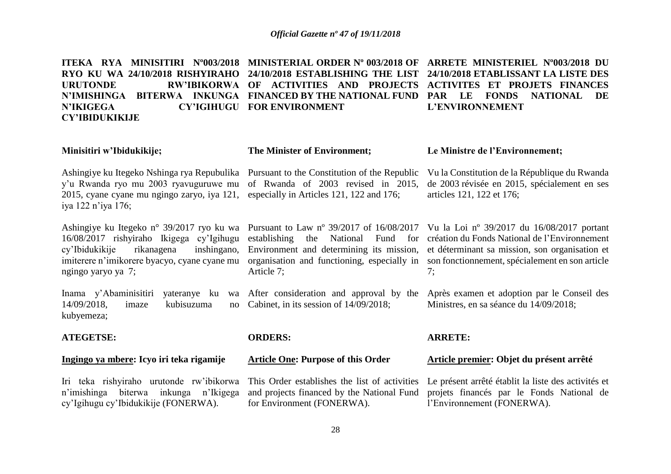**ITEKA RYA MINISITIRI Nº003/2018 MINISTERIAL ORDER Nº 003/2018 OF ARRETE MINISTERIEL Nº003/2018 DU RYO KU WA 24/10/2018 RISHYIRAHO 24/10/2018 ESTABLISHING THE LIST 24/10/2018 ETABLISSANT LA LISTE DES URUTONDE RW'IBIKORWA OF ACTIVITIES AND PROJECTS ACTIVITES ET PROJETS FINANCES N'IMISHINGA BITERWA INKUNGA FINANCED BY THE NATIONAL FUND PAR LE FONDS NATIONAL DE N'IKIGEGA CY'IGIHUGU FOR ENVIRONMENT CY'IBIDUKIKIJE L'ENVIRONNEMENT**

| Minisitiri w'Ibidukikije;                                                                                                                                                                                  | <b>The Minister of Environment;</b>                                            | Le Ministre de l'Environnement;                                                                                                                                                                                                                                                                                                                                         |
|------------------------------------------------------------------------------------------------------------------------------------------------------------------------------------------------------------|--------------------------------------------------------------------------------|-------------------------------------------------------------------------------------------------------------------------------------------------------------------------------------------------------------------------------------------------------------------------------------------------------------------------------------------------------------------------|
| Ashingiye ku Itegeko Nshinga rya Repubulika Pursuant to the Constitution of the Republic<br>y'u Rwanda ryo mu 2003 ryavuguruwe mu<br>2015, cyane cyane mu ngingo zaryo, iya 121,<br>iya 122 n'iya 176;     | of Rwanda of 2003 revised in 2015,<br>especially in Articles 121, 122 and 176; | Vu la Constitution de la République du Rwanda<br>de 2003 révisée en 2015, spécialement en ses<br>articles 121, 122 et 176;                                                                                                                                                                                                                                              |
| Ashingiye ku Itegeko n° 39/2017 ryo ku wa<br>16/08/2017 rishyiraho Ikigega cy'lgihugu<br>cy'Ibidukikije<br>rikanagena<br>inshingano,<br>imiterere n'imikorere byacyo, cyane cyane mu<br>ngingo yaryo ya 7; | Article 7;                                                                     | Pursuant to Law n° 39/2017 of 16/08/2017 Vu la Loi n° 39/2017 du 16/08/2017 portant<br>establishing the National Fund for création du Fonds National de l'Environnement<br>Environment and determining its mission, et déterminant sa mission, son organisation et<br>organisation and functioning, especially in son fonctionnement, spécialement en son article<br>7; |
| Inama y'Abaminisitiri<br>$14/09/2018$ ,<br>kubisuzuma<br>imaze<br>no<br>kubyemeza;                                                                                                                         | Cabinet, in its session of 14/09/2018;                                         | yateranye ku wa After consideration and approval by the Après examen et adoption par le Conseil des<br>Ministres, en sa séance du 14/09/2018;                                                                                                                                                                                                                           |
| <b>ATEGETSE:</b>                                                                                                                                                                                           | <b>ORDERS:</b>                                                                 | <b>ARRETE:</b>                                                                                                                                                                                                                                                                                                                                                          |
| Ingingo ya mbere: Icyo iri teka rigamije                                                                                                                                                                   | <b>Article One: Purpose of this Order</b>                                      | Article premier: Objet du présent arrêté                                                                                                                                                                                                                                                                                                                                |
| n'imishinga biterwa inkunga<br>n'Ikigega                                                                                                                                                                   | and projects financed by the National Fund                                     | Iri teka rishyiraho urutonde rw'ibikorwa This Order establishes the list of activities Le présent arrêté établit la liste des activités et<br>projets financés par le Fonds National de                                                                                                                                                                                 |

l'Environnement (FONERWA).

for Environment (FONERWA).

cy'Igihugu cy'Ibidukikije (FONERWA).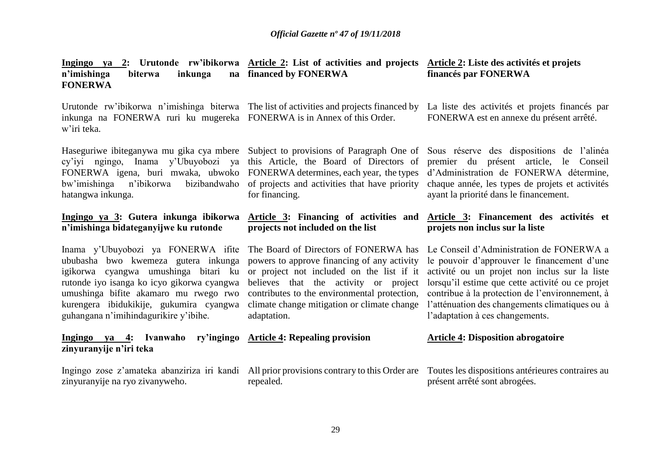| n'imishinga<br>biterwa<br>inkunga<br><b>FONERWA</b>                                                                                                                                                                                                                                          | Ingingo ya 2: Urutonde rw'ibikorwa Article 2: List of activities and projects Article 2: Liste des activités et projets<br>na financed by FONERWA                                                                                                                                        | financés par FONERWA                                                                                                                                                                                                                                                                                                                 |
|----------------------------------------------------------------------------------------------------------------------------------------------------------------------------------------------------------------------------------------------------------------------------------------------|------------------------------------------------------------------------------------------------------------------------------------------------------------------------------------------------------------------------------------------------------------------------------------------|--------------------------------------------------------------------------------------------------------------------------------------------------------------------------------------------------------------------------------------------------------------------------------------------------------------------------------------|
| inkunga na FONERWA ruri ku mugereka FONERWA is in Annex of this Order.<br>w'iri teka.                                                                                                                                                                                                        |                                                                                                                                                                                                                                                                                          | Urutonde rw'ibikorwa n'imishinga biterwa The list of activities and projects financed by La liste des activités et projets financés par<br>FONERWA est en annexe du présent arrêté.                                                                                                                                                  |
| cy'iyi ngingo, Inama y'Ubuyobozi ya<br>FONERWA igena, buri mwaka, ubwoko<br>bw'imishinga<br>n'ibikorwa<br>bizibandwaho<br>hatangwa inkunga.                                                                                                                                                  | this Article, the Board of Directors of<br>FONERWA determines, each year, the types<br>of projects and activities that have priority<br>for financing.                                                                                                                                   | Haseguriwe ibiteganywa mu gika cya mbere Subject to provisions of Paragraph One of Sous réserve des dispositions de l'alinéa<br>premier du présent article, le Conseil<br>d'Administration de FONERWA détermine,<br>chaque année, les types de projets et activités<br>ayant la priorité dans le financement.                        |
| Ingingo ya 3: Gutera inkunga ibikorwa<br>n'imishinga bidateganyijwe ku rutonde                                                                                                                                                                                                               | Article 3: Financing of activities and<br>projects not included on the list                                                                                                                                                                                                              | Article 3: Financement des activités et<br>projets non inclus sur la liste                                                                                                                                                                                                                                                           |
|                                                                                                                                                                                                                                                                                              |                                                                                                                                                                                                                                                                                          |                                                                                                                                                                                                                                                                                                                                      |
| Inama y'Ubuyobozi ya FONERWA ifite<br>ububasha bwo kwemeza gutera inkunga<br>igikorwa cyangwa umushinga bitari ku<br>rutonde iyo isanga ko icyo gikorwa cyangwa<br>umushinga bifite akamaro mu rwego rwo<br>kurengera ibidukikije, gukumira cyangwa<br>guhangana n'imihindagurikire y'ibihe. | The Board of Directors of FONERWA has<br>powers to approve financing of any activity<br>or project not included on the list if it<br>believes that the activity or project<br>contributes to the environmental protection,<br>climate change mitigation or climate change<br>adaptation. | Le Conseil d'Administration de FONERWA a<br>le pouvoir d'approuver le financement d'une<br>activité ou un projet non inclus sur la liste<br>lorsqu'il estime que cette activité ou ce projet<br>contribue à la protection de l'environnement, à<br>l'atténuation des changements climatiques ou à<br>l'adaptation à ces changements. |
| Ingingo ya 4: Ivanwaho<br>zinyuranyije n'iri teka                                                                                                                                                                                                                                            | ry'ingingo Article 4: Repealing provision                                                                                                                                                                                                                                                | <b>Article 4: Disposition abrogatoire</b>                                                                                                                                                                                                                                                                                            |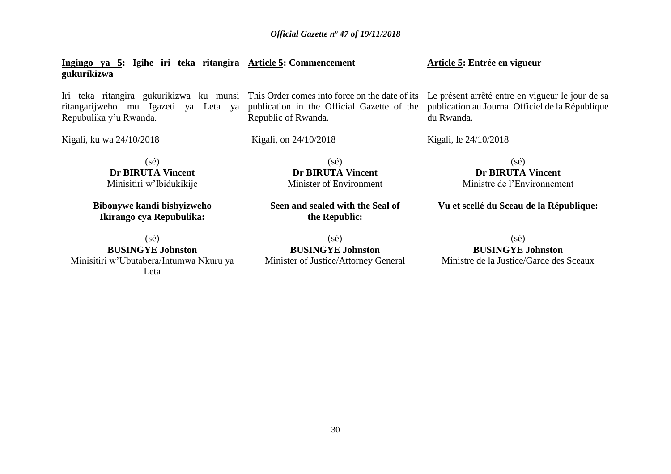**Ingingo ya 5: Igihe iri teka ritangira Article 5: Commencement gukurikizwa Article 5: Entrée en vigueur**

Iri teka ritangira gukurikizwa ku munsi This Order comes into force on the date of its Le présent arrêté entre en vigueur le jour de sa ritangarijweho mu Igazeti ya Leta ya publication in the Official Gazette of the publication au Journal Officiel de la République Repubulika y'u Rwanda.

Republic of Rwanda.

Kigali, ku wa 24/10/2018

Kigali, on 24/10/2018

Kigali, le 24/10/2018

du Rwanda.

(sé) **Dr BIRUTA Vincent** Minisitiri w'Ibidukikije

**Bibonywe kandi bishyizweho Ikirango cya Repubulika:**

 $(sé)$ **BUSINGYE Johnston** Minisitiri w'Ubutabera/Intumwa Nkuru ya Leta

**Dr BIRUTA Vincent** Minister of Environment

 $(s\acute{e})$ 

**Seen and sealed with the Seal of the Republic:**

(sé) **BUSINGYE Johnston** Minister of Justice/Attorney General

Ministre de l'Environnement **Vu et scellé du Sceau de la République:**

(sé) **Dr BIRUTA Vincent**

(sé) **BUSINGYE Johnston** Ministre de la Justice/Garde des Sceaux

30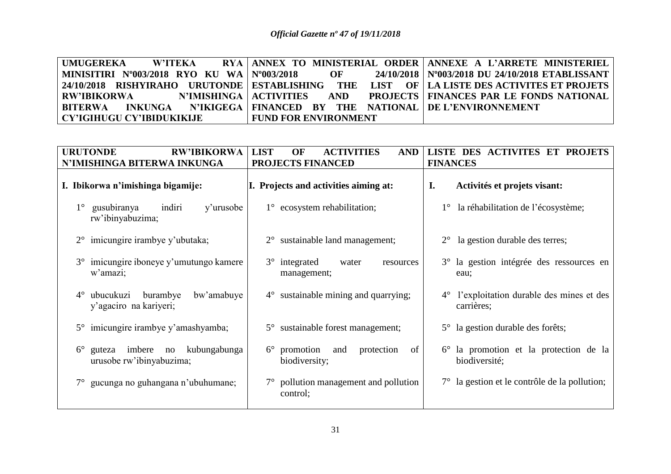| UMUGEREKA W'ITEKA                                                                       |                             | RYA ANNEX TO MINISTERIAL ORDER ANNEXE A L'ARRETE MINISTERIEL                                                                                             |
|-----------------------------------------------------------------------------------------|-----------------------------|----------------------------------------------------------------------------------------------------------------------------------------------------------|
| MINISITIRI N°003/2018 RYO KU WA   N°003/2018                                            |                             | OF 24/10/2018   N°003/2018 DU 24/10/2018 ETABLISSANT                                                                                                     |
|                                                                                         |                             | $\mid$ 24/10/2018 $\mid$ RISHYIRAHO $\mid$ URUTONDE $\mid$ ESTABLISHING $\mid$ THE $\mid$ LIST $\mid$ OF $\mid$ LA LISTE DES ACTIVITES ET PROJETS $\mid$ |
| RW'IBIKORWA                                                                             |                             | N'IMISHINGA   ACTIVITIES   AND   PROJECTS   FINANCES PAR LE FONDS NATIONAL                                                                               |
| BITERWA     INKUNGA     N'IKIGEGA   FINANCED   BY   THE   NATIONAL   DE L'ENVIRONNEMENT |                             |                                                                                                                                                          |
| CY'IGIHUGU CY'IBIDUKIKIJE                                                               | <b>FUND FOR ENVIRONMENT</b> |                                                                                                                                                          |

| <b>URUTONDE</b><br><b>RW'IBIKORWA</b><br>N'IMISHINGA BITERWA INKUNGA       | <b>LIST</b><br>OF<br><b>ACTIVITIES</b><br><b>AND</b><br>PROJECTS FINANCED | LISTE DES ACTIVITES ET PROJETS<br><b>FINANCES</b>                    |
|----------------------------------------------------------------------------|---------------------------------------------------------------------------|----------------------------------------------------------------------|
| I. Ibikorwa n'imishinga bigamije:                                          | I. Projects and activities aiming at:                                     | Activités et projets visant:<br>I.                                   |
| gusubiranya<br>indiri<br>$1^{\circ}$<br>y'urusobe<br>rw'ibinyabuzima;      | $1^{\circ}$ ecosystem rehabilitation;                                     | la réhabilitation de l'écosystème;                                   |
| $2^{\circ}$ imicungire irambye y'ubutaka;                                  | $2^{\circ}$ sustainable land management;                                  | $2^{\circ}$ la gestion durable des terres;                           |
| 3° imicungire iboneye y'umutungo kamere<br>w'amazi;                        | $3^\circ$ integrated<br>water<br>resources<br>management;                 | 3° la gestion intégrée des ressources en<br>eau:                     |
| ubucukuzi<br>burambye<br>bw'amabuye<br>$4^\circ$<br>y'agaciro na kariyeri; | $4^{\circ}$ sustainable mining and quarrying;                             | l'exploitation durable des mines et des<br>$4^{\circ}$<br>carrières; |
| 5° imicungire irambye y'amashyamba;                                        | 5° sustainable forest management;                                         | 5° la gestion durable des forêts;                                    |
| guteza imbere no kubungabunga<br>$6^{\circ}$<br>urusobe rw'ibinyabuzima;   | $6^{\circ}$ promotion<br>protection<br>of<br>and<br>biodiversity;         | la promotion et la protection de la<br>$6^{\circ}$<br>biodiversité;  |
| 7° gucunga no guhangana n'ubuhumane;                                       | $7^\circ$ pollution management and pollution<br>control;                  | $7^\circ$ la gestion et le contrôle de la pollution;                 |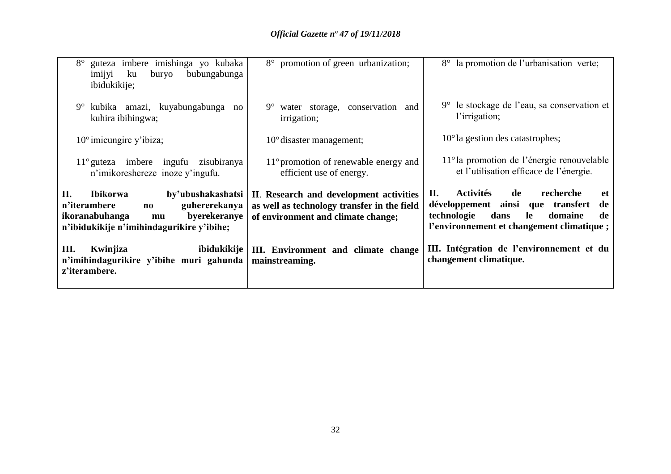| guteza imbere imishinga yo kubaka<br>bubungabunga<br>ku<br>buryo<br>imijyi<br>ibidukikije;                                                                              | 8° promotion of green urbanization;                                                                                          | 8° la promotion de l'urbanisation verte;                                                                                                                                                |
|-------------------------------------------------------------------------------------------------------------------------------------------------------------------------|------------------------------------------------------------------------------------------------------------------------------|-----------------------------------------------------------------------------------------------------------------------------------------------------------------------------------------|
| kubika amazi, kuyabungabunga no<br>$9^{\circ}$<br>kuhira ibihingwa;                                                                                                     | $9^{\circ}$<br>water storage, conservation and<br>irrigation;                                                                | $9^{\circ}$ le stockage de l'eau, sa conservation et<br>l'irrigation;                                                                                                                   |
| $10^{\circ}$ imicungire y'ibiza;                                                                                                                                        | $10^{\circ}$ disaster management;                                                                                            | $10^{\circ}$ la gestion des catastrophes;                                                                                                                                               |
| $11^{\circ}$ guteza imbere ingufu<br>zisubiranya<br>n'imikoreshereze inoze y'ingufu.                                                                                    | $11^{\circ}$ promotion of renewable energy and<br>efficient use of energy.                                                   | $11^{\circ}$ la promotion de l'énergie renouvelable<br>et l'utilisation efficace de l'énergie.                                                                                          |
| II.<br>by'ubushakashatsi<br><b>Ibikorwa</b><br>guhererekanya<br>n'iterambere<br>no<br>byerekeranye<br>ikoranabuhanga<br>mu<br>n'ibidukikije n'imihindagurikire y'ibihe; | II. Research and development activities<br>as well as technology transfer in the field<br>of environment and climate change; | <b>Activités</b><br>de<br>II.<br>recherche<br>et<br>développement ainsi que transfert<br>de<br>dans<br>de<br>technologie<br>le<br>domaine<br>l'environnement et changement climatique ; |
| Ш.<br>Kwinjiza<br>ibidukikije<br>n'imihindagurikire y'ibihe muri gahunda<br>z'iterambere.                                                                               | III. Environment and climate change<br>mainstreaming.                                                                        | III. Intégration de l'environnement et du<br>changement climatique.                                                                                                                     |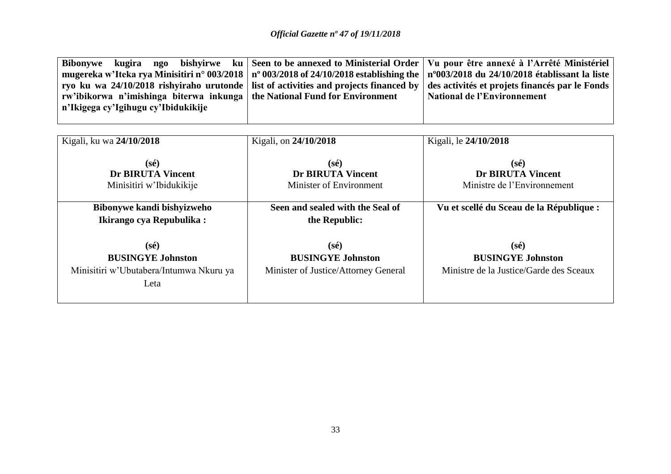| kugira ngo<br>bishyirwe ku<br><b>Bibonywe</b><br>mugereka w'Iteka rya Minisitiri n° 003/2018<br>ryo ku wa 24/10/2018 rishyiraho urutonde<br>rw'ibikorwa n'imishinga biterwa inkunga<br>n'Ikigega cy'Igihugu cy'Ibidukikije | Seen to be annexed to Ministerial Order<br>$n^{\circ}$ 003/2018 of 24/10/2018 establishing the<br>list of activities and projects financed by<br>the National Fund for Environment | Vu pour être annexé à l'Arrêté Ministériel<br>nº003/2018 du 24/10/2018 établissant la liste<br>des activités et projets financés par le Fonds<br><b>National de l'Environnement</b> |
|----------------------------------------------------------------------------------------------------------------------------------------------------------------------------------------------------------------------------|------------------------------------------------------------------------------------------------------------------------------------------------------------------------------------|-------------------------------------------------------------------------------------------------------------------------------------------------------------------------------------|
| Kigali, ku wa 24/10/2018                                                                                                                                                                                                   | Kigali, on 24/10/2018                                                                                                                                                              | Kigali, le 24/10/2018                                                                                                                                                               |
| $(s\acute{e})$                                                                                                                                                                                                             | $(s\acute{e})$                                                                                                                                                                     | $(s\acute{e})$                                                                                                                                                                      |
| <b>Dr BIRUTA Vincent</b>                                                                                                                                                                                                   | <b>Dr BIRUTA Vincent</b>                                                                                                                                                           | <b>Dr BIRUTA Vincent</b>                                                                                                                                                            |
| Minisitiri w'Ibidukikije                                                                                                                                                                                                   | Minister of Environment                                                                                                                                                            | Ministre de l'Environnement                                                                                                                                                         |
| Bibonywe kandi bishyizweho                                                                                                                                                                                                 | Seen and sealed with the Seal of                                                                                                                                                   | Vu et scellé du Sceau de la République :                                                                                                                                            |
| Ikirango cya Repubulika:                                                                                                                                                                                                   | the Republic:                                                                                                                                                                      |                                                                                                                                                                                     |
| $(s\acute{e})$                                                                                                                                                                                                             | $(s\acute{e})$                                                                                                                                                                     | $(s\acute{e})$                                                                                                                                                                      |
| <b>BUSINGYE Johnston</b>                                                                                                                                                                                                   | <b>BUSINGYE Johnston</b>                                                                                                                                                           | <b>BUSINGYE Johnston</b>                                                                                                                                                            |
| Minisitiri w'Ubutabera/Intumwa Nkuru ya                                                                                                                                                                                    | Minister of Justice/Attorney General                                                                                                                                               | Ministre de la Justice/Garde des Sceaux                                                                                                                                             |
| Leta                                                                                                                                                                                                                       |                                                                                                                                                                                    |                                                                                                                                                                                     |
|                                                                                                                                                                                                                            |                                                                                                                                                                                    |                                                                                                                                                                                     |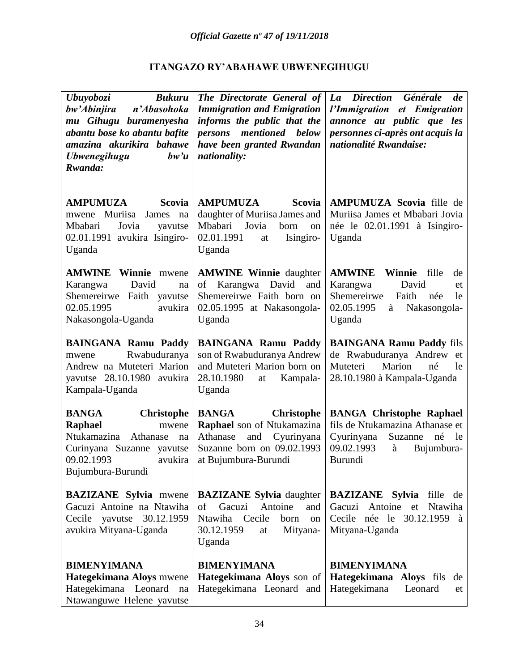## **ITANGAZO RY'ABAHAWE UBWENEGIHUGU**

| Ubuyobozi<br><b>Bukuru</b><br>bw'Abinjira<br>n'Abasohoka<br>mu Gihugu buramenyesha<br>abantu bose ko abantu bafite<br>amazina akurikira bahawe<br>bw'u<br><i><b>Ubwenegihugu</b></i><br>Rwanda: | The Directorate General of<br><b>Immigration and Emigration</b><br>informs the public that the<br>persons mentioned below<br>have been granted Rwandan<br>nationality: | La Direction<br>Générale<br>de<br>l'Immigration et Emigration<br>annonce au public que les<br>personnes ci-après ont acquis la<br>nationalité Rwandaise: |
|-------------------------------------------------------------------------------------------------------------------------------------------------------------------------------------------------|------------------------------------------------------------------------------------------------------------------------------------------------------------------------|----------------------------------------------------------------------------------------------------------------------------------------------------------|
| <b>AMPUMUZA</b><br><b>Scovia</b><br>Muriisa<br>James<br>mwene<br>na<br>Mbabari<br>Jovia<br>yavutse<br>02.01.1991 avukira Isingiro-<br>Uganda                                                    | <b>AMPUMUZA</b><br><b>Scovia</b><br>daughter of Muriisa James and<br>Mbabari<br>Jovia<br>born<br>on<br>02.01.1991<br>Isingiro-<br>at<br>Uganda                         | <b>AMPUMUZA Scovia fille de</b><br>Muriisa James et Mbabari Jovia<br>née le 02.01.1991 à Isingiro-<br>Uganda                                             |
| <b>AMWINE Winnie</b><br>mwene<br>David<br>Karangwa<br>na<br>Shemereirwe<br>Faith yavutse<br>02.05.1995<br>avukira<br>Nakasongola-Uganda                                                         | <b>AMWINE Winnie daughter</b><br>David<br>of<br>Karangwa<br>and<br>Shemereirwe Faith born on<br>02.05.1995 at Nakasongola-<br>Uganda                                   | <b>AMWINE</b><br>Winnie<br>fille<br>de<br>Karangwa<br>David<br>et<br>Shemereirwe<br>Faith<br>née<br>le<br>02.05.1995<br>Nakasongola-<br>à<br>Uganda      |
| <b>BAINGANA Ramu Paddy</b><br>Rwabuduranya<br>mwene<br>Andrew na Muteteri Marion<br>yavutse 28.10.1980 avukira<br>Kampala-Uganda                                                                | <b>BAINGANA Ramu Paddy</b><br>son of Rwabuduranya Andrew<br>and Muteteri Marion born on<br>28.10.1980<br>Kampala-<br>at<br>Uganda                                      | <b>BAINGANA Ramu Paddy fils</b><br>de Rwabuduranya Andrew<br>et<br>Muteteri<br>Marion<br>né<br>le<br>28.10.1980 à Kampala-Uganda                         |
| <b>BANGA</b><br><b>Christophe</b><br>Raphael<br>mwene<br>Ntukamazina<br>Athanase<br>na<br>Curinyana Suzanne yavutse<br>09.02.1993<br>avukira<br>Bujumbura-Burundi                               | <b>BANGA</b><br><b>Christophe</b><br>Raphael son of Ntukamazina<br>Athanase<br>Cyurinyana<br>and<br>Suzanne born on 09.02.1993<br>at Bujumbura-Burundi                 | <b>BANGA Christophe Raphael</b><br>fils de Ntukamazina Athanase et<br>Cyurinyana<br>Suzanne<br>né<br>le<br>09.02.1993<br>à<br>Bujumbura-<br>Burundi      |
| <b>BAZIZANE</b> Sylvia mwene<br>Gacuzi Antoine na Ntawiha<br>Cecile yavutse 30.12.1959<br>avukira Mityana-Uganda                                                                                | <b>BAZIZANE Sylvia</b> daughter<br>Gacuzi<br>Antoine<br>and<br>of<br>Ntawiha Cecile<br>born<br>on<br>30.12.1959<br>Mityana-<br>at<br>Uganda                            | <b>BAZIZANE</b> Sylvia fille de<br>Gacuzi Antoine et<br>Ntawiha<br>Cecile née le 30.12.1959 à<br>Mityana-Uganda                                          |
| <b>BIMENYIMANA</b><br>Hategekimana Aloys mwene<br>Hategekimana Leonard<br>na<br>Ntawanguwe Helene yavutse                                                                                       | <b>BIMENYIMANA</b><br>Hategekimana Aloys son of<br>Hategekimana Leonard and                                                                                            | <b>BIMENYIMANA</b><br>Hategekimana Aloys fils<br>de<br>Hategekimana<br>Leonard<br>et                                                                     |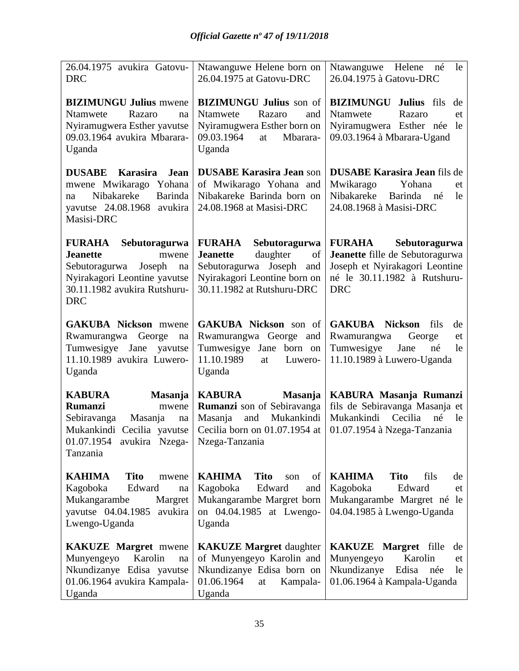| 26.04.1975 avukira Gatovu-<br><b>DRC</b>                                                                                                                                  | Ntawanguwe Helene born on<br>26.04.1975 at Gatovu-DRC                                                                                                            | Ntawanguwe Helene<br>né<br>le<br>26.04.1975 à Gatovu-DRC                                                                                          |
|---------------------------------------------------------------------------------------------------------------------------------------------------------------------------|------------------------------------------------------------------------------------------------------------------------------------------------------------------|---------------------------------------------------------------------------------------------------------------------------------------------------|
| <b>BIZIMUNGU Julius mwene</b><br>Ntamwete<br>Razaro<br>na<br>Nyiramugwera Esther yavutse<br>09.03.1964 avukira Mbarara-<br>Uganda                                         | <b>BIZIMUNGU Julius</b> son of<br>Ntamwete<br>Razaro<br>and<br>Nyiramugwera Esther born on<br>09.03.1964<br>Mbarara-<br>at<br>Uganda                             | <b>BIZIMUNGU</b><br>Julius fils<br>de<br>Ntamwete<br>Razaro<br>et<br>Nyiramugwera Esther née<br>le<br>09.03.1964 à Mbarara-Ugand                  |
| <b>DUSABE</b><br>Karasira<br><b>Jean</b><br>mwene Mwikarago Yohana<br>Nibakareke<br>Barinda<br>na<br>yavutse 24.08.1968 avukira<br>Masisi-DRC                             | <b>DUSABE Karasira Jean son</b><br>of Mwikarago Yohana and<br>Nibakareke Barinda born on<br>24.08.1968 at Masisi-DRC                                             | <b>DUSABE Karasira Jean fils de</b><br>Mwikarago<br>Yohana<br>et<br>Nibakareke<br>Barinda né<br>le<br>24.08.1968 à Masisi-DRC                     |
| <b>FURAHA</b><br>Sebutoragurwa<br><b>Jeanette</b><br>mwene<br>Sebutoragurwa<br>Joseph<br>na<br>Nyirakagori Leontine yavutse<br>30.11.1982 avukira Rutshuru-<br><b>DRC</b> | Sebutoragurwa<br><b>FURAHA</b><br>daughter<br><b>Jeanette</b><br>of<br>Sebutoragurwa Joseph<br>and<br>Nyirakagori Leontine born on<br>30.11.1982 at Rutshuru-DRC | Sebutoragurwa<br><b>FURAHA</b><br>Jeanette fille de Sebutoragurwa<br>Joseph et Nyirakagori Leontine<br>né le 30.11.1982 à Rutshuru-<br><b>DRC</b> |
| <b>GAKUBA Nickson</b> mwene<br>Rwamurangwa<br>George<br>na<br>Tumwesigye Jane<br>yavutse<br>11.10.1989 avukira Luwero-<br>Uganda                                          | <b>GAKUBA Nickson</b> son of<br>Rwamurangwa George and<br>Tumwesigye Jane born on<br>11.10.1989<br>Luwero-<br>at<br>Uganda                                       | <b>GAKUBA Nickson</b><br>fils<br>de<br>Rwamurangwa<br>George<br>et<br>Tumwesigye<br>Jane<br>né<br>le<br>11.10.1989 à Luwero-Uganda                |
| <b>KABURA</b><br>Masanja<br><b>Rumanzi</b><br>mwene<br>Sebiravanga<br>Masanja<br>na<br>Mukankindi Cecilia yavutse<br>01.07.1954 avukira Nzega-<br>Tanzania                | <b>KABURA</b><br>Masanja<br><b>Rumanzi</b> son of Sebiravanga<br>Masanja<br>and<br>Mukankindi<br>Cecilia born on 01.07.1954 at<br>Nzega-Tanzania                 | KABURA Masanja Rumanzi<br>fils de Sebiravanga Masanja et<br>Mukankindi<br>Cecilia<br>né<br>le<br>01.07.1954 à Nzega-Tanzania                      |
| <b>KAHIMA</b><br><b>Tito</b><br>mwene<br>Edward<br>Kagoboka<br>na<br>Mukangarambe<br>Margret<br>vavutse 04.04.1985<br>avukira<br>Lwengo-Uganda                            | <b>KAHIMA</b><br><b>Tito</b><br>of<br>son<br>Kagoboka<br>Edward<br>and<br>Mukangarambe Margret born<br>on 04.04.1985 at Lwengo-<br>Uganda                        | <b>KAHIMA</b><br><b>Tito</b><br>fils<br>de<br>Kagoboka<br>Edward<br>et<br>Mukangarambe Margret né le<br>04.04.1985 à Lwengo-Uganda                |
| <b>KAKUZE Margret mwene</b><br>Karolin<br>Munyengeyo<br>na<br>Nkundizanye Edisa yavutse<br>01.06.1964 avukira Kampala-<br>Uganda                                          | <b>KAKUZE Margret daughter</b><br>of Munyengeyo Karolin and<br>Nkundizanye Edisa born on<br>01.06.1964<br>Kampala-<br>at<br>Uganda                               | <b>KAKUZE</b> Margret fille<br>de<br>Karolin<br>Munyengeyo<br>et<br>Nkundizanye<br>Edisa<br>née<br>le<br>01.06.1964 à Kampala-Uganda              |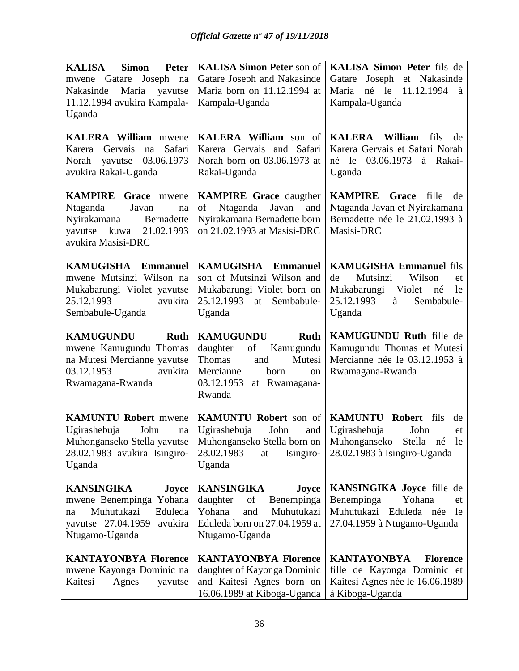| <b>Peter</b><br><b>KALISA</b><br>Simon                                                                                                                  | <b>KALISA Simon Peter son of</b>                                                                                                                              | KALISA Simon Peter fils de                                                                                           |
|---------------------------------------------------------------------------------------------------------------------------------------------------------|---------------------------------------------------------------------------------------------------------------------------------------------------------------|----------------------------------------------------------------------------------------------------------------------|
| mwene Gatare Joseph na                                                                                                                                  | Gatare Joseph and Nakasinde                                                                                                                                   | Gatare Joseph et Nakasinde                                                                                           |
| Maria<br>yavutse<br>Nakasinde                                                                                                                           | Maria born on 11.12.1994 at                                                                                                                                   | Maria né le 11.12.1994<br>à                                                                                          |
| 11.12.1994 avukira Kampala-                                                                                                                             | Kampala-Uganda                                                                                                                                                | Kampala-Uganda                                                                                                       |
| Uganda                                                                                                                                                  |                                                                                                                                                               |                                                                                                                      |
| <b>KALERA William</b> mwene<br>Safari<br>Karera Gervais<br>na<br>Norah yavutse 03.06.1973<br>avukira Rakai-Uganda                                       | <b>KALERA William</b> son of<br>Karera Gervais and Safari<br>Norah born on 03.06.1973 at<br>Rakai-Uganda                                                      | <b>KALERA</b> William<br>fils<br>de<br>Karera Gervais et Safari Norah<br>né le 03.06.1973 à Rakai-<br>Uganda         |
| <b>KAMPIRE</b><br><b>Grace</b><br>mwene<br>Javan<br><b>Ntaganda</b><br>na<br>Nyirakamana<br>Bernadette<br>yavutse kuwa 21.02.1993<br>avukira Masisi-DRC | <b>KAMPIRE</b> Grace daugther<br>of Ntaganda Javan<br>and<br>Nyirakamana Bernadette born<br>on 21.02.1993 at Masisi-DRC                                       | <b>KAMPIRE</b> Grace<br>fille<br>de<br>Ntaganda Javan et Nyirakamana<br>Bernadette née le 21.02.1993 à<br>Masisi-DRC |
| <b>KAMUGISHA</b><br><b>Emmanuel</b>                                                                                                                     | KAMUGISHA<br><b>Emmanuel</b>                                                                                                                                  | <b>KAMUGISHA Emmanuel fils</b>                                                                                       |
| mwene Mutsinzi Wilson na                                                                                                                                | son of Mutsinzi Wilson and                                                                                                                                    | Mutsinzi<br>Wilson<br>de<br>et                                                                                       |
| Mukabarungi Violet yavutse                                                                                                                              | Mukabarungi Violet born on                                                                                                                                    | Mukabarungi Violet<br>né<br>le                                                                                       |
| 25.12.1993<br>avukira                                                                                                                                   | 25.12.1993<br>Sembabule-<br>at                                                                                                                                | 25.12.1993<br>Sembabule-<br>à                                                                                        |
| Sembabule-Uganda                                                                                                                                        | Uganda                                                                                                                                                        | Uganda                                                                                                               |
|                                                                                                                                                         |                                                                                                                                                               |                                                                                                                      |
| <b>KAMUGUNDU</b><br><b>Ruth</b><br>mwene Kamugundu Thomas<br>na Mutesi Mercianne yavutse<br>03.12.1953<br>avukira<br>Rwamagana-Rwanda                   | <b>KAMUGUNDU</b><br><b>Ruth</b><br>daughter<br>Kamugundu<br>of<br>Thomas<br>Mutesi<br>and<br>Mercianne<br>born<br>on<br>03.12.1953<br>at Rwamagana-<br>Rwanda | <b>KAMUGUNDU Ruth fille de</b><br>Kamugundu Thomas et Mutesi<br>Mercianne née le 03.12.1953 à<br>Rwamagana-Rwanda    |
| <b>KAMUNTU Robert mwene</b>                                                                                                                             | <b>KAMUNTU Robert son of   KAMUNTU Robert fils</b>                                                                                                            | de                                                                                                                   |
| Ugirashebuja<br>John<br>na                                                                                                                              | Ugirashebuja<br>John                                                                                                                                          | and Ugirashebuja<br>John<br>et                                                                                       |
|                                                                                                                                                         |                                                                                                                                                               | Muhonganseko Stella yavutse   Muhonganseko Stella born on   Muhonganseko Stella né le                                |
| 28.02.1983 avukira Isingiro-<br>Uganda                                                                                                                  | 28.02.1983<br>Isingiro-<br>at<br>Uganda                                                                                                                       | 28.02.1983 à Isingiro-Uganda                                                                                         |
| <b>KANSINGIKA</b>                                                                                                                                       |                                                                                                                                                               |                                                                                                                      |
| Joyce<br>mwene Benempinga Yohana                                                                                                                        | <b>KANSINGIKA</b><br>Joyce<br>daughter<br>of<br>Benempinga                                                                                                    | <b>KANSINGIKA Joyce fille de</b><br>Benempinga<br>Yohana<br>et                                                       |
| Muhutukazi<br>Eduleda<br>na                                                                                                                             | Yohana<br>Muhutukazi<br>and                                                                                                                                   | Muhutukazi Eduleda née<br>le                                                                                         |
| yavutse 27.04.1959<br>avukira                                                                                                                           | Eduleda born on 27.04.1959 at                                                                                                                                 | 27.04.1959 à Ntugamo-Uganda                                                                                          |
| Ntugamo-Uganda                                                                                                                                          | Ntugamo-Uganda                                                                                                                                                |                                                                                                                      |
| <b>KANTAYONBYA Florence</b>                                                                                                                             | <b>KANTAYONBYA Florence</b>                                                                                                                                   | <b>KANTAYONBYA</b><br><b>Florence</b>                                                                                |
| mwene Kayonga Dominic na                                                                                                                                | daughter of Kayonga Dominic                                                                                                                                   | fille de Kayonga Dominic et                                                                                          |
| Kaitesi<br>Agnes<br>yavutse                                                                                                                             | and Kaitesi Agnes born on<br>16.06.1989 at Kiboga-Uganda                                                                                                      | Kaitesi Agnes née le 16.06.1989<br>à Kiboga-Uganda                                                                   |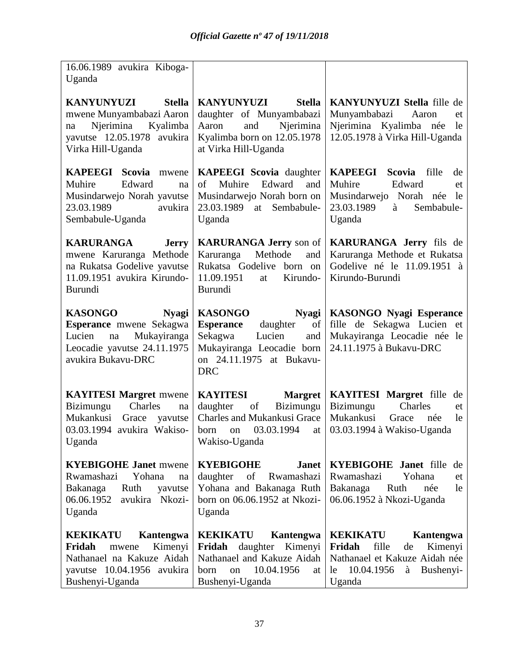| 16.06.1989 avukira Kiboga-<br>Uganda                                                                                                             |                                                                                                                                                                         |                                                                                                                                                     |
|--------------------------------------------------------------------------------------------------------------------------------------------------|-------------------------------------------------------------------------------------------------------------------------------------------------------------------------|-----------------------------------------------------------------------------------------------------------------------------------------------------|
| <b>Stella</b><br><b>KANYUNYUZI</b><br>mwene Munyambabazi Aaron<br>Njerimina<br>Kyalimba<br>na<br>yavutse 12.05.1978 avukira<br>Virka Hill-Uganda | KANYUNYUZI<br><b>Stella</b><br>daughter of Munyambabazi<br>Aaron<br>and<br>Njerimina<br>Kyalimba born on 12.05.1978<br>at Virka Hill-Uganda                             | KANYUNYUZI Stella fille de<br>Munyambabazi<br>Aaron<br>et<br>Njerimina Kyalimba née<br>le<br>12.05.1978 à Virka Hill-Uganda                         |
| <b>KAPEEGI Scovia</b><br>mwene<br>Muhire<br>Edward<br>na<br>Musindarwejo Norah yavutse<br>23.03.1989<br>avukira<br>Sembabule-Uganda              | <b>KAPEEGI</b> Scovia daughter<br>Muhire<br>Edward<br>of<br>and<br>Musindarwejo Norah born on<br>23.03.1989<br>at Sembabule-<br>Uganda                                  | <b>KAPEEGI</b><br><b>Scovia</b><br>fille<br>de<br>Muhire<br>Edward<br>et<br>Musindarwejo Norah née<br>le<br>23.03.1989<br>Sembabule-<br>à<br>Uganda |
| <b>KARURANGA</b><br><b>Jerry</b><br>mwene Karuranga Methode<br>na Rukatsa Godelive yavutse<br>11.09.1951 avukira Kirundo-<br>Burundi             | <b>KARURANGA Jerry</b> son of<br>Methode<br>Karuranga<br>and<br>Rukatsa Godelive born on<br>11.09.1951<br>Kirundo-<br>at<br>Burundi                                     | KARURANGA Jerry fils de<br>Karuranga Methode et Rukatsa<br>Godelive né le 11.09.1951 à<br>Kirundo-Burundi                                           |
| <b>KASONGO</b><br><b>Nyagi</b><br>Esperance mwene Sekagwa<br>Mukayiranga<br>Lucien<br>na<br>Leocadie yavutse 24.11.1975<br>avukira Bukavu-DRC    | <b>KASONGO</b><br><b>Nyagi</b><br><b>Esperance</b><br>daughter<br>of<br>Sekagwa<br>Lucien<br>and<br>Mukayiranga Leocadie born<br>on 24.11.1975 at Bukavu-<br><b>DRC</b> | <b>KASONGO Nyagi Esperance</b><br>fille de Sekagwa Lucien et<br>Mukayiranga Leocadie née le<br>24.11.1975 à Bukavu-DRC                              |
| <b>KAYITESI Margret mwene</b><br>Bizimungu<br>Charles<br>na<br>Mukankusi<br>Grace<br>yavutse<br>03.03.1994 avukira Wakiso-<br>Uganda             | <b>KAYITESI</b><br><b>Margret</b><br>Bizimungu<br>daughter<br>of<br>Charles and Mukankusi Grace<br>03.03.1994<br>born<br>at<br>on<br>Wakiso-Uganda                      | <b>KAYITESI Margret fille</b><br>de<br>Bizimungu<br>Charles<br>et<br>Mukankusi<br>le<br>Grace<br>née<br>03.03.1994 à Wakiso-Uganda                  |
| <b>KYEBIGOHE Janet mwene</b><br>Rwamashazi<br>Yohana<br>na<br>Ruth<br>Bakanaga<br>yavutse<br>06.06.1952<br>avukira Nkozi-<br>Uganda              | <b>KYEBIGOHE</b><br><b>Janet</b><br>daughter of<br>Rwamashazi<br>Yohana and Bakanaga Ruth<br>born on 06.06.1952 at Nkozi-<br>Uganda                                     | <b>KYEBIGOHE Janet</b> fille de<br>Rwamashazi<br>Yohana<br>et<br>Bakanaga<br>Ruth<br>née<br>le<br>06.06.1952 à Nkozi-Uganda                         |
| <b>KEKIKATU</b><br>Kantengwa<br>Fridah<br>Kimenyi<br>mwene<br>Nathanael na Kakuze Aidah<br>yavutse 10.04.1956 avukira<br>Bushenyi-Uganda         | Kantengwa<br><b>KEKIKATU</b><br>Fridah daughter<br>Kimenyi<br>Nathanael and Kakuze Aidah<br>10.04.1956<br>born<br>on<br>at<br>Bushenyi-Uganda                           | <b>KEKIKATU</b><br>Kantengwa<br>Fridah<br>fille<br>Kimenyi<br>de<br>Nathanael et Kakuze Aidah née<br>10.04.1956<br>à<br>le<br>Bushenyi-<br>Uganda   |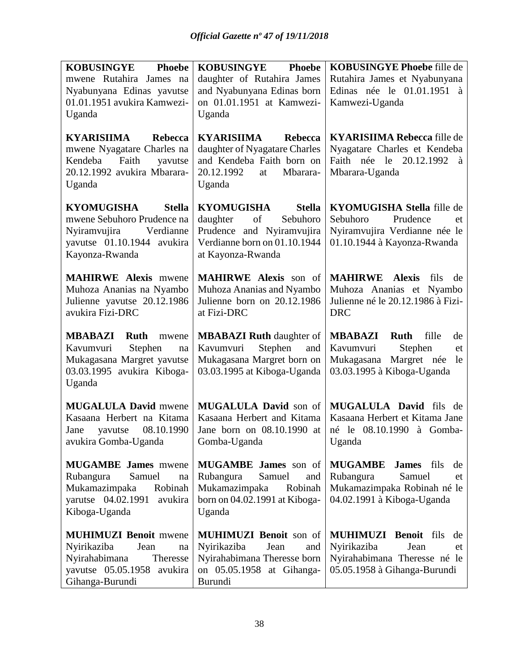| <b>KOBUSINGYE</b><br><b>Phoebe</b>                       | <b>KOBUSINGYE</b><br><b>Phoebe</b>                  | <b>KOBUSINGYE Phoebe fille de</b>                 |
|----------------------------------------------------------|-----------------------------------------------------|---------------------------------------------------|
| mwene Rutahira James na                                  | daughter of Rutahira James                          | Rutahira James et Nyabunyana                      |
| Nyabunyana Edinas yavutse                                | and Nyabunyana Edinas born                          | Edinas née le 01.01.1951 à                        |
| 01.01.1951 avukira Kamwezi-                              | on 01.01.1951 at Kamwezi-                           | Kamwezi-Uganda                                    |
| Uganda                                                   | Uganda                                              |                                                   |
| <b>KYARISIIMA</b><br>Rebecca                             | <b>KYARISIIMA</b><br><b>Rebecca</b>                 | <b>KYARISIIMA Rebecca fille de</b>                |
| mwene Nyagatare Charles na                               | daughter of Nyagatare Charles                       | Nyagatare Charles et Kendeba                      |
| Faith<br>Kendeba<br>yavutse                              | and Kendeba Faith born on                           | Faith née le 20.12.1992<br>à                      |
| 20.12.1992 avukira Mbarara-                              | 20.12.1992<br>Mbarara-<br>at                        | Mbarara-Uganda                                    |
| Uganda                                                   | Uganda                                              |                                                   |
| <b>KYOMUGISHA</b><br><b>Stella</b>                       | <b>KYOMUGISHA</b><br><b>Stella</b>                  | <b>KYOMUGISHA Stella</b> fille de                 |
| mwene Sebuhoro Prudence na                               | Sebuhoro<br>daughter<br>of                          | Sebuhoro<br>Prudence<br>et                        |
| Nyiramvujira<br>Verdianne                                | Prudence and Nyiramvujira                           | Nyiramvujira Verdianne née le                     |
| yavutse 01.10.1944 avukira                               | Verdianne born on 01.10.1944                        | 01.10.1944 à Kayonza-Rwanda                       |
| Kayonza-Rwanda                                           | at Kayonza-Rwanda                                   |                                                   |
| <b>MAHIRWE Alexis mwene</b>                              | <b>MAHIRWE Alexis</b> son of                        | <b>MAHIRWE</b> Alexis<br>fils<br>de               |
| Muhoza Ananias na Nyambo                                 | Muhoza Ananias and Nyambo                           | Muhoza Ananias et Nyambo                          |
| Julienne yavutse 20.12.1986                              | Julienne born on 20.12.1986                         | Julienne né le 20.12.1986 à Fizi-                 |
| avukira Fizi-DRC                                         | at Fizi-DRC                                         | <b>DRC</b>                                        |
| <b>MBABAZI</b><br><b>Ruth</b><br>mwene                   | <b>MBABAZI Ruth daughter of</b>                     | <b>MBABAZI</b><br><b>Ruth</b><br>fille<br>de      |
|                                                          |                                                     |                                                   |
| Kavumvuri<br>na                                          | Kavumvuri<br>Stephen<br>and                         | Kavumvuri<br>Stephen<br>et                        |
| Stephen<br>Mukagasana Margret yavutse                    | Mukagasana Margret born on                          | Mukagasana Margret née<br>le                      |
| 03.03.1995 avukira Kiboga-                               | 03.03.1995 at Kiboga-Uganda                         | 03.03.1995 à Kiboga-Uganda                        |
| Uganda                                                   |                                                     |                                                   |
|                                                          |                                                     | MUGALULA David fils de                            |
| <b>MUGALULA David mwene</b><br>Kasaana Herbert na Kitama | MUGALULA David son of<br>Kasaana Herbert and Kitama | Kasaana Herbert et Kitama Jane                    |
| 08.10.1990<br>Jane<br>yavutse                            | Jane born on 08.10.1990 at                          | né le 08.10.1990 à Gomba-                         |
| avukira Gomba-Uganda                                     | Gomba-Uganda                                        | Uganda                                            |
|                                                          |                                                     | James fils                                        |
| <b>MUGAMBE</b> James mwene<br>Rubangura<br>Samuel<br>na  | MUGAMBE James son of<br>Rubangura<br>Samuel<br>and  | <b>MUGAMBE</b><br>de<br>Rubangura<br>Samuel<br>et |
| Mukamazimpaka<br>Robinah                                 | Mukamazimpaka<br>Robinah                            | Mukamazimpaka Robinah né le                       |
| varutse 04.02.1991<br>avukira                            | born on 04.02.1991 at Kiboga-                       | 04.02.1991 à Kiboga-Uganda                        |
| Kiboga-Uganda                                            | Uganda                                              |                                                   |
| <b>MUHIMUZI Benoit mwene</b>                             | MUHIMUZI Benoit son of                              | <b>MUHIMUZI Benoit fils</b><br>de                 |
| Nyirikaziba<br>Jean<br>$\operatorname{na}$               | Nyirikaziba<br>Jean<br>and                          | Nyirikaziba<br>Jean<br>et                         |
| Nyirahabimana<br>Theresse                                | Nyirahabimana Theresse born                         | Nyirahabimana Theresse né le                      |
| yavutse 05.05.1958 avukira<br>Gihanga-Burundi            | on 05.05.1958 at Gihanga-<br>Burundi                | 05.05.1958 à Gihanga-Burundi                      |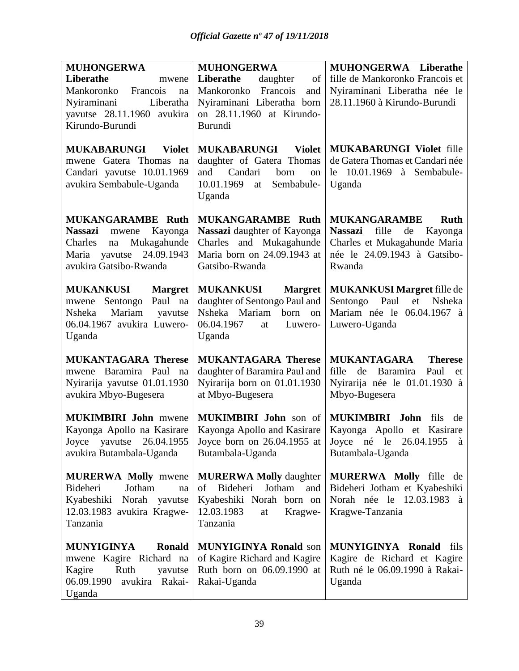| <b>MUHONGERWA</b>                                                                                                                                       | <b>MUHONGERWA</b>                                                                                                                        | MUHONGERWA Liberathe                                                                                                                        |
|---------------------------------------------------------------------------------------------------------------------------------------------------------|------------------------------------------------------------------------------------------------------------------------------------------|---------------------------------------------------------------------------------------------------------------------------------------------|
| Liberathe<br>mwene<br>Mankoronko<br>Francois<br>na<br>Nyiraminani<br>Liberatha<br>yavutse 28.11.1960 avukira<br>Kirundo-Burundi                         | Liberathe<br>daughter<br>of<br>Francois<br>Mankoronko<br>and<br>Nyiraminani Liberatha born<br>on 28.11.1960 at Kirundo-<br>Burundi       | fille de Mankoronko Francois et<br>Nyiraminani Liberatha née le<br>28.11.1960 à Kirundo-Burundi                                             |
| <b>MUKABARUNGI</b><br><b>Violet</b><br>mwene Gatera Thomas na<br>Candari yavutse 10.01.1969<br>avukira Sembabule-Uganda                                 | <b>MUKABARUNGI Violet</b><br>daughter of Gatera Thomas<br>born<br>Candari<br>and<br>on<br>10.01.1969<br>Sembabule-<br>at<br>Uganda       | <b>MUKABARUNGI Violet fille</b><br>de Gatera Thomas et Candari née<br>le 10.01.1969 à Sembabule-<br>Uganda                                  |
| <b>MUKANGARAMBE Ruth</b><br><b>Nassazi</b><br>Kayonga<br>mwene<br>Mukagahunde<br>Charles<br>na<br>Maria yavutse<br>24.09.1943<br>avukira Gatsibo-Rwanda | <b>MUKANGARAMBE Ruth</b><br>Nassazi daughter of Kayonga<br>Charles and Mukagahunde<br>Maria born on 24.09.1943 at<br>Gatsibo-Rwanda      | <b>MUKANGARAMBE</b><br><b>Ruth</b><br>Nassazi fille<br>de Kayonga<br>Charles et Mukagahunde Maria<br>née le 24.09.1943 à Gatsibo-<br>Rwanda |
| <b>MUKANKUSI</b><br><b>Margret</b><br>mwene Sentongo Paul na<br>Mariam yavutse<br>Nsheka<br>06.04.1967 avukira Luwero-<br>Uganda                        | <b>MUKANKUSI</b><br><b>Margret</b><br>daughter of Sentongo Paul and<br>Nsheka Mariam<br>born on<br>06.04.1967<br>Luwero-<br>at<br>Uganda | <b>MUKANKUSI Margret fille de</b><br>Sentongo Paul et<br>Nsheka<br>Mariam née le 06.04.1967 à<br>Luwero-Uganda                              |
| <b>MUKANTAGARA Therese</b><br>mwene Baramira Paul<br>na<br>Nyirarija yavutse 01.01.1930<br>avukira Mbyo-Bugesera                                        | <b>MUKANTAGARA Therese</b><br>daughter of Baramira Paul and<br>Nyirarija born on 01.01.1930<br>at Mbyo-Bugesera                          | <b>MUKANTAGARA</b><br><b>Therese</b><br>fille<br>de Baramira<br>Paul<br>et<br>Nyirarija née le 01.01.1930 à<br>Mbyo-Bugesera                |
| <b>MUKIMBIRI John mwene</b><br>Kayonga Apollo na Kasirare<br>Joyce yavutse 26.04.1955<br>avukira Butambala-Uganda                                       | MUKIMBIRI John son of<br>Kayonga Apollo and Kasirare<br>Joyce born on 26.04.1955 at<br>Butambala-Uganda                                  | MUKIMBIRI John<br>fils<br>de<br>Kayonga Apollo et Kasirare<br>Joyce né le 26.04.1955<br>à<br>Butambala-Uganda                               |
| <b>MURERWA Molly mwene</b><br>Bideheri<br>Jotham<br>na<br>Norah yavutse<br>Kyabeshiki<br>12.03.1983 avukira Kragwe-<br>Tanzania                         | <b>MURERWA Molly daughter</b><br>Jotham<br>Bideheri<br>of<br>and<br>Kyabeshiki Norah born on<br>12.03.1983<br>Kragwe-<br>at<br>Tanzania  | MURERWA Molly fille de<br>Bideheri Jotham et Kyabeshiki<br>Norah née le 12.03.1983 à<br>Kragwe-Tanzania                                     |
| <b>Ronald</b><br>MUNYIGINYA<br>mwene Kagire Richard na<br>Kagire<br>Ruth<br>yavutse<br>06.09.1990<br>avukira Rakai-<br>Uganda                           | <b>MUNYIGINYA Ronald son</b><br>of Kagire Richard and Kagire<br>Ruth born on 06.09.1990 at<br>Rakai-Uganda                               | MUNYIGINYA Ronald<br>fils<br>Kagire de Richard et Kagire<br>Ruth né le 06.09.1990 à Rakai-<br>Uganda                                        |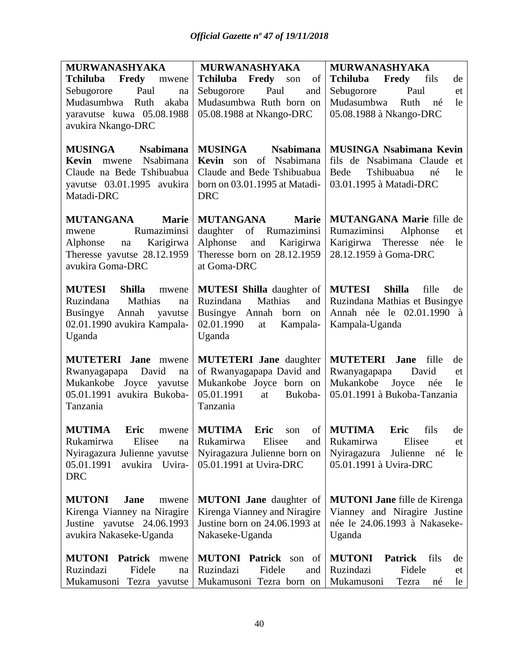| MURWANASHYAKA                           | MURWANASHYAKA                       | <b>MURWANASHYAKA</b>                          |
|-----------------------------------------|-------------------------------------|-----------------------------------------------|
| Fredy<br>Tchiluba<br>mwene              | Tchiluba Fredy<br>son<br>of         | Tchiluba Fredy<br>fils<br>de                  |
| Paul<br>Sebugorore<br>na                | Paul<br>Sebugorore<br>and           | Sebugorore<br>Paul<br>et                      |
| Mudasumbwa<br>Ruth<br>akaba             | Mudasumbwa Ruth born on             | Mudasumbwa<br>Ruth<br>le<br>né                |
| yaravutse kuwa 05.08.1988               | 05.08.1988 at Nkango-DRC            | 05.08.1988 à Nkango-DRC                       |
| avukira Nkango-DRC                      |                                     |                                               |
|                                         |                                     |                                               |
| <b>MUSINGA</b><br><b>Nsabimana</b>      | <b>MUSINGA</b><br><b>Nsabimana</b>  | <b>MUSINGA Nsabimana Kevin</b>                |
| Nsabimana<br>Kevin<br>mwene             | of<br>Nsabimana<br><b>Kevin</b> son | fils de Nsabimana Claude<br>et                |
| Claude na Bede Tshibuabua               | Claude and Bede Tshibuabua          | Tshibuabua<br>Bede<br>le<br>né                |
| yavutse 03.01.1995 avukira              | born on 03.01.1995 at Matadi-       | 03.01.1995 à Matadi-DRC                       |
| Matadi-DRC                              | <b>DRC</b>                          |                                               |
|                                         |                                     |                                               |
| <b>MUTANGANA</b><br><b>Marie</b>        | <b>MUTANGANA</b><br><b>Marie</b>    | <b>MUTANGANA Marie fille de</b>               |
| Rumaziminsi<br>mwene                    | of Rumaziminsi<br>daughter          | Rumaziminsi<br>Alphonse<br>et                 |
| Alphonse<br>Karigirwa<br>na             | Alphonse<br>and<br>Karigirwa        | Karigirwa<br>Theresse<br>née<br>le            |
| Theresse yavutse 28.12.1959             | Theresse born on 28.12.1959         | 28.12.1959 à Goma-DRC                         |
| avukira Goma-DRC                        | at Goma-DRC                         |                                               |
|                                         |                                     |                                               |
| <b>MUTESI</b><br><b>Shilla</b><br>mwene | <b>MUTESI Shilla</b> daughter of    | <b>MUTESI</b><br><b>Shilla</b><br>fille<br>de |
| Ruzindana<br>Mathias<br>na              | Ruzindana<br>Mathias<br>and         | Ruzindana Mathias et Busingye                 |
| Busingye<br>Annah<br>yavutse            | Busingye Annah born on              | Annah née le 02.01.1990 à                     |
| 02.01.1990 avukira Kampala-             | 02.01.1990<br>Kampala-<br>at        | Kampala-Uganda                                |
| Uganda                                  | Uganda                              |                                               |
| <b>MUTETERI</b> Jane mwene              | <b>MUTETERI</b> Jane daughter       | <b>MUTETERI</b> Jane<br>fille<br>de           |
| David<br>Rwanyagapapa<br>na             | of Rwanyagapapa David and           | David<br>Rwanyagapapa<br>et                   |
| Mukankobe Joyce yavutse                 | Mukankobe Joyce born on             | Mukankobe<br>Joyce<br>née<br>le               |
| 05.01.1991 avukira Bukoba-              | 05.01.1991<br>Bukoba-<br>at         | 05.01.1991 à Bukoba-Tanzania                  |
| Tanzania                                | Tanzania                            |                                               |
|                                         |                                     |                                               |
| <b>MUTIMA</b><br>Eric<br>mwene          | <b>MUTIMA</b><br>of<br>Eric<br>son  | <b>MUTIMA</b><br>fils<br>Eric<br>de           |
| Elisee<br>Rukamirwa<br>na               | Rukamirwa<br>Elisee<br>and          | Elisee<br>Rukamirwa<br>et                     |
| Nyiragazura Julienne yavutse            | Nyiragazura Julienne born on        | Nyiragazura<br>Julienne<br>le<br>né           |
| 05.01.1991<br>avukira Uvira-            | 05.01.1991 at Uvira-DRC             | 05.01.1991 à Uvira-DRC                        |
| <b>DRC</b>                              |                                     |                                               |
| <b>MUTONI</b><br>Jane<br>mwene          | <b>MUTONI</b> Jane daughter of      | <b>MUTONI Jane fille de Kirenga</b>           |
| Kirenga Vianney na Niragire             | Kirenga Vianney and Niragire        | Vianney and Niragire Justine                  |
| Justine yavutse 24.06.1993              | Justine born on 24.06.1993 at       | née le 24.06.1993 à Nakaseke-                 |
| avukira Nakaseke-Uganda                 | Nakaseke-Uganda                     | Uganda                                        |
|                                         |                                     |                                               |
| <b>MUTONI</b> Patrick mwene             | <b>MUTONI</b> Patrick son of        | <b>MUTONI</b><br><b>Patrick</b><br>fils<br>de |
| Ruzindazi<br>Fidele<br>na               | Ruzindazi<br>Fidele<br>and          | Ruzindazi<br>Fidele<br>et                     |
| Mukamusoni<br>Tezra yavutse             | Mukamusoni Tezra born on            | Mukamusoni<br>Tezra<br>le<br>né               |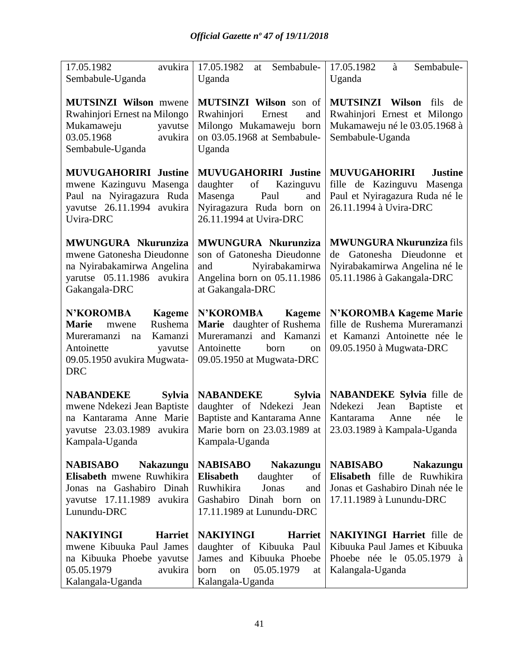| 17.05.1982<br>avukira<br>Sembabule-Uganda                                                                                                                                   | 17.05.1982<br>Sembabule-<br>at<br>Uganda                                                                                                                          | 17.05.1982<br>Sembabule-<br>à<br>Uganda                                                                                            |
|-----------------------------------------------------------------------------------------------------------------------------------------------------------------------------|-------------------------------------------------------------------------------------------------------------------------------------------------------------------|------------------------------------------------------------------------------------------------------------------------------------|
| <b>MUTSINZI Wilson</b> mwene<br>Rwahinjori Ernest na Milongo<br>Mukamaweju<br>yavutse<br>03.05.1968<br>avukira<br>Sembabule-Uganda                                          | MUTSINZI Wilson son of<br>Rwahinjori<br>Ernest<br>and<br>Milongo Mukamaweju born<br>on 03.05.1968 at Sembabule-<br>Uganda                                         | <b>MUTSINZI</b> Wilson<br>fils<br>de<br>Rwahinjori Ernest et Milongo<br>Mukamaweju né le 03.05.1968 à<br>Sembabule-Uganda          |
| <b>MUVUGAHORIRI Justine</b><br>mwene Kazinguvu Masenga<br>Paul na Nyiragazura Ruda<br>yavutse 26.11.1994 avukira<br>Uvira-DRC                                               | <b>MUVUGAHORIRI Justine</b><br>daughter<br>of<br>Kazinguvu<br>Masenga<br>Paul<br>and<br>Nyiragazura Ruda born on<br>26.11.1994 at Uvira-DRC                       | <b>MUVUGAHORIRI</b><br><b>Justine</b><br>fille de Kazinguvu Masenga<br>Paul et Nyiragazura Ruda né le<br>26.11.1994 à Uvira-DRC    |
| MWUNGURA Nkurunziza<br>mwene Gatonesha Dieudonne<br>na Nyirabakamirwa Angelina<br>yarutse 05.11.1986 avukira<br>Gakangala-DRC                                               | MWUNGURA Nkurunziza<br>son of Gatonesha Dieudonne<br>Nyirabakamirwa<br>and<br>Angelina born on 05.11.1986<br>at Gakangala-DRC                                     | <b>MWUNGURA Nkurunziza fils</b><br>Gatonesha Dieudonne<br>de<br>et<br>Nyirabakamirwa Angelina né le<br>05.11.1986 à Gakangala-DRC  |
| <b>N'KOROMBA</b><br><b>Kageme</b><br>Rushema<br><b>Marie</b><br>mwene<br>Kamanzi<br>Mureramanzi<br>na<br>Antoinette<br>yavutse<br>09.05.1950 avukira Mugwata-<br><b>DRC</b> | <b>N'KOROMBA</b><br>Kageme<br>Marie daughter of Rushema<br>Mureramanzi and Kamanzi<br>Antoinette<br>born<br>on<br>09.05.1950 at Mugwata-DRC                       | N'KOROMBA Kageme Marie<br>fille de Rushema Mureramanzi<br>et Kamanzi Antoinette née le<br>09.05.1950 à Mugwata-DRC                 |
| <b>NABANDEKE</b><br><b>Sylvia</b><br>mwene Ndekezi Jean Baptiste<br>na Kantarama Anne Marie<br>yavutse 23.03.1989 avukira<br>Kampala-Uganda                                 | <b>NABANDEKE</b><br><b>Sylvia</b><br>daughter of Ndekezi Jean<br>Baptiste and Kantarama Anne<br>Marie born on 23.03.1989 at<br>Kampala-Uganda                     | NABANDEKE Sylvia fille de<br>Ndekezi<br>Jean<br>Baptiste<br>et<br>Kantarama<br>Anne<br>née<br>le<br>23.03.1989 à Kampala-Uganda    |
| <b>NABISABO</b><br><b>Nakazungu</b><br>Elisabeth mwene Ruwhikira<br>Jonas na Gashabiro Dinah<br>yavutse 17.11.1989 avukira<br>Lunundu-DRC                                   | <b>NABISABO</b><br><b>Nakazungu</b><br><b>Elisabeth</b><br>daughter<br>of<br>Ruwhikira<br>Jonas<br>and<br>Gashabiro<br>Dinah born on<br>17.11.1989 at Lunundu-DRC | <b>NABISABO</b><br><b>Nakazungu</b><br>Elisabeth fille de Ruwhikira<br>Jonas et Gashabiro Dinah née le<br>17.11.1989 à Lunundu-DRC |
| <b>NAKIYINGI</b><br><b>Harriet</b><br>mwene Kibuuka Paul James<br>na Kibuuka Phoebe yavutse<br>05.05.1979<br>avukira<br>Kalangala-Uganda                                    | <b>NAKIYINGI</b><br><b>Harriet</b><br>daughter of Kibuuka Paul<br>James and Kibuuka Phoebe<br>05.05.1979<br>born<br>on<br>at<br>Kalangala-Uganda                  | <b>NAKIYINGI Harriet</b> fille de<br>Kibuuka Paul James et Kibuuka<br>Phoebe née le 05.05.1979 à<br>Kalangala-Uganda               |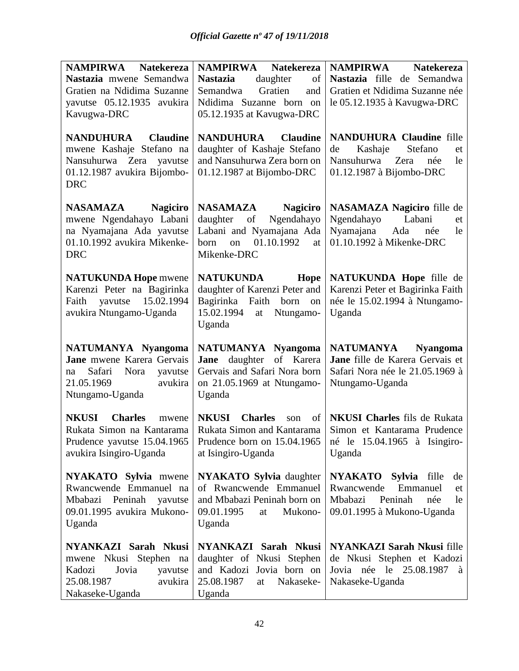| NAMPIRWA<br><b>Natekereza</b>                                                                                                           | NAMPIRWA Natekereza                                                                                                                      | <b>NAMPIRWA</b><br><b>Natekereza</b>                                                                                                       |
|-----------------------------------------------------------------------------------------------------------------------------------------|------------------------------------------------------------------------------------------------------------------------------------------|--------------------------------------------------------------------------------------------------------------------------------------------|
| Nastazia mwene Semandwa                                                                                                                 | <b>Nastazia</b><br>daughter<br>of                                                                                                        | Nastazia fille de Semandwa                                                                                                                 |
| Gratien na Ndidima Suzanne                                                                                                              | Gratien<br>Semandwa<br>and                                                                                                               | Gratien et Ndidima Suzanne née                                                                                                             |
| yavutse 05.12.1935 avukira                                                                                                              | Ndidima Suzanne born on                                                                                                                  | le 05.12.1935 à Kavugwa-DRC                                                                                                                |
| Kavugwa-DRC                                                                                                                             | 05.12.1935 at Kavugwa-DRC                                                                                                                |                                                                                                                                            |
| <b>NANDUHURA</b><br><b>Claudine</b><br>mwene Kashaje Stefano na<br>Nansuhurwa Zera yavutse<br>01.12.1987 avukira Bijombo-<br><b>DRC</b> | <b>NANDUHURA</b> Claudine<br>daughter of Kashaje Stefano<br>and Nansuhurwa Zera born on<br>01.12.1987 at Bijombo-DRC                     | <b>NANDUHURA Claudine fille</b><br>Stefano<br>Kashaje<br>de<br>et<br>Nansuhurwa Zera<br>née<br>le<br>01.12.1987 à Bijombo-DRC              |
| NASAMAZA<br><b>Nagiciro</b><br>mwene Ngendahayo Labani<br>na Nyamajana Ada yavutse<br>01.10.1992 avukira Mikenke-<br><b>DRC</b>         | <b>Nagiciro</b><br>NASAMAZA<br>Ngendahayo<br>daughter<br>of<br>Labani and Nyamajana Ada<br>01.10.1992<br>on<br>born<br>at<br>Mikenke-DRC | NASAMAZA Nagiciro fille de<br>Ngendahayo<br>Labani<br>et<br>Nyamajana Ada<br>née<br>le<br>01.10.1992 à Mikenke-DRC                         |
| <b>NATUKUNDA Hope mwene</b><br>Karenzi Peter na Bagirinka<br>Faith yavutse 15.02.1994<br>avukira Ntungamo-Uganda                        | <b>NATUKUNDA</b><br>Hope<br>daughter of Karenzi Peter and<br>Bagirinka Faith born<br>on<br>15.02.1994<br>Ntungamo-<br>at<br>Uganda       | NATUKUNDA Hope fille de<br>Karenzi Peter et Bagirinka Faith<br>née le 15.02.1994 à Ntungamo-<br>Uganda                                     |
| <b>NATUMANYA Nyangoma</b><br>Jane mwene Karera Gervais<br>Safari Nora<br>yavutse<br>na<br>21.05.1969<br>avukira<br>Ntungamo-Uganda      | NATUMANYA Nyangoma<br>Jane daughter of Karera<br>Gervais and Safari Nora born<br>on 21.05.1969 at Ntungamo-<br>Uganda                    | NATUMANYA<br><b>Nyangoma</b><br>Jane fille de Karera Gervais et<br>Safari Nora née le 21.05.1969 à<br>Ntungamo-Uganda                      |
| <b>Charles</b><br><b>NKUSI</b><br>mwene<br>Rukata Simon na Kantarama<br>Prudence yavutse 15.04.1965<br>avukira Isingiro-Uganda          | <b>NKUSI</b><br><b>Charles</b><br>of  <br>son<br>Rukata Simon and Kantarama<br>at Isingiro-Uganda                                        | <b>NKUSI Charles</b> fils de Rukata<br>Simon et Kantarama Prudence<br>Prudence born on 15.04.1965   né le 15.04.1965 à Isingiro-<br>Uganda |
| <b>NYAKATO</b> Sylvia mwene<br>Rwancwende Emmanuel na<br>Mbabazi Peninah<br>yavutse<br>09.01.1995 avukira Mukono-<br>Uganda             | <b>NYAKATO</b> Sylvia daughter<br>of Rwancwende Emmanuel<br>and Mbabazi Peninah born on<br>09.01.1995<br>Mukono-<br>at<br>Uganda         | NYAKATO Sylvia fille<br>de<br>Emmanuel<br>Rwancwende<br>et<br>Peninah<br>Mbabazi<br>née<br>le<br>09.01.1995 à Mukono-Uganda                |
| NYANKAZI Sarah Nkusi<br>mwene Nkusi Stephen na<br>Kadozi<br>Jovia<br>yavutse<br>25.08.1987<br>avukira<br>Nakaseke-Uganda                | NYANKAZI Sarah Nkusi<br>daughter of Nkusi Stephen<br>and Kadozi Jovia born on<br>25.08.1987<br>Nakaseke-<br>at<br>Uganda                 | <b>NYANKAZI Sarah Nkusi fille</b><br>de Nkusi Stephen et Kadozi<br>Jovia née le 25.08.1987 à<br>Nakaseke-Uganda                            |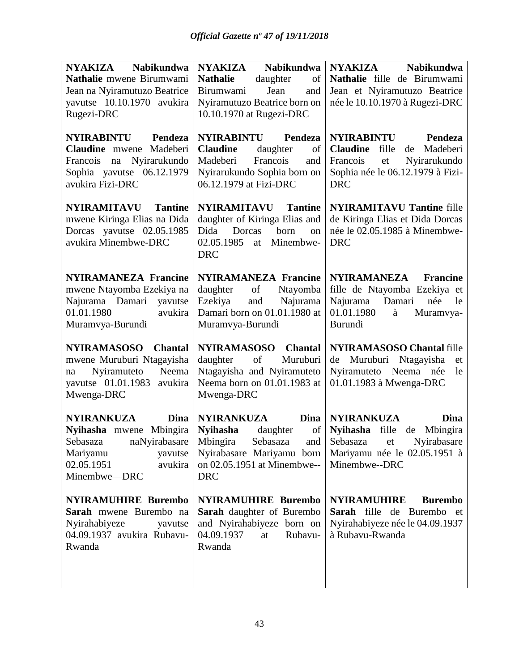| <b>Nabikundwa</b><br>NYAKIZA                            | <b>Nabikundwa</b><br><b>NYAKIZA</b>                      | <b>NYAKIZA</b><br><b>Nabikundwa</b>                         |
|---------------------------------------------------------|----------------------------------------------------------|-------------------------------------------------------------|
| Nathalie mwene Birumwami                                | <b>Nathalie</b><br>daughter<br>of                        | Nathalie fille de Birumwami                                 |
| Jean na Nyiramutuzo Beatrice                            | Birumwami<br>Jean<br>and                                 | Jean et Nyiramutuzo Beatrice                                |
| yavutse 10.10.1970 avukira                              | Nyiramutuzo Beatrice born on                             | née le 10.10.1970 à Rugezi-DRC                              |
| Rugezi-DRC                                              | 10.10.1970 at Rugezi-DRC                                 |                                                             |
| <b>NYIRABINTU</b><br>Pendeza                            | NYIRABINTU<br>Pendeza                                    | <b>NYIRABINTU</b><br>Pendeza                                |
| Claudine mwene Madeberi                                 | <b>Claudine</b><br>daughter<br>of                        | Claudine fille de Madeberi                                  |
| Francois na Nyirarukundo                                | Madeberi<br>Francois<br>and                              | Francois<br>et<br>Nyirarukundo                              |
| Sophia yavutse 06.12.1979                               | Nyirarukundo Sophia born on                              | Sophia née le 06.12.1979 à Fizi-                            |
| avukira Fizi-DRC                                        | 06.12.1979 at Fizi-DRC                                   | <b>DRC</b>                                                  |
|                                                         |                                                          |                                                             |
| <b>NYIRAMITAVU</b> Tantine                              | NYIRAMITAVU<br><b>Tantine</b>                            | <b>NYIRAMITAVU Tantine fille</b>                            |
| mwene Kiringa Elias na Dida                             | daughter of Kiringa Elias and                            | de Kiringa Elias et Dida Dorcas                             |
| Dorcas yavutse 02.05.1985                               | Dida<br>Dorcas<br>born<br>on                             | née le 02.05.1985 à Minembwe-                               |
| avukira Minembwe-DRC                                    | 02.05.1985 at<br>Minembwe-                               | <b>DRC</b>                                                  |
|                                                         | <b>DRC</b>                                               |                                                             |
|                                                         |                                                          |                                                             |
| <b>NYIRAMANEZA Francine</b>                             | <b>NYIRAMANEZA Francine</b>                              | NYIRAMANEZA<br><b>Francine</b>                              |
| mwene Ntayomba Ezekiya na                               | daughter<br>of<br>Ntayomba                               | fille de Ntayomba Ezekiya et                                |
| Najurama Damari yavutse                                 | Ezekiya<br>and<br>Najurama                               | Najurama<br>Damari<br>née<br>le                             |
| 01.01.1980<br>avukira                                   | Damari born on 01.01.1980 at                             | 01.01.1980<br>Muramvya-<br>à                                |
| Muramvya-Burundi                                        | Muramvya-Burundi                                         | Burundi                                                     |
|                                                         |                                                          |                                                             |
| <b>NYIRAMASOSO</b><br><b>Chantal</b>                    | <b>NYIRAMASOSO</b><br><b>Chantal</b>                     | <b>NYIRAMASOSO Chantal fille</b>                            |
| mwene Muruburi Ntagayisha<br>Neema<br>Nyiramuteto<br>na | of<br>Muruburi<br>daughter<br>Ntagayisha and Nyiramuteto | de Muruburi Ntagayisha<br>et<br>Nyiramuteto Neema née<br>le |
| yavutse 01.01.1983<br>avukira                           | Neema born on 01.01.1983 at                              | 01.01.1983 à Mwenga-DRC                                     |
| Mwenga-DRC                                              | Mwenga-DRC                                               |                                                             |
|                                                         |                                                          |                                                             |
| <b>NYIRANKUZA</b><br>Dina                               | <b>NYIRANKUZA</b><br>Dina                                | <b>NYIRANKUZA</b><br>Dina                                   |
| Nyihasha mwene Mbingira                                 | Nyihasha daughter                                        | of Nyihasha fille de Mbingira                               |
| Sebasaza naNyirabasare                                  |                                                          | Mbingira Sebasaza and Sebasaza et Nyirabasare               |
| Mariyamu<br>yavutse                                     | Nyirabasare Mariyamu born                                | Mariyamu née le 02.05.1951 à                                |
| 02.05.1951<br>avukira                                   | on 02.05.1951 at Minembwe--                              | Minembwe--DRC                                               |
| Minembwe-DRC                                            | <b>DRC</b>                                               |                                                             |
| <b>NYIRAMUHIRE Burembo</b>                              | <b>NYIRAMUHIRE Burembo</b>                               | <b>NYIRAMUHIRE</b><br><b>Burembo</b>                        |
| Sarah mwene Burembo na                                  | Sarah daughter of Burembo                                | Sarah fille de Burembo et                                   |
| Nyirahabiyeze<br>yavutse                                | and Nyirahabiyeze born on                                | Nyirahabiyeze née le 04.09.1937                             |
| 04.09.1937 avukira Rubavu-                              | 04.09.1937<br>Rubavu-<br>at                              | à Rubavu-Rwanda                                             |
| Rwanda                                                  | Rwanda                                                   |                                                             |
|                                                         |                                                          |                                                             |
|                                                         |                                                          |                                                             |
|                                                         |                                                          |                                                             |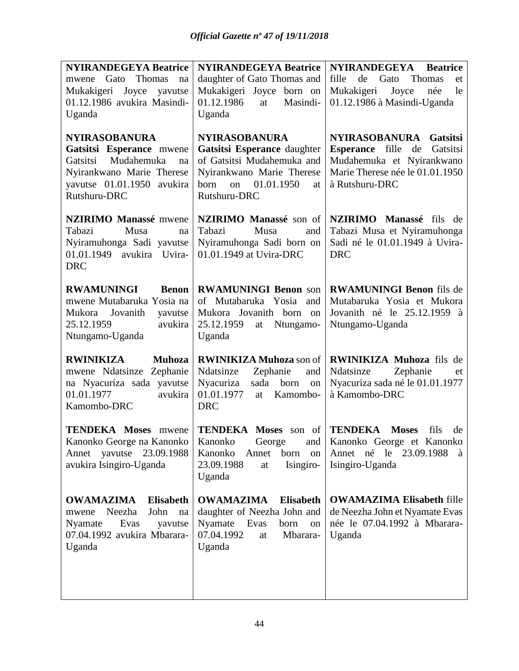| <b>NYIRANDEGEYA Beatrice</b>                                                                                                                                | <b>NYIRANDEGEYA Beatrice</b>                                                                                                                                     | <b>NYIRANDEGEYA</b><br><b>Beatrice</b>                                                                                                                      |
|-------------------------------------------------------------------------------------------------------------------------------------------------------------|------------------------------------------------------------------------------------------------------------------------------------------------------------------|-------------------------------------------------------------------------------------------------------------------------------------------------------------|
| mwene Gato Thomas<br>na                                                                                                                                     | daughter of Gato Thomas and                                                                                                                                      | fille<br>de Gato<br>Thomas<br>et                                                                                                                            |
| Mukakigeri Joyce yavutse                                                                                                                                    | Mukakigeri Joyce born on                                                                                                                                         | Mukakigeri<br>Joyce<br>née<br>le                                                                                                                            |
| 01.12.1986 avukira Masindi-                                                                                                                                 | 01.12.1986<br>Masindi-<br>at                                                                                                                                     | 01.12.1986 à Masindi-Uganda                                                                                                                                 |
| Uganda                                                                                                                                                      | Uganda                                                                                                                                                           |                                                                                                                                                             |
| <b>NYIRASOBANURA</b><br>Gatsitsi Esperance mwene<br>Mudahemuka<br>Gatsitsi<br>na<br>Nyirankwano Marie Therese<br>yavutse 01.01.1950 avukira<br>Rutshuru-DRC | <b>NYIRASOBANURA</b><br>Gatsitsi Esperance daughter<br>of Gatsitsi Mudahemuka and<br>Nyirankwano Marie Therese<br>01.01.1950<br>born<br>on<br>at<br>Rutshuru-DRC | <b>NYIRASOBANURA</b><br><b>Gatsitsi</b><br>Esperance fille de<br>Gatsitsi<br>Mudahemuka et Nyirankwano<br>Marie Therese née le 01.01.1950<br>à Rutshuru-DRC |
| <b>NZIRIMO Manassé mwene</b><br>Tabazi<br>Musa<br>na<br>Nyiramuhonga Sadi yavutse<br>01.01.1949 avukira Uvira-<br><b>DRC</b>                                | NZIRIMO Manassé son of<br>Tabazi<br>Musa<br>and<br>Nyiramuhonga Sadi born on<br>01.01.1949 at Uvira-DRC                                                          | NZIRIMO Manassé fils de<br>Tabazi Musa et Nyiramuhonga<br>Sadi né le 01.01.1949 à Uvira-<br><b>DRC</b>                                                      |
| <b>Benon</b><br><b>RWAMUNINGI</b><br>mwene Mutabaruka Yosia na<br>Mukora<br>Jovanith<br>yavutse<br>25.12.1959<br>avukira<br>Ntungamo-Uganda                 | <b>RWAMUNINGI Benon son</b><br>of Mutabaruka Yosia and<br>Mukora Jovanith born on<br>25.12.1959<br>Ntungamo-<br>at<br>Uganda                                     | <b>RWAMUNINGI Benon</b> fils de<br>Mutabaruka Yosia et Mukora<br>Jovanith né le 25.12.1959 à<br>Ntungamo-Uganda                                             |
| <b>RWINIKIZA</b><br><b>Muhoza</b><br>mwene Ndatsinze Zephanie<br>na Nyacuriza sada yavutse<br>01.01.1977<br>avukira<br>Kamombo-DRC                          | <b>RWINIKIZA Muhoza</b> son of<br>Ndatsinze<br>Zephanie<br>and<br>Nyacuriza<br>born<br>sada<br>on<br>01.01.1977<br>Kamombo-<br>at<br><b>DRC</b>                  | <b>RWINIKIZA Muhoza</b> fils de<br>Ndatsinze<br>Zephanie<br>et<br>Nyacuriza sada né le 01.01.1977<br>à Kamombo-DRC                                          |
| <b>TENDEKA Moses</b> mwene<br>Kanonko George na Kanonko  <br>yavutse<br>23.09.1988<br>Annet<br>avukira Isingiro-Uganda                                      | <b>TENDEKA Moses</b> son of <b>TENDEKA</b> Moses<br>Kanonko<br>born<br>Annet<br><sub>on</sub><br>Isingiro-<br>23.09.1988<br>at<br>Uganda                         | fils<br>de<br>Kanonko George and Kanonko George et Kanonko<br>Annet né le<br>23.09.1988<br>à<br>Isingiro-Uganda                                             |
| <b>OWAMAZIMA</b><br><b>Elisabeth</b><br>Neezha<br>John<br>na<br>mwene<br>Nyamate<br>Evas<br>yavutse<br>07.04.1992 avukira Mbarara-<br>Uganda                | <b>OWAMAZIMA</b><br><b>Elisabeth</b><br>daughter of Neezha John and<br>Nyamate<br>Evas<br>born<br>on<br>07.04.1992<br>Mbarara-<br>at<br>Uganda                   | <b>OWAMAZIMA Elisabeth fille</b><br>de Neezha John et Nyamate Evas<br>née le 07.04.1992 à Mbarara-<br>Uganda                                                |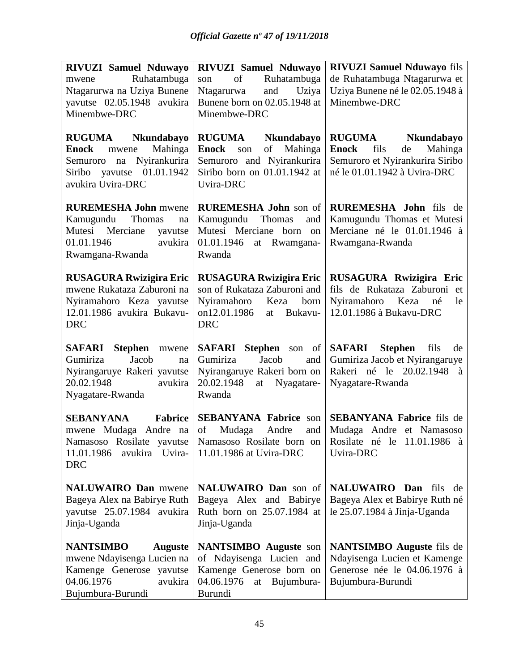| <b>RIVUZI Samuel Nduwayo</b>                                                                                                               | <b>RIVUZI Samuel Nduwayo</b>                                                                                                               | <b>RIVUZI Samuel Nduwayo fils</b>                                                                                                  |
|--------------------------------------------------------------------------------------------------------------------------------------------|--------------------------------------------------------------------------------------------------------------------------------------------|------------------------------------------------------------------------------------------------------------------------------------|
| Ruhatambuga<br>mwene                                                                                                                       | Ruhatambuga<br>of<br>son                                                                                                                   | de Ruhatambuga Ntagarurwa et                                                                                                       |
| Ntagarurwa na Uziya Bunene                                                                                                                 | and Uziya<br>Ntagarurwa                                                                                                                    | Uziya Bunene né le 02.05.1948 à                                                                                                    |
| yavutse 02.05.1948 avukira                                                                                                                 | Bunene born on 02.05.1948 at                                                                                                               | Minembwe-DRC                                                                                                                       |
| Minembwe-DRC                                                                                                                               | Minembwe-DRC                                                                                                                               |                                                                                                                                    |
| RUGUMA Nkundabayo<br>Mahinga<br><b>Enock</b> mwene<br>Semuroro na Nyirankurira<br>Siribo yavutse 01.01.1942<br>avukira Uvira-DRC           | <b>RUGUMA</b><br>Nkundabayo<br>of<br>Mahinga<br><b>Enock</b> son<br>Semuroro and Nyirankurira<br>Siribo born on 01.01.1942 at<br>Uvira-DRC | RUGUMA Nkundabayo<br><b>Enock</b><br>fils<br>de<br>Mahinga<br>Semuroro et Nyirankurira Siribo<br>né le 01.01.1942 à Uvira-DRC      |
| <b>RUREMESHA John</b> mwene<br>Kamugundu<br>Thomas<br>na<br>Mutesi Merciane<br>yavutse<br>01.01.1946<br>avukira<br>Rwamgana-Rwanda         | <b>RUREMESHA John son of</b><br>Thomas<br>Kamugundu<br>and<br>Mutesi Merciane born on<br>01.01.1946<br>at Rwamgana-<br>Rwanda              | RUREMESHA John fils de<br>Kamugundu Thomas et Mutesi<br>Merciane né le 01.01.1946 à<br>Rwamgana-Rwanda                             |
| <b>RUSAGURA Rwizigira Eric</b><br>mwene Rukataza Zaburoni na<br>Nyiramahoro Keza yavutse<br>12.01.1986 avukira Bukavu-<br><b>DRC</b>       | <b>RUSAGURA Rwizigira Eric</b><br>son of Rukataza Zaburoni and<br>Nyiramahoro Keza<br>born<br>on12.01.1986<br>Bukavu-<br>at<br><b>DRC</b>  | RUSAGURA Rwizigira Eric<br>fils de Rukataza Zaburoni et<br>Nyiramahoro Keza<br>né<br>le<br>12.01.1986 à Bukavu-DRC                 |
| SAFARI Stephen<br>mwene<br>Gumiriza<br>Jacob<br>na<br>Nyirangaruye Rakeri yavutse<br>20.02.1948<br>avukira<br>Nyagatare-Rwanda             | <b>SAFARI</b> Stephen son of<br>Gumiriza<br>Jacob<br>and<br>Nyirangaruye Rakeri born on<br>20.02.1948<br>at Nyagatare-<br>Rwanda           | SAFARI<br><b>Stephen</b><br>fils<br>de<br>Gumiriza Jacob et Nyirangaruye<br>Rakeri né le 20.02.1948 à<br>Nyagatare-Rwanda          |
| Fabrice<br><b>SEBANYANA</b><br>mwene Mudaga Andre na<br>Namasoso Rosilate yavutse<br>avukira Uvira-<br>11.01.1986<br><b>DRC</b>            | <b>SEBANYANA Fabrice son</b><br>of<br>Mudaga<br>Andre<br>and<br>11.01.1986 at Uvira-DRC                                                    | <b>SEBANYANA Fabrice fils de</b><br>Mudaga Andre et Namasoso<br>Namasoso Rosilate born on Rosilate né le 11.01.1986 à<br>Uvira-DRC |
| <b>NALUWAIRO Dan</b> mwene<br>Bageya Alex na Babirye Ruth<br>yavutse 25.07.1984 avukira<br>Jinja-Uganda                                    | NALUWAIRO Dan son of<br>Bageya Alex and Babirye<br>Ruth born on 25.07.1984 at<br>Jinja-Uganda                                              | NALUWAIRO Dan fils de<br>Bageya Alex et Babirye Ruth né<br>le $25.07.1984$ à Jinja-Uganda                                          |
| <b>NANTSIMBO</b><br><b>Auguste</b><br>mwene Ndayisenga Lucien na<br>Kamenge Generose yavutse<br>04.06.1976<br>avukira<br>Bujumbura-Burundi | <b>NANTSIMBO</b> Auguste son<br>of Ndayisenga Lucien and<br>Kamenge Generose born on<br>04.06.1976<br>at<br>Bujumbura-<br>Burundi          | <b>NANTSIMBO</b> Auguste fils de<br>Ndayisenga Lucien et Kamenge<br>Generose née le 04.06.1976 à<br>Bujumbura-Burundi              |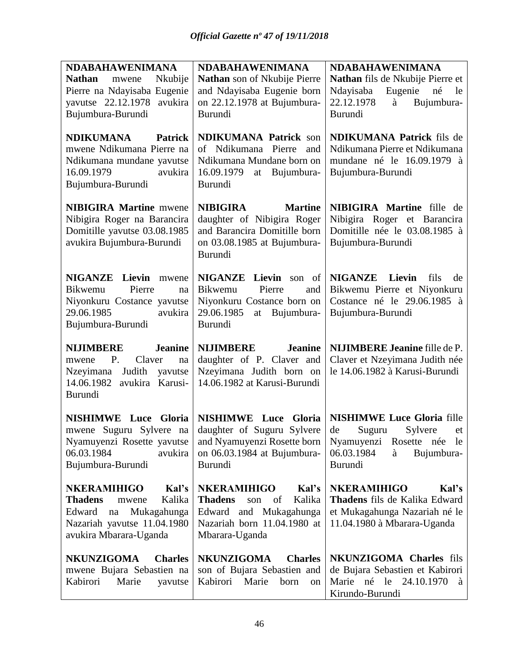| <b>NDABAHAWENIMANA</b>                                                                                                                     | <b>NDABAHAWENIMANA</b>                                                                                                                    | <b>NDABAHAWENIMANA</b>                                                                                               |
|--------------------------------------------------------------------------------------------------------------------------------------------|-------------------------------------------------------------------------------------------------------------------------------------------|----------------------------------------------------------------------------------------------------------------------|
| <b>Nathan</b><br>Nkubije<br>mwene                                                                                                          | Nathan son of Nkubije Pierre                                                                                                              | Nathan fils de Nkubije Pierre et                                                                                     |
| Pierre na Ndayisaba Eugenie                                                                                                                | and Ndayisaba Eugenie born                                                                                                                | Ndayisaba<br>Eugenie<br>né<br>le                                                                                     |
| yavutse 22.12.1978 avukira                                                                                                                 | on 22.12.1978 at Bujumbura-                                                                                                               | 22.12.1978<br>à<br>Bujumbura-                                                                                        |
| Bujumbura-Burundi                                                                                                                          | <b>Burundi</b>                                                                                                                            | <b>Burundi</b>                                                                                                       |
| <b>NDIKUMANA</b><br><b>Patrick</b><br>mwene Ndikumana Pierre na<br>Ndikumana mundane yavutse<br>avukira<br>16.09.1979<br>Bujumbura-Burundi | <b>NDIKUMANA Patrick son</b><br>of Ndikumana Pierre<br>and<br>Ndikumana Mundane born on<br>16.09.1979<br>at Bujumbura-<br>Burundi         | <b>NDIKUMANA Patrick fils de</b><br>Ndikumana Pierre et Ndikumana<br>mundane né le 16.09.1979 à<br>Bujumbura-Burundi |
| <b>NIBIGIRA Martine mwene</b><br>Nibigira Roger na Barancira<br>Domitille yavutse 03.08.1985<br>avukira Bujumbura-Burundi                  | <b>NIBIGIRA</b><br><b>Martine</b><br>daughter of Nibigira Roger<br>and Barancira Domitille born<br>on 03.08.1985 at Bujumbura-<br>Burundi | NIBIGIRA Martine fille de<br>Nibigira Roger et Barancira<br>Domitille née le 03.08.1985 à<br>Bujumbura-Burundi       |
| <b>NIGANZE</b> Lievin mwene                                                                                                                | NIGANZE Lievin son of                                                                                                                     | <b>NIGANZE</b> Lievin<br>fils<br>de                                                                                  |
| Pierre<br>Bikwemu<br>na                                                                                                                    | Bikwemu<br>Pierre<br>and                                                                                                                  | Bikwemu Pierre et Niyonkuru                                                                                          |
| Niyonkuru Costance yavutse                                                                                                                 | Niyonkuru Costance born on                                                                                                                | Costance né le 29.06.1985 à                                                                                          |
| 29.06.1985<br>avukira                                                                                                                      | 29.06.1985<br>at Bujumbura-                                                                                                               | Bujumbura-Burundi                                                                                                    |
| Bujumbura-Burundi                                                                                                                          | <b>Burundi</b>                                                                                                                            |                                                                                                                      |
| <b>NIJIMBERE</b><br><b>Jeanine</b><br>P.<br>Claver<br>mwene<br>na                                                                          | <b>NIJIMBERE</b><br><b>Jeanine</b><br>daughter of P. Claver and                                                                           | <b>NIJIMBERE Jeanine fille de P.</b><br>Claver et Nzeyimana Judith née                                               |
| Nzeyimana<br>Judith yavutse<br>14.06.1982<br>avukira Karusi-<br>Burundi                                                                    | Nzeyimana Judith born on<br>14.06.1982 at Karusi-Burundi                                                                                  | le 14.06.1982 à Karusi-Burundi                                                                                       |
| <b>NISHIMWE Luce Gloria</b>                                                                                                                | <b>NISHIMWE</b> Luce<br>Gloria                                                                                                            | <b>NISHIMWE Luce Gloria fille</b>                                                                                    |
| mwene Suguru Sylvere na                                                                                                                    | daughter of Suguru Sylvere                                                                                                                | de<br>Suguru<br>Sylvere<br>et                                                                                        |
|                                                                                                                                            |                                                                                                                                           |                                                                                                                      |
|                                                                                                                                            |                                                                                                                                           |                                                                                                                      |
| 06.03.1984<br>avukira                                                                                                                      | Nyamuyenzi Rosette yavutse   and Nyamuyenzi Rosette born                                                                                  | Nyamuyenzi Rosette née le<br>06.03.1984<br>à                                                                         |
| Bujumbura-Burundi                                                                                                                          | on 06.03.1984 at Bujumbura-<br>Burundi                                                                                                    | Bujumbura-<br>Burundi                                                                                                |
|                                                                                                                                            |                                                                                                                                           |                                                                                                                      |
| <b>NKERAMIHIGO</b><br>Kal's                                                                                                                | <b>NKERAMIHIGO</b><br>Kal's                                                                                                               | <b>NKERAMIHIGO</b><br>Kal's                                                                                          |
| <b>Thadens</b><br>Kalika<br>mwene                                                                                                          | <b>Thadens</b><br>Kalika<br>son<br>of                                                                                                     | Thadens fils de Kalika Edward                                                                                        |
| Edward<br>Mukagahunga<br>na                                                                                                                | and Mukagahunga<br>Edward                                                                                                                 | et Mukagahunga Nazariah né le                                                                                        |
| Nazariah yavutse 11.04.1980<br>avukira Mbarara-Uganda                                                                                      | Nazariah born 11.04.1980 at<br>Mbarara-Uganda                                                                                             | 11.04.1980 à Mbarara-Uganda                                                                                          |
|                                                                                                                                            |                                                                                                                                           |                                                                                                                      |
| <b>NKUNZIGOMA</b><br><b>Charles</b>                                                                                                        | <b>NKUNZIGOMA</b><br><b>Charles</b>                                                                                                       | NKUNZIGOMA Charles fils                                                                                              |
| mwene Bujara Sebastien na<br>Kabirori<br>Marie<br>yavutse                                                                                  | son of Bujara Sebastien and<br>Kabirori Marie<br>born<br>on                                                                               | de Bujara Sebastien et Kabirori<br>Marie né le 24.10.1970<br>à                                                       |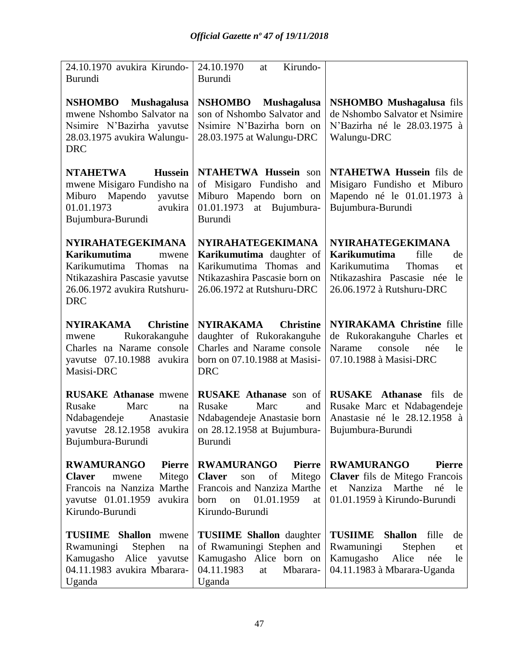| 24.10.1970 avukira Kirundo-<br>Burundi                                                                                                                                  | 24.10.1970<br>Kirundo-<br>at<br>Burundi                                                                                                                        |                                                                                                                                                                |
|-------------------------------------------------------------------------------------------------------------------------------------------------------------------------|----------------------------------------------------------------------------------------------------------------------------------------------------------------|----------------------------------------------------------------------------------------------------------------------------------------------------------------|
| <b>NSHOMBO</b><br><b>Mushagalusa</b><br>mwene Nshombo Salvator na<br>Nsimire N'Bazirha yavutse<br>28.03.1975 avukira Walungu-<br><b>DRC</b>                             | <b>NSHOMBO</b><br><b>Mushagalusa</b><br>son of Nshombo Salvator and<br>Nsimire N'Bazirha born on<br>28.03.1975 at Walungu-DRC                                  | <b>NSHOMBO</b> Mushagalusa fils<br>de Nshombo Salvator et Nsimire<br>N'Bazirha né le 28.03.1975 à<br>Walungu-DRC                                               |
| <b>NTAHETWA</b><br><b>Hussein</b><br>mwene Misigaro Fundisho na<br>Miburo Mapendo<br>yavutse<br>01.01.1973<br>avukira<br>Bujumbura-Burundi                              | NTAHETWA Hussein son<br>of Misigaro Fundisho<br>and<br>Miburo Mapendo born on<br>01.01.1973<br>at Bujumbura-<br><b>Burundi</b>                                 | NTAHETWA Hussein fils de<br>Misigaro Fundisho et Miburo<br>Mapendo né le 01.01.1973 à<br>Bujumbura-Burundi                                                     |
| <b>NYIRAHATEGEKIMANA</b><br><b>Karikumutima</b><br>mwene<br>Karikumutima<br>Thomas<br>na<br>Ntikazashira Pascasie yavutse<br>26.06.1972 avukira Rutshuru-<br><b>DRC</b> | <b>NYIRAHATEGEKIMANA</b><br>Karikumutima daughter of<br>Karikumutima Thomas and<br>Ntikazashira Pascasie born on<br>26.06.1972 at Rutshuru-DRC                 | <b>NYIRAHATEGEKIMANA</b><br><b>Karikumutima</b><br>fille<br>de<br>Karikumutima<br>Thomas<br>et<br>Ntikazashira Pascasie née<br>le<br>26.06.1972 à Rutshuru-DRC |
| <b>NYIRAKAMA</b><br><b>Christine</b><br>Rukorakanguhe<br>mwene<br>Charles na Narame console<br>yavutse 07.10.1988 avukira<br>Masisi-DRC                                 | NYIRAKAMA<br><b>Christine</b><br>daughter of Rukorakanguhe<br>Charles and Narame console<br>born on 07.10.1988 at Masisi-<br><b>DRC</b>                        | <b>NYIRAKAMA Christine fille</b><br>de Rukorakanguhe Charles et<br>console<br>Narame<br>née<br>le<br>07.10.1988 à Masisi-DRC                                   |
| <b>RUSAKE Athanase mwene</b><br>Rusake<br>Marc<br>na<br>Ndabagendeje<br>Anastasie<br>yavutse 28.12.1958 avukira<br>Bujumbura-Burundi                                    | RUSAKE Athanase son of<br>Rusake<br>Marc<br>and<br>Ndabagendeje Anastasie born<br>on 28.12.1958 at Bujumbura-<br>Burundi                                       | <b>RUSAKE</b> Athanase<br>fils<br>de<br>Rusake Marc et Ndabagendeje<br>Anastasie né le 28.12.1958 à<br>Bujumbura-Burundi                                       |
| <b>RWAMURANGO</b><br><b>Pierre</b><br>Mitego<br><b>Claver</b><br>mwene<br>Francois na Nanziza Marthe<br>yavutse 01.01.1959<br>avukira<br>Kirundo-Burundi                | <b>RWAMURANGO</b><br><b>Pierre</b><br><b>Claver</b><br>of<br>Mitego<br>son<br>Francois and Nanziza Marthe<br>01.01.1959<br>on<br>born<br>at<br>Kirundo-Burundi | <b>RWAMURANGO</b><br><b>Pierre</b><br>Claver fils de Mitego Francois<br>Nanziza Marthe<br>né<br>le<br>et<br>01.01.1959 à Kirundo-Burundi                       |
| <b>TUSIIME</b> Shallon mwene<br>Rwamuningi<br>Stephen<br>$\operatorname{na}$<br>Kamugasho Alice yavutse<br>04.11.1983 avukira Mbarara-<br>Uganda                        | <b>TUSIIME Shallon</b> daughter<br>of Rwamuningi Stephen and<br>Kamugasho Alice born on<br>04.11.1983<br>at<br>Mbarara-<br>Uganda                              | <b>TUSIIME</b><br><b>Shallon</b><br>fille<br>de<br>Rwamuningi<br>Stephen<br>et<br>Kamugasho<br>Alice<br>née<br>le<br>04.11.1983 à Mbarara-Uganda               |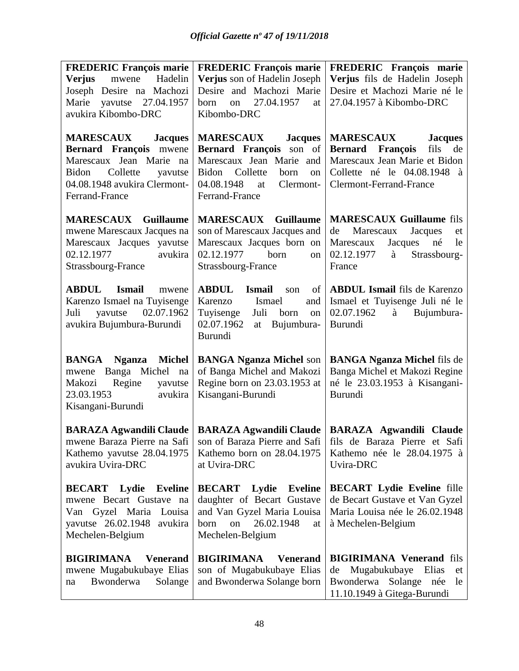| <b>FREDERIC François marie</b>                                                                                                                                            | <b>FREDERIC François marie</b>                                                                                                                                               | FREDERIC François marie                                                                                                                                                                                                |
|---------------------------------------------------------------------------------------------------------------------------------------------------------------------------|------------------------------------------------------------------------------------------------------------------------------------------------------------------------------|------------------------------------------------------------------------------------------------------------------------------------------------------------------------------------------------------------------------|
| Verjus<br>mwene<br>Hadelin                                                                                                                                                | Verjus son of Hadelin Joseph                                                                                                                                                 | Verjus fils de Hadelin Joseph                                                                                                                                                                                          |
| Joseph Desire na Machozi                                                                                                                                                  | Desire and Machozi Marie                                                                                                                                                     | Desire et Machozi Marie né le                                                                                                                                                                                          |
| Marie yavutse 27.04.1957                                                                                                                                                  | 27.04.1957<br>born<br>on<br>at                                                                                                                                               | 27.04.1957 à Kibombo-DRC                                                                                                                                                                                               |
| avukira Kibombo-DRC                                                                                                                                                       | Kibombo-DRC                                                                                                                                                                  |                                                                                                                                                                                                                        |
| <b>MARESCAUX</b><br><b>Jacques</b><br>Bernard François mwene<br>Marescaux Jean Marie na<br>Bidon<br>Collette<br>yavutse<br>04.08.1948 avukira Clermont-<br>Ferrand-France | <b>MARESCAUX</b><br><b>Jacques</b><br>Bernard François son of<br>Marescaux Jean Marie and<br>Bidon Collette<br>born<br>on<br>04.08.1948<br>Clermont-<br>at<br>Ferrand-France | <b>MARESCAUX</b><br><b>Jacques</b><br>fils<br><b>Bernard</b> François<br>de<br>Marescaux Jean Marie et Bidon<br>Collette né le 04.08.1948 à<br><b>Clermont-Ferrand-France</b>                                          |
| <b>MARESCAUX</b> Guillaume<br>mwene Marescaux Jacques na<br>Marescaux Jacques yavutse<br>02.12.1977<br>avukira<br>Strassbourg-France                                      | <b>MARESCAUX</b> Guillaume<br>son of Marescaux Jacques and<br>Marescaux Jacques born on<br>02.12.1977<br>born<br>on<br>Strassbourg-France                                    | <b>MARESCAUX Guillaume fils</b><br>de<br>Marescaux<br>Jacques<br>et<br>Marescaux<br>Jacques<br>né<br>le<br>02.12.1977<br>Strassbourg-<br>à<br>France                                                                   |
| <b>ABDUL</b><br><b>Ismail</b><br>mwene<br>Karenzo Ismael na Tuyisenge<br>02.07.1962<br>yavutse<br>Juli<br>avukira Bujumbura-Burundi                                       | <b>ABDUL</b><br><b>Ismail</b><br>son<br>of<br>Karenzo<br>Ismael<br>and<br>Tuyisenge<br>Juli<br>born<br>on<br>02.07.1962<br>Bujumbura-<br>at<br><b>Burundi</b>                | <b>ABDUL Ismail</b> fils de Karenzo<br>Ismael et Tuyisenge Juli né le<br>02.07.1962<br>à Bujumbura-<br>Burundi                                                                                                         |
| <b>BANGA</b> Nganza<br>Michel<br>Banga Michel na<br>mwene<br>Regine<br>Makozi<br>yavutse<br>23.03.1953<br>avukira<br>Kisangani-Burundi                                    | <b>BANGA Nganza Michel son</b><br>of Banga Michel and Makozi<br>Regine born on 23.03.1953 at<br>Kisangani-Burundi                                                            | <b>BANGA Nganza Michel fils de</b><br>Banga Michel et Makozi Regine<br>né le 23.03.1953 à Kisangani-<br>Burundi                                                                                                        |
| Kathemo yavutse 28.04.1975<br>avukira Uvira-DRC                                                                                                                           | Kathemo born on 28.04.1975<br>at Uvira-DRC                                                                                                                                   | BARAZA Agwandili Claude   BARAZA Agwandili Claude   BARAZA Agwandili Claude<br>mwene Baraza Pierre na Safi   son of Baraza Pierre and Safi   fils de Baraza Pierre et Safi<br>Kathemo née le 28.04.1975 à<br>Uvira-DRC |
| <b>BECART</b> Lydie Eveline<br>mwene Becart Gustave na<br>Van Gyzel Maria Louisa<br>yavutse 26.02.1948 avukira<br>Mechelen-Belgium                                        | <b>BECART</b> Lydie<br><b>Eveline</b><br>daughter of Becart Gustave<br>and Van Gyzel Maria Louisa<br>26.02.1948<br>on<br>born<br>at<br>Mechelen-Belgium                      | <b>BECART Lydie Eveline fille</b><br>de Becart Gustave et Van Gyzel<br>Maria Louisa née le 26.02.1948<br>à Mechelen-Belgium                                                                                            |
| <b>BIGIRIMANA</b><br><b>Venerand</b><br>mwene Mugabukubaye Elias<br>Bwonderwa<br>Solange<br>na                                                                            | <b>BIGIRIMANA</b><br><b>Venerand</b><br>son of Mugabukubaye Elias<br>and Bwonderwa Solange born                                                                              | <b>BIGIRIMANA Venerand fils</b><br>Mugabukubaye<br>Elias<br>de<br>et<br>Bwonderwa Solange née<br>le<br>11.10.1949 à Gitega-Burundi                                                                                     |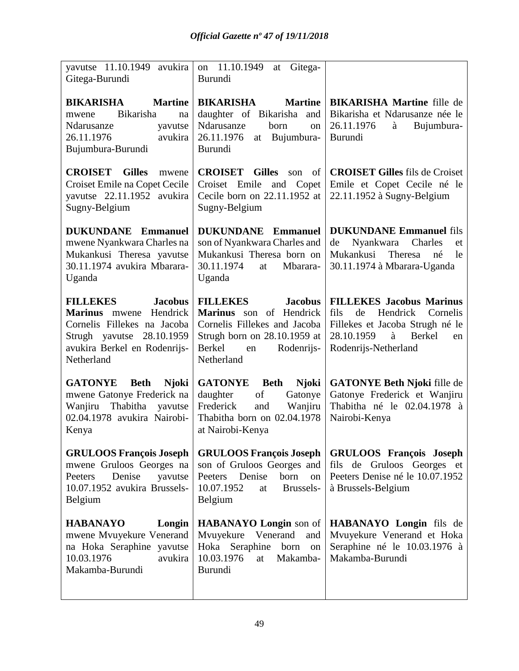| yavutse 11.10.1949 avukira<br>Gitega-Burundi                                                                                                                                       | 11.10.1949<br>Gitega-<br>on<br>at<br><b>Burundi</b>                                                                                                                             |                                                                                                                                                                     |
|------------------------------------------------------------------------------------------------------------------------------------------------------------------------------------|---------------------------------------------------------------------------------------------------------------------------------------------------------------------------------|---------------------------------------------------------------------------------------------------------------------------------------------------------------------|
| <b>BIKARISHA</b><br><b>Martine</b><br><b>Bikarisha</b><br>mwene<br>na<br>Ndarusanze<br>yavutse<br>avukira<br>26.11.1976<br>Bujumbura-Burundi                                       | <b>BIKARISHA</b><br><b>Martine</b><br>daughter of Bikarisha and<br>Ndarusanze<br>born<br>on<br>26.11.1976<br>Bujumbura-<br>at<br>Burundi                                        | <b>BIKARISHA Martine fille de</b><br>Bikarisha et Ndarusanze née le<br>26.11.1976<br>à<br>Bujumbura-<br>Burundi                                                     |
| <b>CROISET</b><br><b>Gilles</b><br>mwene<br>Croiset Emile na Copet Cecile<br>yavutse 22.11.1952 avukira<br>Sugny-Belgium                                                           | <b>CROISET</b> Gilles<br>of<br>son<br>Croiset Emile<br>and<br>Copet<br>Cecile born on 22.11.1952 at<br>Sugny-Belgium                                                            | <b>CROISET Gilles</b> fils de Croiset<br>Emile et Copet Cecile né le<br>22.11.1952 à Sugny-Belgium                                                                  |
| <b>DUKUNDANE</b><br><b>Emmanuel</b><br>mwene Nyankwara Charles na<br>Mukankusi Theresa yavutse<br>30.11.1974 avukira Mbarara-<br>Uganda                                            | <b>DUKUNDANE</b><br><b>Emmanuel</b><br>son of Nyankwara Charles and<br>Mukankusi Theresa born on<br>30.11.1974<br>Mbarara-<br>at<br>Uganda                                      | <b>DUKUNDANE Emmanuel fils</b><br>Nyankwara<br>de<br>Charles<br>et<br>Mukankusi<br>Theresa<br>né<br>le<br>30.11.1974 à Mbarara-Uganda                               |
| <b>FILLEKES</b><br><b>Jacobus</b><br><b>Marinus</b> mwene<br>Hendrick<br>Cornelis Fillekes na Jacoba<br>28.10.1959<br>Strugh yavutse<br>avukira Berkel en Rodenrijs-<br>Netherland | <b>FILLEKES</b><br><b>Jacobus</b><br>Marinus son of Hendrick<br>Cornelis Fillekes and Jacoba<br>Strugh born on 28.10.1959 at<br><b>Berkel</b><br>Rodenrijs-<br>en<br>Netherland | <b>FILLEKES Jacobus Marinus</b><br>de<br>Hendrick<br>fils<br>Cornelis<br>Fillekes et Jacoba Strugh né le<br>28.10.1959<br>Berkel<br>à<br>en<br>Rodenrijs-Netherland |
| <b>GATONYE</b><br><b>Beth</b><br><b>Njoki</b><br>mwene Gatonye Frederick na<br>Thabitha<br>Wanjiru<br>yavutse<br>02.04.1978 avukira Nairobi-<br>Kenya                              | <b>GATONYE</b><br><b>Njoki</b><br><b>Beth</b><br>of<br>daughter<br>Gatonye<br>Frederick<br>and<br>Wanjiru<br>Thabitha born on 02.04.1978<br>at Nairobi-Kenya                    | <b>GATONYE Beth Njoki fille de</b><br>Gatonye Frederick et Wanjiru<br>Thabitha né le 02.04.1978 à<br>Nairobi-Kenya                                                  |
| <b>GRULOOS François Joseph</b><br>mwene Gruloos Georges na<br>Denise<br>yavutse<br>Peeters<br>10.07.1952 avukira Brussels-<br>Belgium                                              | <b>GRULOOS François Joseph</b><br>son of Gruloos Georges and<br>Peeters Denise<br>born<br>on<br>Brussels-<br>10.07.1952<br>at<br>Belgium                                        | <b>GRULOOS</b> François Joseph<br>fils de Gruloos Georges et<br>Peeters Denise né le 10.07.1952<br>à Brussels-Belgium                                               |
| <b>HABANAYO</b><br>Longin<br>mwene Mvuyekure Venerand<br>na Hoka Seraphine yavutse<br>10.03.1976<br>avukira<br>Makamba-Burundi                                                     | <b>HABANAYO Longin</b> son of<br>Mvuyekure<br>Venerand<br>and<br>Hoka Seraphine<br>born<br>on<br>10.03.1976<br>Makamba-<br>at<br><b>Burundi</b>                                 | HABANAYO Longin fils de<br>Mvuyekure Venerand et Hoka<br>Seraphine né le 10.03.1976 à<br>Makamba-Burundi                                                            |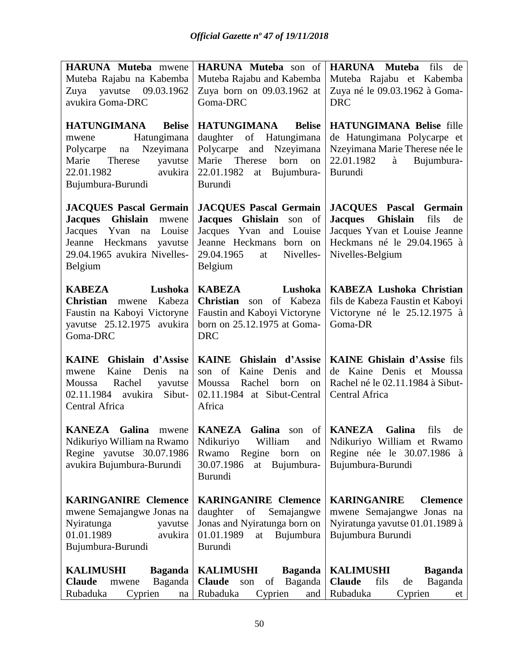| HARUNA Muteba mwene                                                                                                                                                        | HARUNA Muteba son of                                                                                                                                       | <b>HARUNA</b> Muteba<br>fils<br>de                                                                                                                            |
|----------------------------------------------------------------------------------------------------------------------------------------------------------------------------|------------------------------------------------------------------------------------------------------------------------------------------------------------|---------------------------------------------------------------------------------------------------------------------------------------------------------------|
| Muteba Rajabu na Kabemba                                                                                                                                                   | Muteba Rajabu and Kabemba                                                                                                                                  | Muteba Rajabu et Kabemba                                                                                                                                      |
| Zuya yavutse 09.03.1962                                                                                                                                                    | Zuya born on 09.03.1962 at                                                                                                                                 | Zuya né le 09.03.1962 à Goma-                                                                                                                                 |
| avukira Goma-DRC                                                                                                                                                           | Goma-DRC                                                                                                                                                   | <b>DRC</b>                                                                                                                                                    |
| <b>HATUNGIMANA</b><br><b>Belise</b>                                                                                                                                        | HATUNGIMANA<br><b>Belise</b>                                                                                                                               | <b>HATUNGIMANA Belise fille</b>                                                                                                                               |
| Hatungimana<br>mwene                                                                                                                                                       | daughter of Hatungimana                                                                                                                                    | de Hatungimana Polycarpe et                                                                                                                                   |
| Nzeyimana<br>Polycarpe<br>na                                                                                                                                               | Polycarpe<br>and<br>Nzeyimana                                                                                                                              | Nzeyimana Marie Therese née le                                                                                                                                |
| Therese<br>Marie<br>yavutse                                                                                                                                                | Marie Therese<br>born<br>on                                                                                                                                | 22.01.1982<br>à<br>Bujumbura-                                                                                                                                 |
| avukira<br>22.01.1982                                                                                                                                                      | 22.01.1982<br>Bujumbura-<br>at                                                                                                                             | Burundi                                                                                                                                                       |
| Bujumbura-Burundi                                                                                                                                                          | Burundi                                                                                                                                                    |                                                                                                                                                               |
| <b>JACQUES Pascal Germain</b><br><b>Jacques</b><br>Ghislain<br>mwene<br>Jacques Yvan na<br>Louise<br>Jeanne Heckmans<br>yavutse<br>29.04.1965 avukira Nivelles-<br>Belgium | <b>JACQUES Pascal Germain</b><br>Jacques Ghislain son of<br>Jacques Yvan and Louise<br>Jeanne Heckmans born on<br>29.04.1965<br>Nivelles-<br>at<br>Belgium | <b>JACQUES</b> Pascal Germain<br><b>Jacques</b><br>Ghislain<br>fils<br>de<br>Jacques Yvan et Louise Jeanne<br>Heckmans né le 29.04.1965 à<br>Nivelles-Belgium |
| Lushoka<br><b>KABEZA</b><br><b>Christian</b><br>Kabeza<br>mwene<br>Faustin na Kaboyi Victoryne                                                                             | <b>KABEZA</b><br>Lushoka<br><b>Christian</b><br>of Kabeza<br>son<br>Faustin and Kaboyi Victoryne<br>born on 25.12.1975 at Goma-                            | <b>KABEZA Lushoka Christian</b><br>fils de Kabeza Faustin et Kaboyi<br>Victoryne né le 25.12.1975 à<br>Goma-DR                                                |
| yavutse 25.12.1975 avukira<br>Goma-DRC                                                                                                                                     | <b>DRC</b>                                                                                                                                                 |                                                                                                                                                               |
| Ghislain d'Assise<br><b>KAINE</b><br>Kaine Denis<br>mwene<br>na<br>Rachel<br>Moussa<br>yavutse<br>02.11.1984 avukira<br>Sibut-<br>Central Africa                           | KAINE Ghislain d'Assise<br>Kaine Denis<br>son of<br>and<br>Moussa<br>Rachel<br>born<br>on<br>02.11.1984 at Sibut-Central<br>Africa                         | KAINE Ghislain d'Assise fils<br>de Kaine Denis et Moussa<br>Rachel né le 02.11.1984 à Sibut-<br>Central Africa                                                |
| <b>KANEZA</b><br>Galina<br>mwene                                                                                                                                           | <b>KANEZA</b> Galina                                                                                                                                       | son of   KANEZA<br>Galina<br>fils<br>de                                                                                                                       |
| Regine yavutse 30.07.1986                                                                                                                                                  | Regine<br>born<br>Rwamo<br>on                                                                                                                              | Ndikuriyo William na Rwamo   Ndikuriyo   William   and   Ndikuriyo William et Rwamo<br>Regine née le 30.07.1986 à                                             |
| avukira Bujumbura-Burundi                                                                                                                                                  | 30.07.1986<br>Bujumbura-<br>at<br><b>Burundi</b>                                                                                                           | Bujumbura-Burundi                                                                                                                                             |
| <b>KARINGANIRE Clemence</b>                                                                                                                                                | <b>KARINGANIRE Clemence</b>                                                                                                                                | <b>KARINGANIRE</b><br><b>Clemence</b>                                                                                                                         |
| mwene Semajangwe Jonas na                                                                                                                                                  | of<br>daughter<br>Semajangwe                                                                                                                               | mwene Semajangwe Jonas na                                                                                                                                     |
| Nyiratunga<br>yavutse                                                                                                                                                      | Jonas and Nyiratunga born on                                                                                                                               | Nyiratunga yavutse 01.01.1989 à                                                                                                                               |
| 01.01.1989<br>avukira<br>Bujumbura-Burundi                                                                                                                                 | 01.01.1989<br>Bujumbura<br>at<br><b>Burundi</b>                                                                                                            | Bujumbura Burundi                                                                                                                                             |
|                                                                                                                                                                            |                                                                                                                                                            |                                                                                                                                                               |
| <b>KALIMUSHI</b><br><b>Baganda</b>                                                                                                                                         | <b>KALIMUSHI</b><br><b>Baganda</b>                                                                                                                         | <b>KALIMUSHI</b><br><b>Baganda</b>                                                                                                                            |
| <b>Claude</b><br>Baganda<br>mwene                                                                                                                                          | <b>Claude</b><br>Baganda<br>of<br>son                                                                                                                      | <b>Claude</b><br>fils<br>Baganda<br>de                                                                                                                        |
| Rubaduka<br>Cyprien<br>$\operatorname{na}$                                                                                                                                 | Rubaduka<br>Cyprien<br>and                                                                                                                                 | Rubaduka<br>Cyprien<br>et                                                                                                                                     |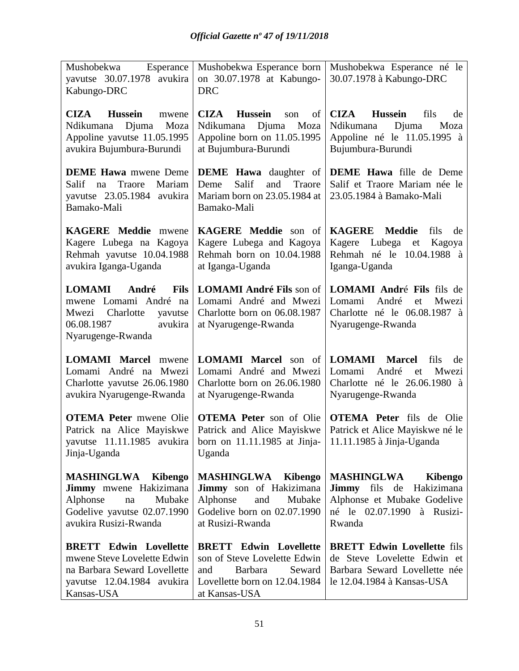| Esperance<br>Mushobekwa<br>yavutse 30.07.1978 avukira<br>Kabungo-DRC                                                                       | Mushobekwa Esperance born<br>on 30.07.1978 at Kabungo-<br><b>DRC</b>                                                                        | Mushobekwa Esperance né le<br>30.07.1978 à Kabungo-DRC                                                                                           |
|--------------------------------------------------------------------------------------------------------------------------------------------|---------------------------------------------------------------------------------------------------------------------------------------------|--------------------------------------------------------------------------------------------------------------------------------------------------|
| <b>Hussein</b><br><b>CIZA</b><br>mwene<br>Ndikumana Djuma<br>Moza<br>Appoline yavutse 11.05.1995<br>avukira Bujumbura-Burundi              | <b>Hussein</b><br><b>CIZA</b><br>of<br>son<br>Djuma<br>Moza<br>Ndikumana<br>Appoline born on 11.05.1995<br>at Bujumbura-Burundi             | <b>Hussein</b><br><b>CIZA</b><br>fils<br>de<br>Ndikumana<br>Djuma<br>Moza<br>Appoline né le 11.05.1995 à<br>Bujumbura-Burundi                    |
| <b>DEME Hawa</b> mwene Deme<br>Salif<br>Traore<br>Mariam<br>na<br>yavutse 23.05.1984 avukira<br>Bamako-Mali                                | <b>DEME</b> Hawa daughter of<br>Deme<br>Salif<br>and<br>Traore<br>Mariam born on 23.05.1984 at<br>Bamako-Mali                               | <b>DEME</b> Hawa fille de Deme<br>Salif et Traore Mariam née le<br>23.05.1984 à Bamako-Mali                                                      |
| KAGERE Meddie mwene<br>Kagere Lubega na Kagoya<br>Rehmah yavutse 10.04.1988<br>avukira Iganga-Uganda                                       | KAGERE Meddie son of<br>Kagere Lubega and Kagoya<br>Rehmah born on 10.04.1988<br>at Iganga-Uganda                                           | KAGERE Meddie<br>fils<br>de<br>Kagere Lubega et Kagoya<br>Rehmah né le 10.04.1988 à<br>Iganga-Uganda                                             |
| <b>Fils</b><br><b>LOMAMI</b><br>André<br>mwene Lomami André na<br>Mwezi Charlotte<br>yavutse<br>06.08.1987<br>avukira<br>Nyarugenge-Rwanda | <b>LOMAMI André Fils son of</b><br>Lomami André and Mwezi<br>Charlotte born on 06.08.1987<br>at Nyarugenge-Rwanda                           | <b>LOMAMI André Fils fils de</b><br>Lomami<br>André<br>Mwezi<br>et<br>Charlotte né le 06.08.1987 à<br>Nyarugenge-Rwanda                          |
| <b>LOMAMI</b> Marcel mwene<br>Lomami André na Mwezi<br>Charlotte yavutse 26.06.1980<br>avukira Nyarugenge-Rwanda                           | <b>LOMAMI</b> Marcel son of<br>Lomami André and Mwezi<br>Charlotte born on 26.06.1980<br>at Nyarugenge-Rwanda                               | <b>LOMAMI</b><br><b>Marcel</b><br>fils<br>de<br>Lomami<br>André<br>et<br>Mwezi<br>Charlotte né le 26.06.1980 à<br>Nyarugenge-Rwanda              |
| <b>OTEMA Peter mwene Olie</b><br>Patrick na Alice Mayiskwe<br>yavutse 11.11.1985 avukira<br>Jinja-Uganda                                   | <b>OTEMA Peter</b> son of Olie<br>Patrick and Alice Mayiskwe<br>born on 11.11.1985 at Jinja-<br>Uganda                                      | <b>OTEMA Peter</b> fils de Olie<br>Patrick et Alice Mayiskwe né le<br>11.11.1985 à Jinja-Uganda                                                  |
| <b>MASHINGLWA Kibengo</b><br>Jimmy mwene Hakizimana<br>Alphonse<br>Mubake<br>na<br>Godelive yavutse 02.07.1990<br>avukira Rusizi-Rwanda    | <b>MASHINGLWA Kibengo</b><br>Jimmy son of Hakizimana<br>Alphonse<br>Mubake<br>and<br>Godelive born on 02.07.1990<br>at Rusizi-Rwanda        | <b>MASHINGLWA</b><br><b>Kibengo</b><br>Hakizimana<br><b>Jimmy</b> fils de<br>Alphonse et Mubake Godelive<br>né le 02.07.1990 à Rusizi-<br>Rwanda |
| <b>BRETT Edwin Lovellette</b><br>mwene Steve Lovelette Edwin<br>na Barbara Seward Lovellette<br>yavutse 12.04.1984 avukira<br>Kansas-USA   | <b>BRETT Edwin Lovellette</b><br>son of Steve Lovelette Edwin<br>Barbara<br>Seward<br>and<br>Lovellette born on 12.04.1984<br>at Kansas-USA | <b>BRETT Edwin Lovellette fils</b><br>de Steve Lovelette Edwin et<br>Barbara Seward Lovellette née<br>le 12.04.1984 à Kansas-USA                 |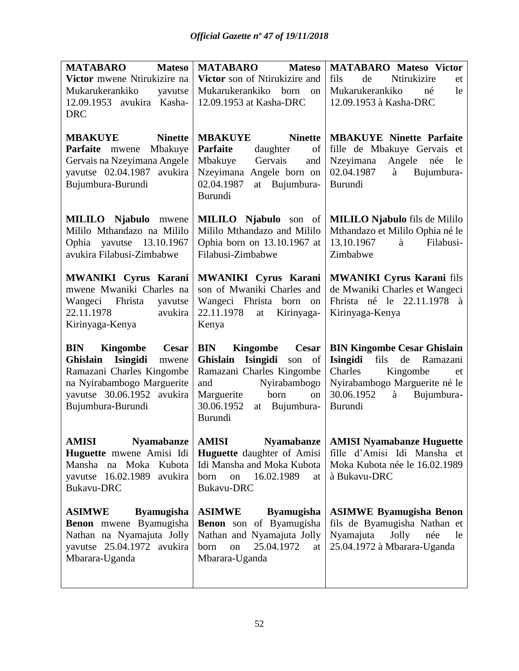| <b>MATABARO</b><br><b>Mateso</b>                                                                                                                                         | <b>MATABARO</b><br><b>Mateso</b>                                                                                                                                                      | <b>MATABARO Mateso Victor</b>                                                                                                                                                       |
|--------------------------------------------------------------------------------------------------------------------------------------------------------------------------|---------------------------------------------------------------------------------------------------------------------------------------------------------------------------------------|-------------------------------------------------------------------------------------------------------------------------------------------------------------------------------------|
| Victor mwene Ntirukizire na                                                                                                                                              | Victor son of Ntirukizire and                                                                                                                                                         | Ntirukizire<br>fils<br>de<br>et                                                                                                                                                     |
| Mukarukerankiko<br>yavutse                                                                                                                                               | Mukarukerankiko<br>born<br>on                                                                                                                                                         | Mukarukerankiko<br>le<br>né                                                                                                                                                         |
| 12.09.1953 avukira Kasha-                                                                                                                                                | 12.09.1953 at Kasha-DRC                                                                                                                                                               | 12.09.1953 à Kasha-DRC                                                                                                                                                              |
| <b>DRC</b>                                                                                                                                                               |                                                                                                                                                                                       |                                                                                                                                                                                     |
| <b>Ninette</b><br><b>MBAKUYE</b><br>Mbakuye<br>Parfaite mwene<br>Gervais na Nzeyimana Angele<br>yavutse 02.04.1987 avukira                                               | <b>Ninette</b><br><b>MBAKUYE</b><br>Parfaite<br>daughter<br>of<br>Mbakuye<br>Gervais<br>and<br>Nzeyimana Angele born on                                                               | <b>MBAKUYE Ninette Parfaite</b><br>fille de Mbakuye Gervais et<br>Nzeyimana<br>Angele née<br>le<br>02.04.1987<br>Bujumbura-<br>à                                                    |
| Bujumbura-Burundi                                                                                                                                                        | 02.04.1987<br>at Bujumbura-<br>Burundi                                                                                                                                                | Burundi                                                                                                                                                                             |
| <b>MILILO</b> Njabulo mwene<br>Mililo Mthandazo na Mililo<br>Ophia yavutse 13.10.1967<br>avukira Filabusi-Zimbabwe                                                       | <b>MILILO</b> Njabulo son of<br>Mililo Mthandazo and Mililo<br>Ophia born on 13.10.1967 at<br>Filabusi-Zimbabwe                                                                       | <b>MILILO Njabulo</b> fils de Mililo<br>Mthandazo et Mililo Ophia né le<br>13.10.1967<br>Filabusi-<br>à<br>Zimbabwe                                                                 |
| <b>MWANIKI Cyrus Karani</b><br>mwene Mwaniki Charles na<br>Wangeci Fhrista<br>yavutse<br>22.11.1978<br>avukira<br>Kirinyaga-Kenya                                        | <b>MWANIKI Cyrus Karani</b><br>son of Mwaniki Charles and<br>Wangeci Fhrista born on<br>22.11.1978<br>Kirinyaga-<br>at<br>Kenya                                                       | <b>MWANIKI Cyrus Karani fils</b><br>de Mwaniki Charles et Wangeci<br>Fhrista né le 22.11.1978<br>à<br>Kirinyaga-Kenya                                                               |
| <b>BIN</b><br>Kingombe Cesar<br>Ghislain Isingidi<br>mwene<br>Ramazani Charles Kingombe<br>na Nyirabambogo Marguerite<br>yavutse 30.06.1952 avukira<br>Bujumbura-Burundi | <b>BIN</b><br>Kingombe Cesar<br>Ghislain Isingidi son of<br>Ramazani Charles Kingombe<br>Nyirabambogo<br>and<br>Marguerite<br>born<br>on<br>30.06.1952<br>Bujumbura-<br>at<br>Burundi | <b>BIN Kingombe Cesar Ghislain</b><br>fils de Ramazani<br>Isingidi<br>Charles<br>Kingombe<br>et<br>Nyirabambogo Marguerite né le<br>30.06.1952<br>à<br>Bujumbura-<br><b>Burundi</b> |
| Nyamabanze<br><b>AMISI</b><br>Huguette mwene Amisi Idi<br>Mansha na Moka<br>Kubota<br>yavutse 16.02.1989 avukira<br>Bukavu-DRC                                           | <b>Nyamabanze</b><br><b>AMISI</b><br><b>Huguette</b> daughter of Amisi<br>Idi Mansha and Moka Kubota<br>16.02.1989<br>born<br>on<br>at<br>Bukavu-DRC                                  | <b>AMISI Nyamabanze Huguette</b><br>fille d'Amisi Idi Mansha et<br>Moka Kubota née le 16.02.1989<br>à Bukavu-DRC                                                                    |
| <b>Byamugisha</b><br><b>ASIMWE</b><br>Benon mwene Byamugisha<br>Nathan na Nyamajuta Jolly<br>yavutse 25.04.1972 avukira<br>Mbarara-Uganda                                | <b>ASIMWE</b><br><b>Byamugisha</b><br>Benon son of Byamugisha<br>Nathan and Nyamajuta Jolly<br>25.04.1972<br>born<br>on<br>at<br>Mbarara-Uganda                                       | <b>ASIMWE Byamugisha Benon</b><br>fils de Byamugisha Nathan et<br>Jolly<br>Nyamajuta<br>née<br>le<br>25.04.1972 à Mbarara-Uganda                                                    |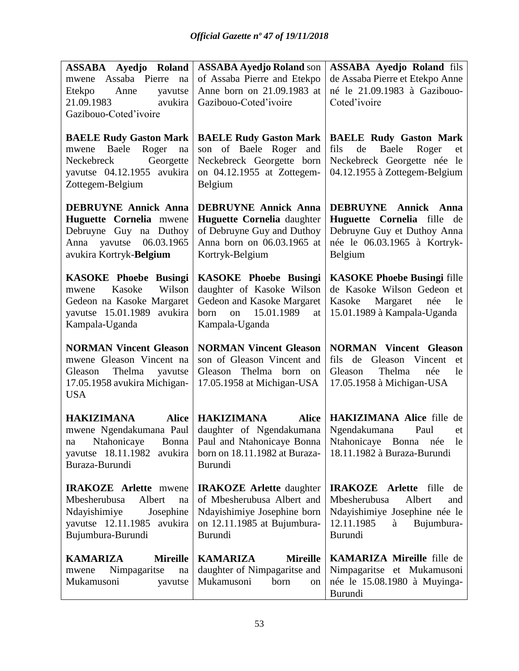| ASSABA Ayedjo Roland               | <b>ASSABA Ayedjo Roland son</b>    | <b>ASSABA Ayedjo Roland fils</b>                                           |
|------------------------------------|------------------------------------|----------------------------------------------------------------------------|
| mwene Assaba Pierre<br>na          | of Assaba Pierre and Etekpo        | de Assaba Pierre et Etekpo Anne                                            |
| Etekpo<br>Anne<br>yavutse          | Anne born on 21.09.1983 at         | né le 21.09.1983 à Gazibouo-                                               |
| 21.09.1983<br>avukira              | Gazibouo-Coted'ivoire              | Coted'ivoire                                                               |
| Gazibouo-Coted'ivoire              |                                    |                                                                            |
| <b>BAELE Rudy Gaston Mark</b>      | <b>BAELE Rudy Gaston Mark</b>      | <b>BAELE Rudy Gaston Mark</b>                                              |
| Baele<br>Roger<br>mwene<br>na      | son of Baele Roger and             | de<br>Baele<br>fils<br>Roger<br>et                                         |
| Georgette<br>Neckebreck            | Neckebreck Georgette born          | Neckebreck Georgette née le                                                |
| yavutse 04.12.1955 avukira         | on 04.12.1955 at Zottegem-         | 04.12.1955 à Zottegem-Belgium                                              |
| Zottegem-Belgium                   | Belgium                            |                                                                            |
| <b>DEBRUYNE Annick Anna</b>        | <b>DEBRUYNE Annick Anna</b>        | <b>DEBRUYNE Annick Anna</b>                                                |
| Huguette Cornelia mwene            | Huguette Cornelia daughter         | Huguette Cornelia fille de                                                 |
| Debruyne Guy na Duthoy             | of Debruyne Guy and Duthoy         | Debruyne Guy et Duthoy Anna                                                |
| Anna yavutse 06.03.1965            | Anna born on 06.03.1965 at         | née le 06.03.1965 à Kortryk-                                               |
| avukira Kortryk-Belgium            | Kortryk-Belgium                    | Belgium                                                                    |
| <b>KASOKE Phoebe Busingi</b>       | <b>KASOKE Phoebe Busingi</b>       | <b>KASOKE Phoebe Busingi fille</b>                                         |
| Kasoke<br>Wilson<br>mwene          | daughter of Kasoke Wilson          | de Kasoke Wilson Gedeon et                                                 |
| Gedeon na Kasoke Margaret          | Gedeon and Kasoke Margaret         | Kasoke Margaret<br>née<br>le                                               |
| yavutse 15.01.1989 avukira         | 15.01.1989<br>born<br>on<br>at     | 15.01.1989 à Kampala-Uganda                                                |
| Kampala-Uganda                     | Kampala-Uganda                     |                                                                            |
| <b>NORMAN Vincent Gleason</b>      | <b>NORMAN Vincent Gleason</b>      | <b>NORMAN Vincent Gleason</b>                                              |
| mwene Gleason Vincent na           | son of Gleason Vincent and         | fils de Gleason Vincent<br>et                                              |
| Thelma yavutse<br>Gleason          | Gleason Thelma born on             | Gleason<br>Thelma<br>née<br>le                                             |
| 17.05.1958 avukira Michigan-       | 17.05.1958 at Michigan-USA         | 17.05.1958 à Michigan-USA                                                  |
| <b>USA</b>                         |                                    |                                                                            |
| HAKIZIMANA<br><b>Alice</b>         | HAKIZIMANA<br><b>Alice</b>         | <b>HAKIZIMANA Alice fille de</b>                                           |
| mwene Ngendakumana Paul            | daughter of Ngendakumana           | Ngendakumana<br>Paul<br>et                                                 |
|                                    |                                    | na Ntahonicaye Bonna Paul and Ntahonicaye Bonna   Ntahonicaye Bonna née le |
| yavutse 18.11.1982<br>avukira      | born on 18.11.1982 at Buraza-      | 18.11.1982 à Buraza-Burundi                                                |
| Buraza-Burundi                     | <b>Burundi</b>                     |                                                                            |
| <b>IRAKOZE</b> Arlette mwene       | <b>IRAKOZE</b> Arlette daughter    | <b>IRAKOZE</b> Arlette fille<br>de                                         |
| Mbesherubusa<br>Albert<br>na       | of Mbesherubusa Albert and         | Mbesherubusa<br>Albert<br>and                                              |
| Ndayishimiye<br>Josephine          | Ndayishimiye Josephine born        | Ndayishimiye Josephine née le                                              |
| yavutse 12.11.1985 avukira         | on 12.11.1985 at Bujumbura-        | 12.11.1985<br>Bujumbura-<br>à                                              |
| Bujumbura-Burundi                  | <b>Burundi</b>                     | <b>Burundi</b>                                                             |
| <b>Mireille</b><br><b>KAMARIZA</b> | <b>Mireille</b><br><b>KAMARIZA</b> | <b>KAMARIZA Mireille</b> fille de                                          |
| Nimpagaritse<br>na<br>mwene        | daughter of Nimpagaritse and       | Nimpagaritse et Mukamusoni                                                 |
| Mukamusoni<br>yavutse              | Mukamusoni<br>born<br>on           | née le 15.08.1980 à Muyinga-                                               |
|                                    |                                    | Burundi                                                                    |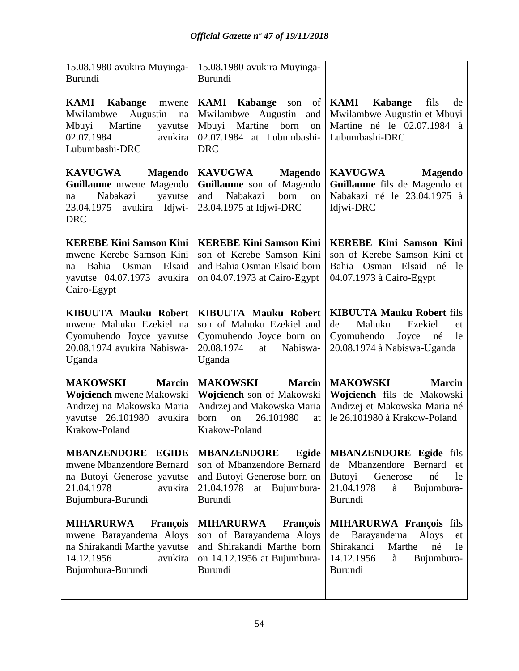| 15.08.1980 avukira Muyinga-<br>Burundi                                                                                                       | 15.08.1980 avukira Muyinga-<br>Burundi                                                                                                               |                                                                                                                                                           |
|----------------------------------------------------------------------------------------------------------------------------------------------|------------------------------------------------------------------------------------------------------------------------------------------------------|-----------------------------------------------------------------------------------------------------------------------------------------------------------|
| <b>KAMI</b> Kabange<br>mwene<br>Augustin<br>Mwilambwe<br>na<br>Martine<br>Mbuyi<br>yavutse<br>02.07.1984<br>avukira<br>Lubumbashi-DRC        | <b>KAMI</b> Kabange<br>son<br>Mwilambwe Augustin<br>and<br>Mbuyi<br>Martine<br>born<br>on<br>02.07.1984 at Lubumbashi-<br><b>DRC</b>                 | of $\overline{\text{KAMI}}$<br>Kabange<br>fils<br>de<br>Mwilambwe Augustin et Mbuyi<br>Martine né le 02.07.1984<br>à<br>Lubumbashi-DRC                    |
| <b>KAVUGWA</b><br><b>Magendo</b><br>Guillaume mwene Magendo<br>Nabakazi<br>yavutse<br>na<br>avukira<br>Idjwi-<br>23.04.1975<br><b>DRC</b>    | <b>KAVUGWA</b><br><b>Magendo</b><br>Guillaume son of Magendo<br>Nabakazi<br>born<br>and<br>on<br>23.04.1975 at Idjwi-DRC                             | <b>KAVUGWA</b><br><b>Magendo</b><br>Guillaume fils de Magendo et<br>Nabakazi né le 23.04.1975 à<br>Idjwi-DRC                                              |
| <b>KEREBE Kini Samson Kini</b><br>mwene Kerebe Samson Kini<br>Elsaid<br>Bahia Osman<br>na<br>yavutse 04.07.1973 avukira<br>Cairo-Egypt       | <b>KEREBE Kini Samson Kini</b><br>son of Kerebe Samson Kini<br>and Bahia Osman Elsaid born<br>on $04.07.1973$ at Cairo-Egypt                         | <b>KEREBE Kini Samson Kini</b><br>son of Kerebe Samson Kini et<br>Bahia Osman Elsaid né<br>le<br>04.07.1973 à Cairo-Egypt                                 |
| <b>KIBUUTA Mauku Robert</b><br>mwene Mahuku Ezekiel na<br>Cyomuhendo Joyce yavutse<br>20.08.1974 avukira Nabiswa-<br>Uganda                  | <b>KIBUUTA Mauku Robert</b><br>son of Mahuku Ezekiel and<br>Cyomuhendo Joyce born on<br>20.08.1974<br>Nabiswa-<br>at<br>Uganda                       | <b>KIBUUTA Mauku Robert fils</b><br>de<br>Mahuku<br>Ezekiel<br>et<br>Cyomuhendo<br>Joyce<br>né<br>le<br>20.08.1974 à Nabiswa-Uganda                       |
| <b>Marcin</b><br><b>MAKOWSKI</b><br>Wojciench mwene Makowski<br>Andrzej na Makowska Maria<br>yavutse 26.101980<br>avukira<br>Krakow-Poland   | <b>MAKOWSKI</b><br><b>Marcin</b><br>Wojciench son of Makowski<br>Andrzej and Makowska Maria<br>26.101980<br><b>born</b><br>on<br>at<br>Krakow-Poland | <b>MAKOWSKI</b><br><b>Marcin</b><br>Wojciench fils de Makowski<br>Andrzej et Makowska Maria né<br>le 26.101980 à Krakow-Poland                            |
| <b>MBANZENDORE EGIDE</b><br>mwene Mbanzendore Bernard<br>na Butoyi Generose yavutse<br>21.04.1978<br>avukira<br>Bujumbura-Burundi            | <b>MBANZENDORE</b><br>Egide<br>son of Mbanzendore Bernard<br>and Butoyi Generose born on<br>21.04.1978<br>at Bujumbura-<br>Burundi                   | <b>MBANZENDORE Egide fils</b><br>de Mbanzendore Bernard<br>et<br><b>Butoyi</b><br>Generose<br>né<br>le<br>21.04.1978<br>à<br>Bujumbura-<br><b>Burundi</b> |
| <b>MIHARURWA</b><br><b>François</b><br>mwene Barayandema Aloys<br>na Shirakandi Marthe yavutse<br>14.12.1956<br>avukira<br>Bujumbura-Burundi | <b>MIHARURWA</b><br><b>François</b><br>son of Barayandema Aloys<br>and Shirakandi Marthe born<br>on 14.12.1956 at Bujumbura-<br>Burundi              | <b>MIHARURWA François fils</b><br>Barayandema<br><b>Aloys</b><br>de<br>et<br>Shirakandi<br>Marthe<br>né<br>le<br>14.12.1956<br>Bujumbura-<br>à<br>Burundi |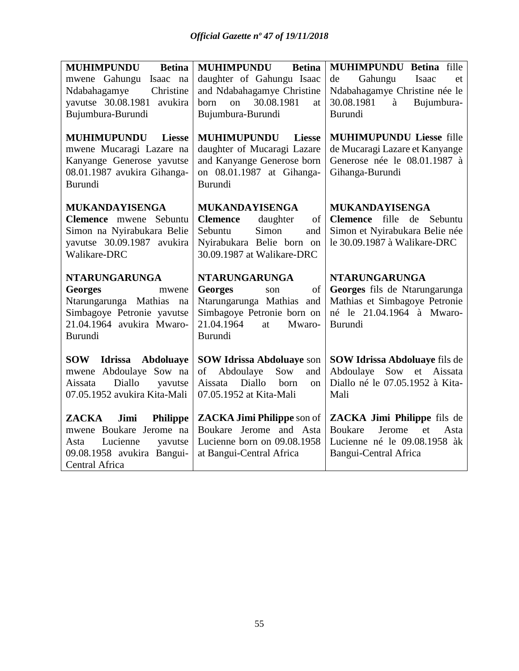| <b>MUHIMPUNDU</b><br><b>Betina</b>                                                                                                     | <b>MUHIMPUNDU</b><br><b>Betina</b>                                                                                                         | <b>MUHIMPUNDU Betina fille</b>                                                                                       |
|----------------------------------------------------------------------------------------------------------------------------------------|--------------------------------------------------------------------------------------------------------------------------------------------|----------------------------------------------------------------------------------------------------------------------|
| mwene Gahungu<br>Isaac na                                                                                                              | daughter of Gahungu Isaac                                                                                                                  | Gahungu<br>de<br>Isaac<br>et                                                                                         |
| Ndabahagamye<br>Christine                                                                                                              | and Ndabahagamye Christine                                                                                                                 | Ndabahagamye Christine née le                                                                                        |
| yavutse 30.08.1981 avukira                                                                                                             | on 30.08.1981<br>born<br>at                                                                                                                | 30.08.1981<br>Bujumbura-<br>à                                                                                        |
| Bujumbura-Burundi                                                                                                                      | Bujumbura-Burundi                                                                                                                          | Burundi                                                                                                              |
| <b>MUHIMUPUNDU</b><br><b>Liesse</b><br>mwene Mucaragi Lazare na<br>Kanyange Generose yavutse<br>08.01.1987 avukira Gihanga-<br>Burundi | <b>MUHIMUPUNDU</b><br><b>Liesse</b><br>daughter of Mucaragi Lazare<br>and Kanyange Generose born<br>on 08.01.1987 at Gihanga-<br>Burundi   | <b>MUHIMUPUNDU Liesse fille</b><br>de Mucaragi Lazare et Kanyange<br>Generose née le 08.01.1987 à<br>Gihanga-Burundi |
| <b>MUKANDAYISENGA</b>                                                                                                                  | <b>MUKANDAYISENGA</b>                                                                                                                      | <b>MUKANDAYISENGA</b>                                                                                                |
| Clemence mwene Sebuntu                                                                                                                 | of<br><b>Clemence</b><br>daughter                                                                                                          | Clemence fille de Sebuntu                                                                                            |
| Simon na Nyirabukara Belie                                                                                                             | Simon<br>Sebuntu<br>and                                                                                                                    | Simon et Nyirabukara Belie née                                                                                       |
| yavutse 30.09.1987 avukira                                                                                                             | Nyirabukara Belie born on                                                                                                                  | le 30.09.1987 à Walikare-DRC                                                                                         |
| Walikare-DRC                                                                                                                           | 30.09.1987 at Walikare-DRC                                                                                                                 |                                                                                                                      |
| <b>NTARUNGARUNGA</b>                                                                                                                   | <b>NTARUNGARUNGA</b>                                                                                                                       | <b>NTARUNGARUNGA</b>                                                                                                 |
| <b>Georges</b><br>mwene                                                                                                                | <b>Georges</b><br>of<br>son                                                                                                                | Georges fils de Ntarungarunga                                                                                        |
| Ntarungarunga Mathias<br>na                                                                                                            | Ntarungarunga Mathias and                                                                                                                  | Mathias et Simbagoye Petronie                                                                                        |
| Simbagoye Petronie yavutse                                                                                                             | Simbagoye Petronie born on                                                                                                                 | né le 21.04.1964 à Mwaro-                                                                                            |
| 21.04.1964 avukira Mwaro-                                                                                                              | 21.04.1964<br>Mwaro-<br>at                                                                                                                 | Burundi                                                                                                              |
| Burundi                                                                                                                                | Burundi                                                                                                                                    |                                                                                                                      |
| SOW<br><b>Idrissa</b><br>Abdoluaye<br>mwene Abdoulaye Sow na<br>Diallo<br>Aissata<br>yavutse<br>07.05.1952 avukira Kita-Mali           | <b>SOW Idrissa Abdoluaye son</b><br>of<br>Abdoulaye<br>Sow<br>and<br>Aissata<br>Diallo<br>born<br><sub>on</sub><br>07.05.1952 at Kita-Mali | SOW Idrissa Abdoluaye fils de<br>Sow et Aissata<br>Abdoulaye<br>Diallo né le 07.05.1952 à Kita-<br>Mali              |
| <b>ZACKA</b><br>Jimi<br><b>Philippe</b>                                                                                                | <b>ZACKA Jimi Philippe son of</b>                                                                                                          | ZACKA Jimi Philippe fils de                                                                                          |
| mwene Boukare Jerome na                                                                                                                | Boukare Jerome and Asta                                                                                                                    | Jerome<br><b>Boukare</b><br>et<br>Asta                                                                               |
| Lucienne<br>Asta<br>yavutse                                                                                                            | Lucienne born on 09.08.1958                                                                                                                | Lucienne né le 09.08.1958 àk                                                                                         |
| 09.08.1958 avukira Bangui-                                                                                                             | at Bangui-Central Africa                                                                                                                   | <b>Bangui-Central Africa</b>                                                                                         |
| Central Africa                                                                                                                         |                                                                                                                                            |                                                                                                                      |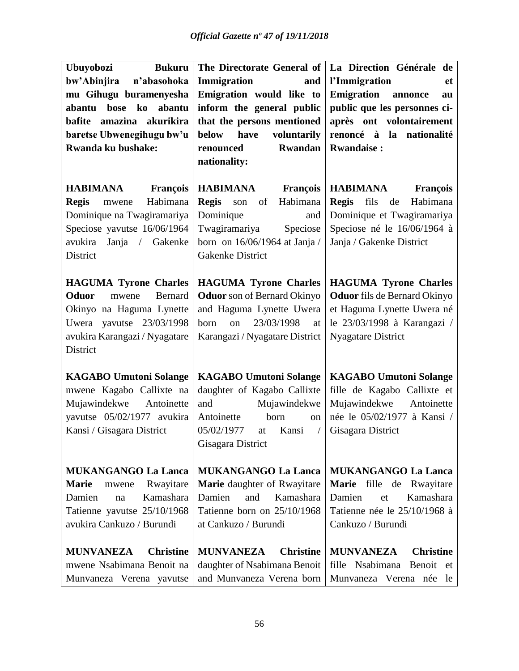| Ubuyobozi<br><b>Bukuru</b>                              |                                           | The Directorate General of   La Direction Générale de     |
|---------------------------------------------------------|-------------------------------------------|-----------------------------------------------------------|
| n'abasohoka<br>bw'Abinjira                              | Immigration<br>and                        | l'Immigration<br>et                                       |
| mu Gihugu buramenyesha                                  | Emigration would like to                  | <b>Emigration</b> annonce<br>au                           |
| bose ko<br>abantu<br>abantu                             | inform the general public                 | public que les personnes ci-                              |
| bafite amazina akurikira                                | that the persons mentioned                | après ont volontairement                                  |
| baretse Ubwenegihugu bw'u                               | voluntarily<br><b>below</b><br>have       | renoncé à la nationalité                                  |
| Rwanda ku bushake:                                      | <b>Rwandan</b><br>renounced               | <b>Rwandaise:</b>                                         |
|                                                         | nationality:                              |                                                           |
| <b>HABIMANA</b><br><b>François</b>                      | <b>HABIMANA</b><br><b>François</b>        | <b>HABIMANA</b><br><b>François</b>                        |
| Habimana<br><b>Regis</b><br>mwene                       | <b>Regis</b><br>Habimana<br>of<br>son     | Regis fils<br>Habimana<br>de                              |
| Dominique na Twagiramariya                              | Dominique<br>and                          | Dominique et Twagiramariya                                |
| Speciose yavutse 16/06/1964                             | Twagiramariya<br>Speciose                 | Speciose né le 16/06/1964 à                               |
| Janja / Gakenke<br>avukira                              | born on $16/06/1964$ at Janja /           | Janja / Gakenke District                                  |
| District                                                | Gakenke District                          |                                                           |
| <b>HAGUMA Tyrone Charles</b>                            | <b>HAGUMA Tyrone Charles</b>              | <b>HAGUMA Tyrone Charles</b>                              |
| Oduor<br><b>Bernard</b><br>mwene                        | <b>Oduor</b> son of Bernard Okinyo        | <b>Oduor</b> fils de Bernard Okinyo                       |
| Okinyo na Haguma Lynette                                | and Haguma Lynette Uwera                  | et Haguma Lynette Uwera né                                |
| Uwera yavutse 23/03/1998                                | on<br>23/03/1998<br>born<br>at            | le 23/03/1998 à Karangazi /                               |
| avukira Karangazi / Nyagatare                           | Karangazi / Nyagatare District            | <b>Nyagatare District</b>                                 |
| District                                                |                                           |                                                           |
|                                                         |                                           |                                                           |
| <b>KAGABO Umutoni Solange</b>                           | <b>KAGABO Umutoni Solange</b>             | <b>KAGABO Umutoni Solange</b>                             |
| mwene Kagabo Callixte na                                | daughter of Kagabo Callixte               | fille de Kagabo Callixte et                               |
| Mujawindekwe<br>Antoinette                              | and<br>Mujawindekwe<br>Antoinette<br>born | Mujawindekwe<br>Antoinette<br>née le 05/02/1977 à Kansi / |
| yavutse 05/02/1977 avukira<br>Kansi / Gisagara District | on<br>05/02/1977<br>Kansi<br>$\sqrt{2}$   |                                                           |
|                                                         | at<br>Gisagara District                   | Gisagara District                                         |
|                                                         |                                           |                                                           |
| <b>MUKANGANGO La Lanca</b>                              | <b>MUKANGANGO La Lanca</b>                | <b>MUKANGANGO La Lanca</b>                                |
| <b>Marie</b><br>Rwayitare<br>mwene                      | Marie daughter of Rwayitare               | Marie fille de Rwayitare                                  |
| Kamashara<br>Damien<br>na                               | Kamashara<br>Damien<br>and                | Kamashara<br>Damien<br>et                                 |
| Tatienne yavutse 25/10/1968                             | Tatienne born on 25/10/1968               | Tatienne née le 25/10/1968 à                              |
| avukira Cankuzo / Burundi                               | at Cankuzo / Burundi                      | Cankuzo / Burundi                                         |
| <b>MUNVANEZA</b><br><b>Christine</b>                    | <b>MUNVANEZA</b><br><b>Christine</b>      | <b>MUNVANEZA</b><br><b>Christine</b>                      |
| mwene Nsabimana Benoit na                               | daughter of Nsabimana Benoit              | fille Nsabimana Benoit et                                 |
| Munvaneza Verena yavutse                                | and Munvaneza Verena born                 | Munvaneza Verena née le                                   |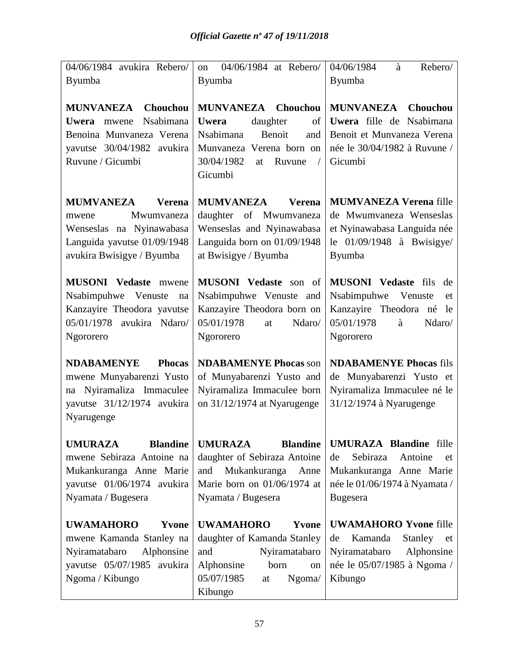| 04/06/1984 avukira Rebero/                                                                                                                       | 04/06/1984 at Rebero/<br><sub>on</sub>                                                                                                                                          | 04/06/1984<br>Rebero/<br>à                                                                                                                      |
|--------------------------------------------------------------------------------------------------------------------------------------------------|---------------------------------------------------------------------------------------------------------------------------------------------------------------------------------|-------------------------------------------------------------------------------------------------------------------------------------------------|
| <b>Byumba</b>                                                                                                                                    | Byumba                                                                                                                                                                          | <b>Byumba</b>                                                                                                                                   |
|                                                                                                                                                  |                                                                                                                                                                                 |                                                                                                                                                 |
| MUNVANEZA Chouchou<br>Nsabimana<br>Uwera mwene<br>Benoina Munvaneza Verena<br>yavutse 30/04/1982 avukira<br>Ruvune / Gicumbi                     | <b>MUNVANEZA</b><br>Chouchou<br>daughter<br><b>Uwera</b><br>of<br>Nsabimana<br>Benoit<br>and<br>Munvaneza Verena born on<br>30/04/1982<br>Ruvune<br>at<br>$\sqrt{2}$<br>Gicumbi | <b>MUNVANEZA</b> Chouchou<br>Uwera fille de Nsabimana<br>Benoit et Munvaneza Verena<br>née le 30/04/1982 à Ruvune /<br>Gicumbi                  |
| <b>MUMVANEZA</b><br><b>Verena</b><br>Mwumvaneza<br>mwene<br>Wenseslas na Nyinawabasa<br>Languida yavutse 01/09/1948<br>avukira Bwisigye / Byumba | <b>MUMVANEZA</b><br><b>Verena</b><br>daughter of Mwumvaneza<br>Wenseslas and Nyinawabasa<br>Languida born on 01/09/1948<br>at Bwisigye / Byumba                                 | <b>MUMVANEZA Verena fille</b><br>de Mwumvaneza Wenseslas<br>et Nyinawabasa Languida née<br>le $01/09/1948$ à Bwisigye/<br>Byumba                |
| <b>MUSONI</b> Vedaste mwene<br>Nsabimpuhwe Venuste<br>na<br>Kanzayire Theodora yavutse<br>05/01/1978 avukira Ndaro/<br>Ngororero                 | <b>MUSONI</b> Vedaste son of<br>Nsabimpuhwe Venuste and<br>Kanzayire Theodora born on<br>05/01/1978<br>Ndaro/<br>at<br>Ngororero                                                | <b>MUSONI</b> Vedaste fils<br>de<br>Nsabimpuhwe<br>Venuste<br>et<br>Kanzayire Theodora né le<br>05/01/1978<br>Ndaro/<br>à<br>Ngororero          |
| <b>NDABAMENYE</b><br><b>Phocas</b><br>mwene Munyabarenzi Yusto<br>na Nyiramaliza Immaculee<br>yavutse 31/12/1974 avukira<br>Nyarugenge           | <b>NDABAMENYE Phocas son</b><br>of Munyabarenzi Yusto and<br>Nyiramaliza Immaculee born<br>on 31/12/1974 at Nyarugenge                                                          | <b>NDABAMENYE Phocas fils</b><br>de Munyabarenzi Yusto et<br>Nyiramaliza Immaculee né le<br>31/12/1974 à Nyarugenge                             |
| <b>UMURAZA</b><br><b>Blandine</b><br>mwene Sebiraza Antoine na<br>Mukankuranga Anne Marie<br>yavutse 01/06/1974 avukira<br>Nyamata / Bugesera    | <b>UMURAZA</b><br><b>Blandine</b><br>daughter of Sebiraza Antoine<br>Mukankuranga<br>and<br>Anne<br>Marie born on 01/06/1974 at<br>Nyamata / Bugesera                           | <b>UMURAZA Blandine</b> fille<br>Sebiraza<br>Antoine<br>de<br>et<br>Mukankuranga Anne Marie<br>née le 01/06/1974 à Nyamata /<br><b>Bugesera</b> |
| <b>UWAMAHORO</b><br>Yvone<br>mwene Kamanda Stanley na<br>Nyiramatabaro<br>Alphonsine<br>yavutse 05/07/1985 avukira<br>Ngoma / Kibungo            | <b>UWAMAHORO</b><br>Yvone<br>daughter of Kamanda Stanley<br>and<br>Nyiramatabaro<br>Alphonsine<br>born<br>on<br>05/07/1985<br>Ngoma/<br>at<br>Kibungo                           | <b>UWAMAHORO Yvone fille</b><br>Kamanda<br><b>Stanley</b><br>de<br>et<br>Nyiramatabaro<br>Alphonsine<br>née le 05/07/1985 à Ngoma /<br>Kibungo  |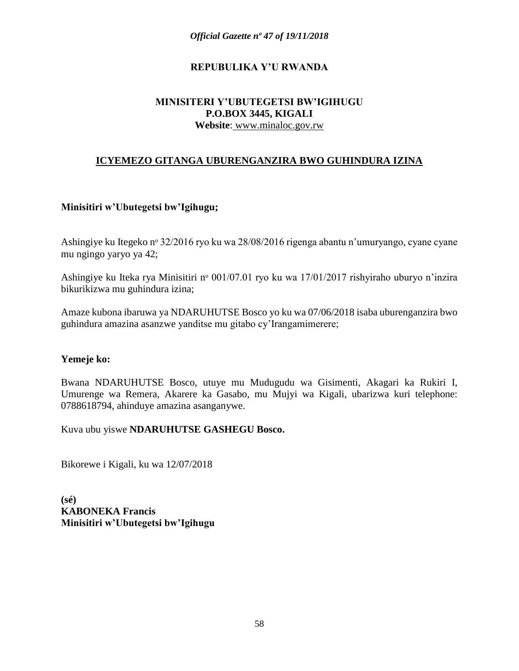#### **REPUBULIKA Y'U RWANDA**

#### **MINISITERI Y'UBUTEGETSI BW'IGIHUGU P.O.BOX 3445, KIGALI Website**: www.minaloc.gov.rw

#### **ICYEMEZO GITANGA UBURENGANZIRA BWO GUHINDURA IZINA**

#### **Minisitiri w'Ubutegetsi bw'Igihugu;**

Ashingiye ku Itegeko nº 32/2016 ryo ku wa 28/08/2016 rigenga abantu n'umuryango, cyane cyane mu ngingo yaryo ya 42;

Ashingiye ku Iteka rya Minisitiri nº 001/07.01 ryo ku wa 17/01/2017 rishyiraho uburyo n'inzira bikurikizwa mu guhindura izina;

Amaze kubona ibaruwa ya NDARUHUTSE Bosco yo ku wa 07/06/2018 isaba uburenganzira bwo guhindura amazina asanzwe yanditse mu gitabo cy'Irangamimerere;

#### **Yemeje ko:**

Bwana NDARUHUTSE Bosco, utuye mu Mudugudu wa Gisimenti, Akagari ka Rukiri I, Umurenge wa Remera, Akarere ka Gasabo, mu Mujyi wa Kigali, ubarizwa kuri telephone: 0788618794, ahinduye amazina asanganywe.

Kuva ubu yiswe **NDARUHUTSE GASHEGU Bosco.**

Bikorewe i Kigali, ku wa 12/07/2018

**(sé) KABONEKA Francis Minisitiri w'Ubutegetsi bw'Igihugu**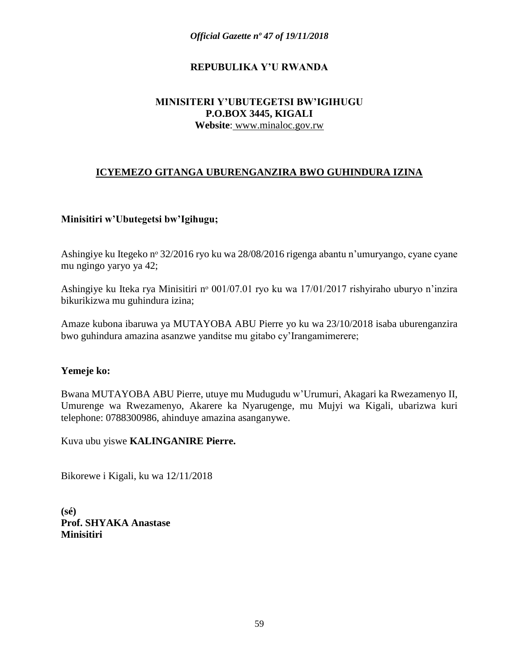### **REPUBULIKA Y'U RWANDA**

#### **MINISITERI Y'UBUTEGETSI BW'IGIHUGU P.O.BOX 3445, KIGALI Website**: www.minaloc.gov.rw

## **ICYEMEZO GITANGA UBURENGANZIRA BWO GUHINDURA IZINA**

#### **Minisitiri w'Ubutegetsi bw'Igihugu;**

Ashingiye ku Itegeko nº 32/2016 ryo ku wa 28/08/2016 rigenga abantu n'umuryango, cyane cyane mu ngingo yaryo ya 42;

Ashingiye ku Iteka rya Minisitiri nº 001/07.01 ryo ku wa 17/01/2017 rishyiraho uburyo n'inzira bikurikizwa mu guhindura izina;

Amaze kubona ibaruwa ya MUTAYOBA ABU Pierre yo ku wa 23/10/2018 isaba uburenganzira bwo guhindura amazina asanzwe yanditse mu gitabo cy'Irangamimerere;

#### **Yemeje ko:**

Bwana MUTAYOBA ABU Pierre, utuye mu Mudugudu w'Urumuri, Akagari ka Rwezamenyo II, Umurenge wa Rwezamenyo, Akarere ka Nyarugenge, mu Mujyi wa Kigali, ubarizwa kuri telephone: 0788300986, ahinduye amazina asanganywe.

Kuva ubu yiswe **KALINGANIRE Pierre.**

Bikorewe i Kigali, ku wa 12/11/2018

**(sé) Prof. SHYAKA Anastase Minisitiri**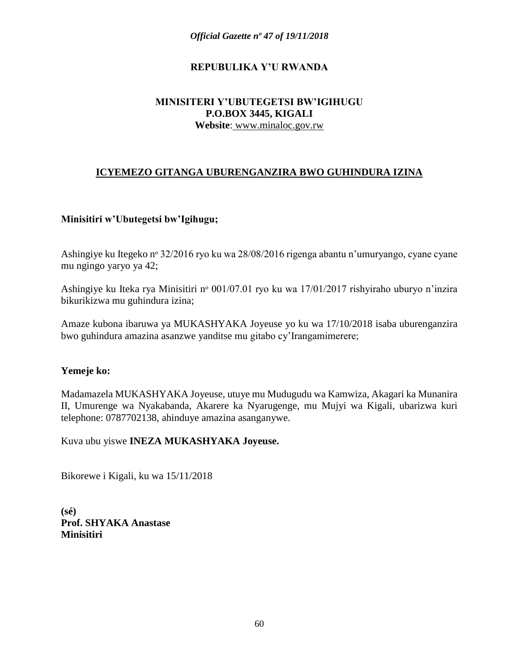### **REPUBULIKA Y'U RWANDA**

#### **MINISITERI Y'UBUTEGETSI BW'IGIHUGU P.O.BOX 3445, KIGALI Website**: www.minaloc.gov.rw

## **ICYEMEZO GITANGA UBURENGANZIRA BWO GUHINDURA IZINA**

#### **Minisitiri w'Ubutegetsi bw'Igihugu;**

Ashingiye ku Itegeko nº 32/2016 ryo ku wa 28/08/2016 rigenga abantu n'umuryango, cyane cyane mu ngingo yaryo ya 42;

Ashingiye ku Iteka rya Minisitiri nº 001/07.01 ryo ku wa 17/01/2017 rishyiraho uburyo n'inzira bikurikizwa mu guhindura izina;

Amaze kubona ibaruwa ya MUKASHYAKA Joyeuse yo ku wa 17/10/2018 isaba uburenganzira bwo guhindura amazina asanzwe yanditse mu gitabo cy'Irangamimerere;

#### **Yemeje ko:**

Madamazela MUKASHYAKA Joyeuse, utuye mu Mudugudu wa Kamwiza, Akagari ka Munanira II, Umurenge wa Nyakabanda, Akarere ka Nyarugenge, mu Mujyi wa Kigali, ubarizwa kuri telephone: 0787702138, ahinduye amazina asanganywe.

Kuva ubu yiswe **INEZA MUKASHYAKA Joyeuse.**

Bikorewe i Kigali, ku wa 15/11/2018

**(sé) Prof. SHYAKA Anastase Minisitiri**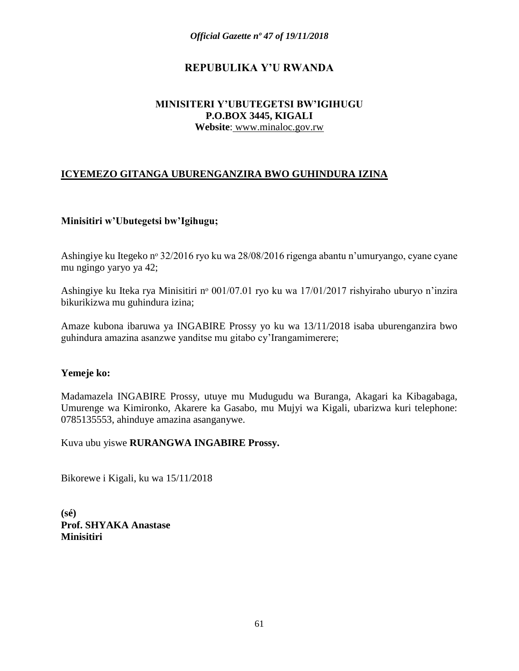# **REPUBULIKA Y'U RWANDA**

#### **MINISITERI Y'UBUTEGETSI BW'IGIHUGU P.O.BOX 3445, KIGALI Website**: www.minaloc.gov.rw

# **ICYEMEZO GITANGA UBURENGANZIRA BWO GUHINDURA IZINA**

#### **Minisitiri w'Ubutegetsi bw'Igihugu;**

Ashingiye ku Itegeko nº 32/2016 ryo ku wa 28/08/2016 rigenga abantu n'umuryango, cyane cyane mu ngingo yaryo ya 42;

Ashingiye ku Iteka rya Minisitiri nº 001/07.01 ryo ku wa 17/01/2017 rishyiraho uburyo n'inzira bikurikizwa mu guhindura izina;

Amaze kubona ibaruwa ya INGABIRE Prossy yo ku wa 13/11/2018 isaba uburenganzira bwo guhindura amazina asanzwe yanditse mu gitabo cy'Irangamimerere;

#### **Yemeje ko:**

Madamazela INGABIRE Prossy, utuye mu Mudugudu wa Buranga, Akagari ka Kibagabaga, Umurenge wa Kimironko, Akarere ka Gasabo, mu Mujyi wa Kigali, ubarizwa kuri telephone: 0785135553, ahinduye amazina asanganywe.

Kuva ubu yiswe **RURANGWA INGABIRE Prossy.**

Bikorewe i Kigali, ku wa 15/11/2018

**(sé) Prof. SHYAKA Anastase Minisitiri**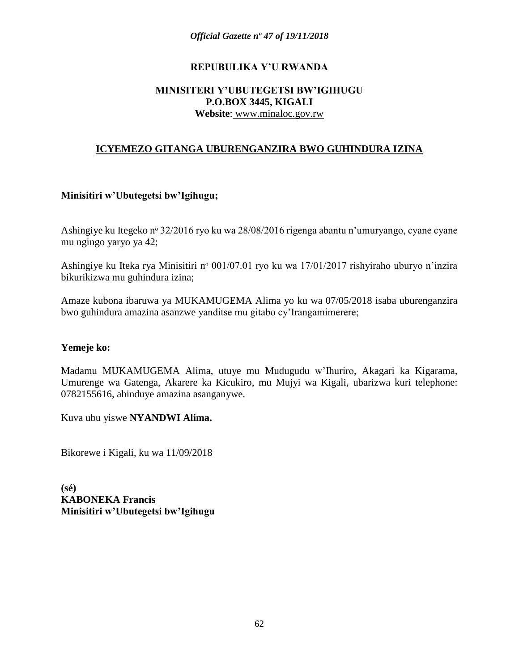#### **REPUBULIKA Y'U RWANDA**

#### **MINISITERI Y'UBUTEGETSI BW'IGIHUGU P.O.BOX 3445, KIGALI Website**: www.minaloc.gov.rw

#### **ICYEMEZO GITANGA UBURENGANZIRA BWO GUHINDURA IZINA**

#### **Minisitiri w'Ubutegetsi bw'Igihugu;**

Ashingiye ku Itegeko nº 32/2016 ryo ku wa 28/08/2016 rigenga abantu n'umuryango, cyane cyane mu ngingo yaryo ya 42;

Ashingiye ku Iteka rya Minisitiri nº 001/07.01 ryo ku wa 17/01/2017 rishyiraho uburyo n'inzira bikurikizwa mu guhindura izina;

Amaze kubona ibaruwa ya MUKAMUGEMA Alima yo ku wa 07/05/2018 isaba uburenganzira bwo guhindura amazina asanzwe yanditse mu gitabo cy'Irangamimerere;

#### **Yemeje ko:**

Madamu MUKAMUGEMA Alima, utuye mu Mudugudu w'Ihuriro, Akagari ka Kigarama, Umurenge wa Gatenga, Akarere ka Kicukiro, mu Mujyi wa Kigali, ubarizwa kuri telephone: 0782155616, ahinduye amazina asanganywe.

Kuva ubu yiswe **NYANDWI Alima.**

Bikorewe i Kigali, ku wa 11/09/2018

**(sé) KABONEKA Francis Minisitiri w'Ubutegetsi bw'Igihugu**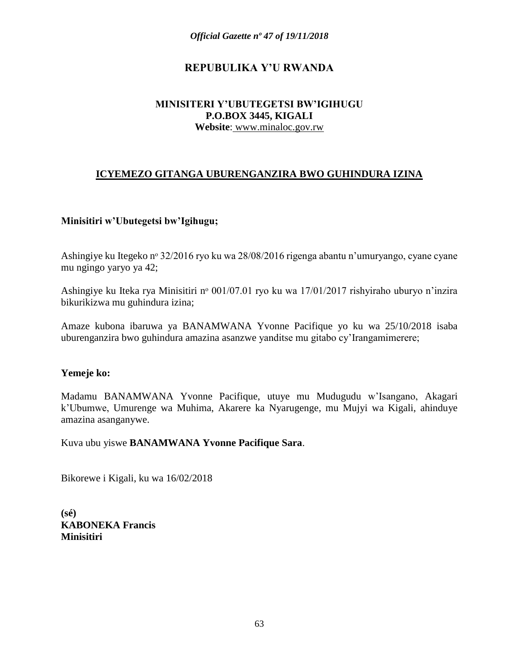# **REPUBULIKA Y'U RWANDA**

#### **MINISITERI Y'UBUTEGETSI BW'IGIHUGU P.O.BOX 3445, KIGALI Website**: www.minaloc.gov.rw

# **ICYEMEZO GITANGA UBURENGANZIRA BWO GUHINDURA IZINA**

#### **Minisitiri w'Ubutegetsi bw'Igihugu;**

Ashingiye ku Itegeko nº 32/2016 ryo ku wa 28/08/2016 rigenga abantu n'umuryango, cyane cyane mu ngingo yaryo ya 42;

Ashingiye ku Iteka rya Minisitiri nº 001/07.01 ryo ku wa 17/01/2017 rishyiraho uburyo n'inzira bikurikizwa mu guhindura izina;

Amaze kubona ibaruwa ya BANAMWANA Yvonne Pacifique yo ku wa 25/10/2018 isaba uburenganzira bwo guhindura amazina asanzwe yanditse mu gitabo cy'Irangamimerere;

#### **Yemeje ko:**

Madamu BANAMWANA Yvonne Pacifique, utuye mu Mudugudu w'Isangano, Akagari k'Ubumwe, Umurenge wa Muhima, Akarere ka Nyarugenge, mu Mujyi wa Kigali, ahinduye amazina asanganywe.

Kuva ubu yiswe **BANAMWANA Yvonne Pacifique Sara**.

Bikorewe i Kigali, ku wa 16/02/2018

**(sé) KABONEKA Francis Minisitiri**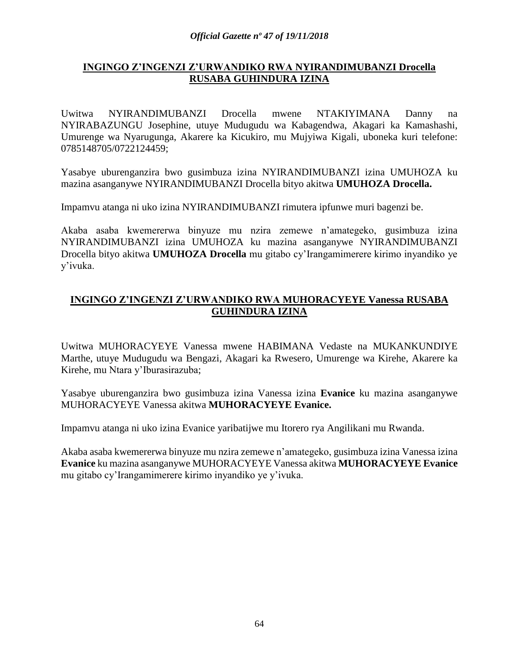#### **INGINGO Z'INGENZI Z'URWANDIKO RWA NYIRANDIMUBANZI Drocella RUSABA GUHINDURA IZINA**

Uwitwa NYIRANDIMUBANZI Drocella mwene NTAKIYIMANA Danny na NYIRABAZUNGU Josephine, utuye Mudugudu wa Kabagendwa, Akagari ka Kamashashi, Umurenge wa Nyarugunga, Akarere ka Kicukiro, mu Mujyiwa Kigali, uboneka kuri telefone: 0785148705/0722124459;

Yasabye uburenganzira bwo gusimbuza izina NYIRANDIMUBANZI izina UMUHOZA ku mazina asanganywe NYIRANDIMUBANZI Drocella bityo akitwa **UMUHOZA Drocella.**

Impamvu atanga ni uko izina NYIRANDIMUBANZI rimutera ipfunwe muri bagenzi be.

Akaba asaba kwemererwa binyuze mu nzira zemewe n'amategeko, gusimbuza izina NYIRANDIMUBANZI izina UMUHOZA ku mazina asanganywe NYIRANDIMUBANZI Drocella bityo akitwa **UMUHOZA Drocella** mu gitabo cy'Irangamimerere kirimo inyandiko ye y'ivuka.

### **INGINGO Z'INGENZI Z'URWANDIKO RWA MUHORACYEYE Vanessa RUSABA GUHINDURA IZINA**

Uwitwa MUHORACYEYE Vanessa mwene HABIMANA Vedaste na MUKANKUNDIYE Marthe, utuye Mudugudu wa Bengazi, Akagari ka Rwesero, Umurenge wa Kirehe, Akarere ka Kirehe, mu Ntara y'Iburasirazuba;

Yasabye uburenganzira bwo gusimbuza izina Vanessa izina **Evanice** ku mazina asanganywe MUHORACYEYE Vanessa akitwa **MUHORACYEYE Evanice.**

Impamvu atanga ni uko izina Evanice yaribatijwe mu Itorero rya Angilikani mu Rwanda.

Akaba asaba kwemererwa binyuze mu nzira zemewe n'amategeko, gusimbuza izina Vanessa izina **Evanice** ku mazina asanganywe MUHORACYEYE Vanessa akitwa **MUHORACYEYE Evanice** mu gitabo cy'Irangamimerere kirimo inyandiko ye y'ivuka.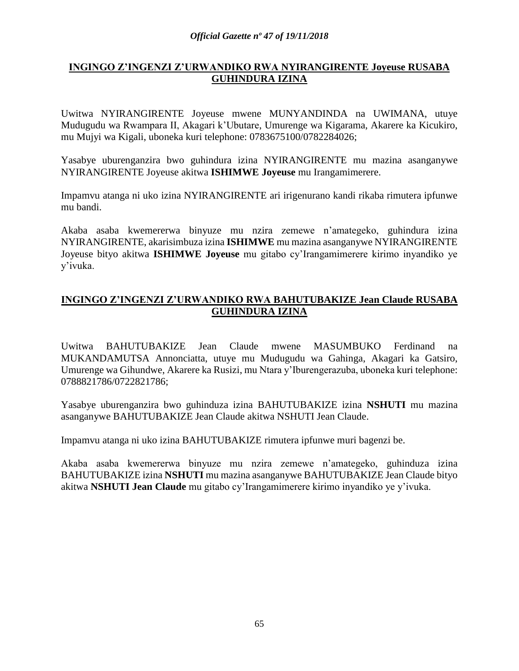# **INGINGO Z'INGENZI Z'URWANDIKO RWA NYIRANGIRENTE Joyeuse RUSABA GUHINDURA IZINA**

Uwitwa NYIRANGIRENTE Joyeuse mwene MUNYANDINDA na UWIMANA, utuye Mudugudu wa Rwampara II, Akagari k'Ubutare, Umurenge wa Kigarama, Akarere ka Kicukiro, mu Mujyi wa Kigali, uboneka kuri telephone: 0783675100/0782284026;

Yasabye uburenganzira bwo guhindura izina NYIRANGIRENTE mu mazina asanganywe NYIRANGIRENTE Joyeuse akitwa **ISHIMWE Joyeuse** mu Irangamimerere.

Impamvu atanga ni uko izina NYIRANGIRENTE ari irigenurano kandi rikaba rimutera ipfunwe mu bandi.

Akaba asaba kwemererwa binyuze mu nzira zemewe n'amategeko, guhindura izina NYIRANGIRENTE, akarisimbuza izina **ISHIMWE** mu mazina asanganywe NYIRANGIRENTE Joyeuse bityo akitwa **ISHIMWE Joyeuse** mu gitabo cy'Irangamimerere kirimo inyandiko ye y'ivuka.

# **INGINGO Z'INGENZI Z'URWANDIKO RWA BAHUTUBAKIZE Jean Claude RUSABA GUHINDURA IZINA**

Uwitwa BAHUTUBAKIZE Jean Claude mwene MASUMBUKO Ferdinand na MUKANDAMUTSA Annonciatta, utuye mu Mudugudu wa Gahinga, Akagari ka Gatsiro, Umurenge wa Gihundwe, Akarere ka Rusizi, mu Ntara y'Iburengerazuba, uboneka kuri telephone: 0788821786/0722821786;

Yasabye uburenganzira bwo guhinduza izina BAHUTUBAKIZE izina **NSHUTI** mu mazina asanganywe BAHUTUBAKIZE Jean Claude akitwa NSHUTI Jean Claude.

Impamvu atanga ni uko izina BAHUTUBAKIZE rimutera ipfunwe muri bagenzi be.

Akaba asaba kwemererwa binyuze mu nzira zemewe n'amategeko, guhinduza izina BAHUTUBAKIZE izina **NSHUTI** mu mazina asanganywe BAHUTUBAKIZE Jean Claude bityo akitwa **NSHUTI Jean Claude** mu gitabo cy'Irangamimerere kirimo inyandiko ye y'ivuka.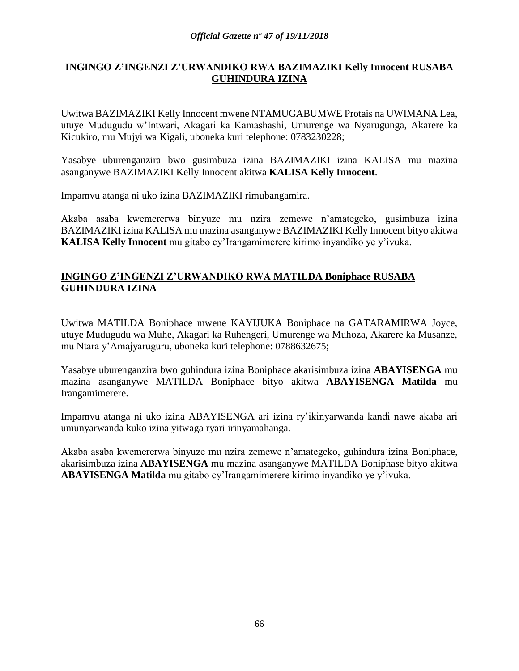# **INGINGO Z'INGENZI Z'URWANDIKO RWA BAZIMAZIKI Kelly Innocent RUSABA GUHINDURA IZINA**

Uwitwa BAZIMAZIKI Kelly Innocent mwene NTAMUGABUMWE Protais na UWIMANA Lea, utuye Mudugudu w'Intwari, Akagari ka Kamashashi, Umurenge wa Nyarugunga, Akarere ka Kicukiro, mu Mujyi wa Kigali, uboneka kuri telephone: 0783230228;

Yasabye uburenganzira bwo gusimbuza izina BAZIMAZIKI izina KALISA mu mazina asanganywe BAZIMAZIKI Kelly Innocent akitwa **KALISA Kelly Innocent**.

Impamvu atanga ni uko izina BAZIMAZIKI rimubangamira.

Akaba asaba kwemererwa binyuze mu nzira zemewe n'amategeko, gusimbuza izina BAZIMAZIKI izina KALISA mu mazina asanganywe BAZIMAZIKI Kelly Innocent bityo akitwa **KALISA Kelly Innocent** mu gitabo cy'Irangamimerere kirimo inyandiko ye y'ivuka.

### **INGINGO Z'INGENZI Z'URWANDIKO RWA MATILDA Boniphace RUSABA GUHINDURA IZINA**

Uwitwa MATILDA Boniphace mwene KAYIJUKA Boniphace na GATARAMIRWA Joyce, utuye Mudugudu wa Muhe, Akagari ka Ruhengeri, Umurenge wa Muhoza, Akarere ka Musanze, mu Ntara y'Amajyaruguru, uboneka kuri telephone: 0788632675;

Yasabye uburenganzira bwo guhindura izina Boniphace akarisimbuza izina **ABAYISENGA** mu mazina asanganywe MATILDA Boniphace bityo akitwa **ABAYISENGA Matilda** mu Irangamimerere.

Impamvu atanga ni uko izina ABAYISENGA ari izina ry'ikinyarwanda kandi nawe akaba ari umunyarwanda kuko izina yitwaga ryari irinyamahanga.

Akaba asaba kwemererwa binyuze mu nzira zemewe n'amategeko, guhindura izina Boniphace, akarisimbuza izina **ABAYISENGA** mu mazina asanganywe MATILDA Boniphase bityo akitwa **ABAYISENGA Matilda** mu gitabo cy'Irangamimerere kirimo inyandiko ye y'ivuka.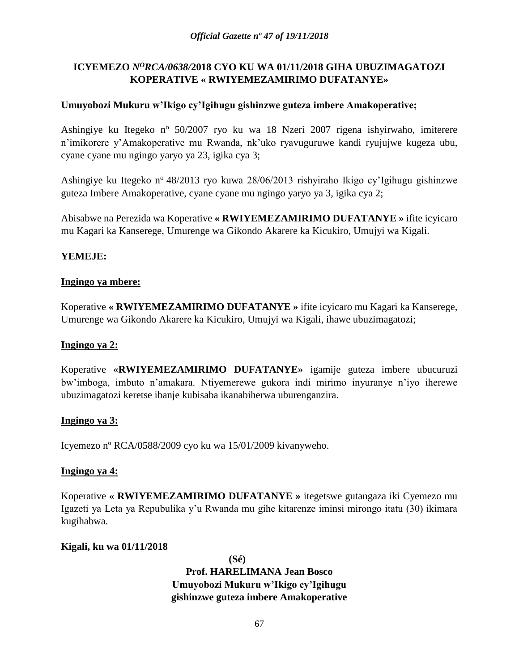# **ICYEMEZO** *N<sup>O</sup>RCA/0638/***2018 CYO KU WA 01/11/2018 GIHA UBUZIMAGATOZI KOPERATIVE « RWIYEMEZAMIRIMO DUFATANYE»**

## **Umuyobozi Mukuru w'Ikigo cy'Igihugu gishinzwe guteza imbere Amakoperative;**

Ashingiye ku Itegeko n<sup>o</sup> 50/2007 ryo ku wa 18 Nzeri 2007 rigena ishyirwaho, imiterere n'imikorere y'Amakoperative mu Rwanda, nk'uko ryavuguruwe kandi ryujujwe kugeza ubu, cyane cyane mu ngingo yaryo ya 23, igika cya 3;

Ashingiye ku Itegeko n<sup>o</sup> 48/2013 ryo kuwa 28/06/2013 rishyiraho Ikigo cy'Igihugu gishinzwe guteza Imbere Amakoperative, cyane cyane mu ngingo yaryo ya 3, igika cya 2;

Abisabwe na Perezida wa Koperative **« RWIYEMEZAMIRIMO DUFATANYE »** ifite icyicaro mu Kagari ka Kanserege, Umurenge wa Gikondo Akarere ka Kicukiro, Umujyi wa Kigali.

### **YEMEJE:**

### **Ingingo ya mbere:**

Koperative **« RWIYEMEZAMIRIMO DUFATANYE »** ifite icyicaro mu Kagari ka Kanserege, Umurenge wa Gikondo Akarere ka Kicukiro, Umujyi wa Kigali, ihawe ubuzimagatozi;

### **Ingingo ya 2:**

Koperative **«RWIYEMEZAMIRIMO DUFATANYE»** igamije guteza imbere ubucuruzi bw'imboga, imbuto n'amakara. Ntiyemerewe gukora indi mirimo inyuranye n'iyo iherewe ubuzimagatozi keretse ibanje kubisaba ikanabiherwa uburenganzira.

### **Ingingo ya 3:**

Icyemezo nº RCA/0588/2009 cyo ku wa 15/01/2009 kivanyweho.

### **Ingingo ya 4:**

Koperative **« RWIYEMEZAMIRIMO DUFATANYE »** itegetswe gutangaza iki Cyemezo mu Igazeti ya Leta ya Repubulika y'u Rwanda mu gihe kitarenze iminsi mirongo itatu (30) ikimara kugihabwa.

### **Kigali, ku wa 01/11/2018**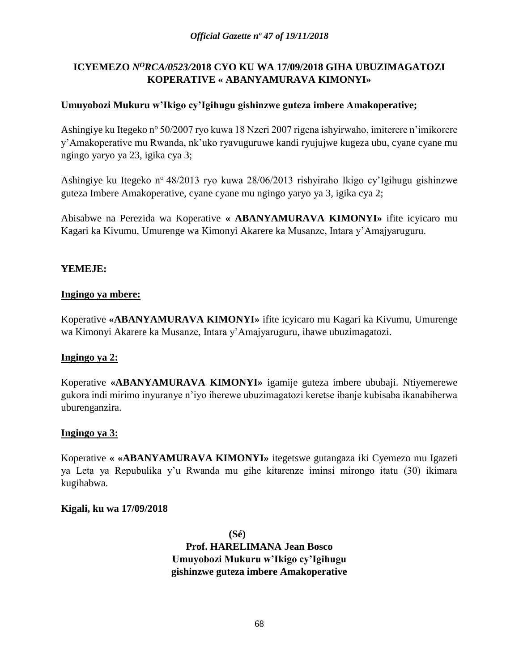# **ICYEMEZO** *N<sup>O</sup>RCA/0523/***2018 CYO KU WA 17/09/2018 GIHA UBUZIMAGATOZI KOPERATIVE « ABANYAMURAVA KIMONYI»**

## **Umuyobozi Mukuru w'Ikigo cy'Igihugu gishinzwe guteza imbere Amakoperative;**

Ashingiye ku Itegeko nº 50/2007 ryo kuwa 18 Nzeri 2007 rigena ishyirwaho, imiterere n'imikorere y'Amakoperative mu Rwanda, nk'uko ryavuguruwe kandi ryujujwe kugeza ubu, cyane cyane mu ngingo yaryo ya 23, igika cya 3;

Ashingiye ku Itegeko n<sup>o</sup> 48/2013 ryo kuwa 28/06/2013 rishyiraho Ikigo cy'Igihugu gishinzwe guteza Imbere Amakoperative, cyane cyane mu ngingo yaryo ya 3, igika cya 2;

Abisabwe na Perezida wa Koperative **« ABANYAMURAVA KIMONYI»** ifite icyicaro mu Kagari ka Kivumu, Umurenge wa Kimonyi Akarere ka Musanze, Intara y'Amajyaruguru.

### **YEMEJE:**

### **Ingingo ya mbere:**

Koperative **«ABANYAMURAVA KIMONYI»** ifite icyicaro mu Kagari ka Kivumu, Umurenge wa Kimonyi Akarere ka Musanze, Intara y'Amajyaruguru, ihawe ubuzimagatozi.

### **Ingingo ya 2:**

Koperative **«ABANYAMURAVA KIMONYI»** igamije guteza imbere ububaji. Ntiyemerewe gukora indi mirimo inyuranye n'iyo iherewe ubuzimagatozi keretse ibanje kubisaba ikanabiherwa uburenganzira.

### **Ingingo ya 3:**

Koperative **« «ABANYAMURAVA KIMONYI»** itegetswe gutangaza iki Cyemezo mu Igazeti ya Leta ya Repubulika y'u Rwanda mu gihe kitarenze iminsi mirongo itatu (30) ikimara kugihabwa.

#### **Kigali, ku wa 17/09/2018**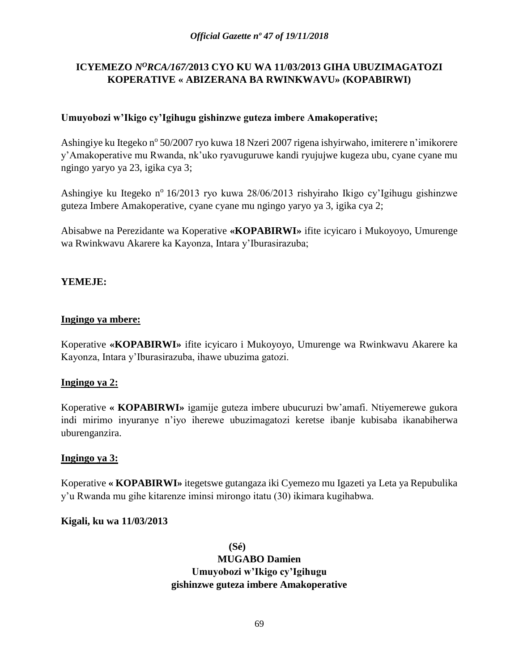# **ICYEMEZO** *N<sup>O</sup>RCA/167/***2013 CYO KU WA 11/03/2013 GIHA UBUZIMAGATOZI KOPERATIVE « ABIZERANA BA RWINKWAVU» (KOPABIRWI)**

## **Umuyobozi w'Ikigo cy'Igihugu gishinzwe guteza imbere Amakoperative;**

Ashingiye ku Itegeko nº 50/2007 ryo kuwa 18 Nzeri 2007 rigena ishyirwaho, imiterere n'imikorere y'Amakoperative mu Rwanda, nk'uko ryavuguruwe kandi ryujujwe kugeza ubu, cyane cyane mu ngingo yaryo ya 23, igika cya 3;

Ashingiye ku Itegeko n<sup>o</sup> 16/2013 ryo kuwa 28/06/2013 rishyiraho Ikigo cy'Igihugu gishinzwe guteza Imbere Amakoperative, cyane cyane mu ngingo yaryo ya 3, igika cya 2;

Abisabwe na Perezidante wa Koperative **«KOPABIRWI»** ifite icyicaro i Mukoyoyo, Umurenge wa Rwinkwavu Akarere ka Kayonza, Intara y'Iburasirazuba;

# **YEMEJE:**

### **Ingingo ya mbere:**

Koperative **«KOPABIRWI»** ifite icyicaro i Mukoyoyo, Umurenge wa Rwinkwavu Akarere ka Kayonza, Intara y'Iburasirazuba, ihawe ubuzima gatozi.

### **Ingingo ya 2:**

Koperative **« KOPABIRWI»** igamije guteza imbere ubucuruzi bw'amafi. Ntiyemerewe gukora indi mirimo inyuranye n'iyo iherewe ubuzimagatozi keretse ibanje kubisaba ikanabiherwa uburenganzira.

#### **Ingingo ya 3:**

Koperative **« KOPABIRWI»** itegetswe gutangaza iki Cyemezo mu Igazeti ya Leta ya Repubulika y'u Rwanda mu gihe kitarenze iminsi mirongo itatu (30) ikimara kugihabwa.

#### **Kigali, ku wa 11/03/2013**

**(Sé) MUGABO Damien Umuyobozi w'Ikigo cy'Igihugu gishinzwe guteza imbere Amakoperative**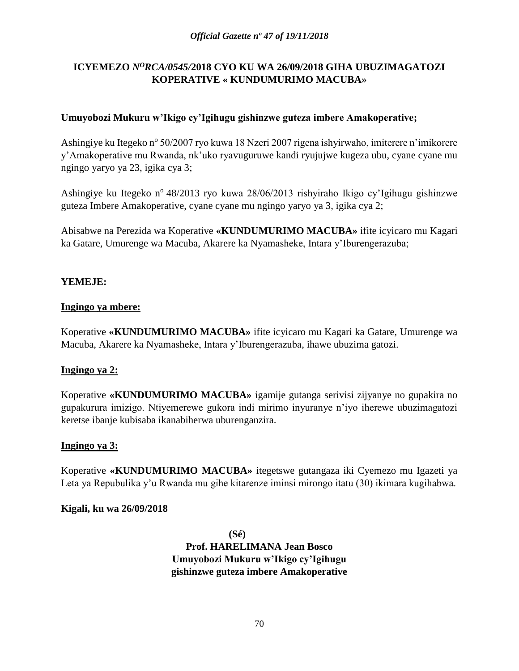# **ICYEMEZO** *N<sup>O</sup>RCA/0545/***2018 CYO KU WA 26/09/2018 GIHA UBUZIMAGATOZI KOPERATIVE « KUNDUMURIMO MACUBA»**

## **Umuyobozi Mukuru w'Ikigo cy'Igihugu gishinzwe guteza imbere Amakoperative;**

Ashingiye ku Itegeko nº 50/2007 ryo kuwa 18 Nzeri 2007 rigena ishyirwaho, imiterere n'imikorere y'Amakoperative mu Rwanda, nk'uko ryavuguruwe kandi ryujujwe kugeza ubu, cyane cyane mu ngingo yaryo ya 23, igika cya 3;

Ashingiye ku Itegeko n<sup>o</sup> 48/2013 ryo kuwa 28/06/2013 rishyiraho Ikigo cy'Igihugu gishinzwe guteza Imbere Amakoperative, cyane cyane mu ngingo yaryo ya 3, igika cya 2;

Abisabwe na Perezida wa Koperative **«KUNDUMURIMO MACUBA»** ifite icyicaro mu Kagari ka Gatare, Umurenge wa Macuba, Akarere ka Nyamasheke, Intara y'Iburengerazuba;

# **YEMEJE:**

### **Ingingo ya mbere:**

Koperative **«KUNDUMURIMO MACUBA»** ifite icyicaro mu Kagari ka Gatare, Umurenge wa Macuba, Akarere ka Nyamasheke, Intara y'Iburengerazuba, ihawe ubuzima gatozi.

### **Ingingo ya 2:**

Koperative **«KUNDUMURIMO MACUBA»** igamije gutanga serivisi zijyanye no gupakira no gupakurura imizigo. Ntiyemerewe gukora indi mirimo inyuranye n'iyo iherewe ubuzimagatozi keretse ibanje kubisaba ikanabiherwa uburenganzira.

### **Ingingo ya 3:**

Koperative **«KUNDUMURIMO MACUBA»** itegetswe gutangaza iki Cyemezo mu Igazeti ya Leta ya Repubulika y'u Rwanda mu gihe kitarenze iminsi mirongo itatu (30) ikimara kugihabwa.

### **Kigali, ku wa 26/09/2018**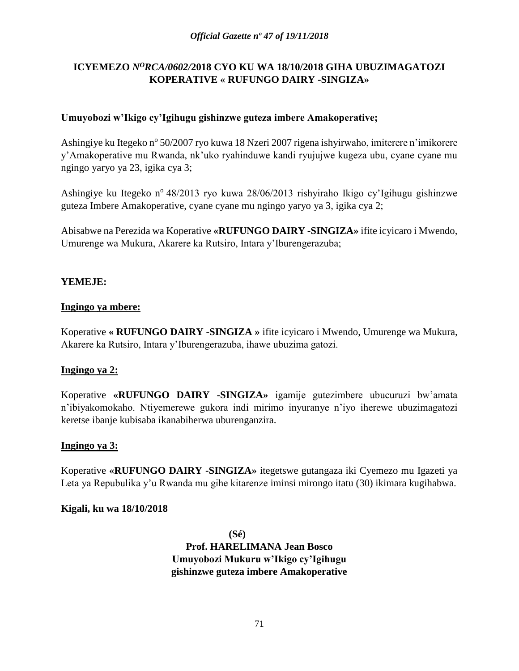# **ICYEMEZO** *N<sup>O</sup>RCA/0602/***2018 CYO KU WA 18/10/2018 GIHA UBUZIMAGATOZI KOPERATIVE « RUFUNGO DAIRY -SINGIZA»**

## **Umuyobozi w'Ikigo cy'Igihugu gishinzwe guteza imbere Amakoperative;**

Ashingiye ku Itegeko nº 50/2007 ryo kuwa 18 Nzeri 2007 rigena ishyirwaho, imiterere n'imikorere y'Amakoperative mu Rwanda, nk'uko ryahinduwe kandi ryujujwe kugeza ubu, cyane cyane mu ngingo yaryo ya 23, igika cya 3;

Ashingiye ku Itegeko n<sup>o</sup> 48/2013 ryo kuwa 28/06/2013 rishyiraho Ikigo cy'Igihugu gishinzwe guteza Imbere Amakoperative, cyane cyane mu ngingo yaryo ya 3, igika cya 2;

Abisabwe na Perezida wa Koperative **«RUFUNGO DAIRY -SINGIZA»** ifite icyicaro i Mwendo, Umurenge wa Mukura, Akarere ka Rutsiro, Intara y'Iburengerazuba;

# **YEMEJE:**

### **Ingingo ya mbere:**

Koperative **« RUFUNGO DAIRY -SINGIZA »** ifite icyicaro i Mwendo, Umurenge wa Mukura, Akarere ka Rutsiro, Intara y'Iburengerazuba, ihawe ubuzima gatozi.

### **Ingingo ya 2:**

Koperative **«RUFUNGO DAIRY -SINGIZA»** igamije gutezimbere ubucuruzi bw'amata n'ibiyakomokaho. Ntiyemerewe gukora indi mirimo inyuranye n'iyo iherewe ubuzimagatozi keretse ibanje kubisaba ikanabiherwa uburenganzira.

### **Ingingo ya 3:**

Koperative **«RUFUNGO DAIRY -SINGIZA»** itegetswe gutangaza iki Cyemezo mu Igazeti ya Leta ya Repubulika y'u Rwanda mu gihe kitarenze iminsi mirongo itatu (30) ikimara kugihabwa.

### **Kigali, ku wa 18/10/2018**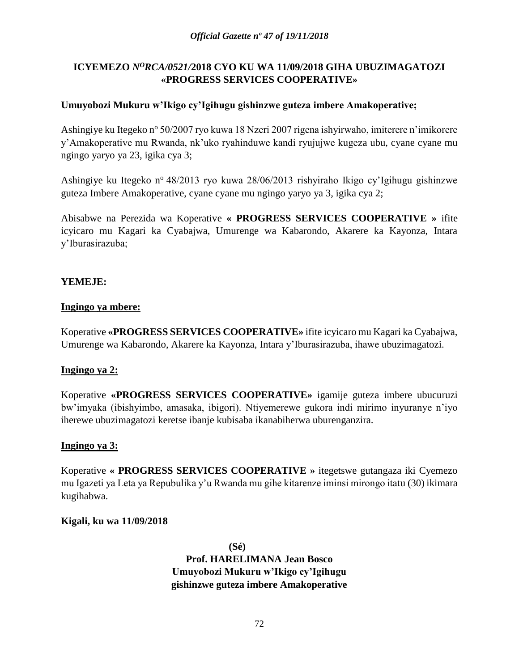# **ICYEMEZO** *N<sup>O</sup>RCA/0521/***2018 CYO KU WA 11/09/2018 GIHA UBUZIMAGATOZI «PROGRESS SERVICES COOPERATIVE»**

## **Umuyobozi Mukuru w'Ikigo cy'Igihugu gishinzwe guteza imbere Amakoperative;**

Ashingiye ku Itegeko nº 50/2007 ryo kuwa 18 Nzeri 2007 rigena ishyirwaho, imiterere n'imikorere y'Amakoperative mu Rwanda, nk'uko ryahinduwe kandi ryujujwe kugeza ubu, cyane cyane mu ngingo yaryo ya 23, igika cya 3;

Ashingiye ku Itegeko n<sup>o</sup> 48/2013 ryo kuwa 28/06/2013 rishyiraho Ikigo cy'Igihugu gishinzwe guteza Imbere Amakoperative, cyane cyane mu ngingo yaryo ya 3, igika cya 2;

Abisabwe na Perezida wa Koperative **« PROGRESS SERVICES COOPERATIVE »** ifite icyicaro mu Kagari ka Cyabajwa, Umurenge wa Kabarondo, Akarere ka Kayonza, Intara y'Iburasirazuba;

# **YEMEJE:**

### **Ingingo ya mbere:**

Koperative **«PROGRESS SERVICES COOPERATIVE»** ifite icyicaro mu Kagari ka Cyabajwa, Umurenge wa Kabarondo, Akarere ka Kayonza, Intara y'Iburasirazuba, ihawe ubuzimagatozi.

### **Ingingo ya 2:**

Koperative **«PROGRESS SERVICES COOPERATIVE»** igamije guteza imbere ubucuruzi bw'imyaka (ibishyimbo, amasaka, ibigori). Ntiyemerewe gukora indi mirimo inyuranye n'iyo iherewe ubuzimagatozi keretse ibanje kubisaba ikanabiherwa uburenganzira.

### **Ingingo ya 3:**

Koperative **« PROGRESS SERVICES COOPERATIVE »** itegetswe gutangaza iki Cyemezo mu Igazeti ya Leta ya Repubulika y'u Rwanda mu gihe kitarenze iminsi mirongo itatu (30) ikimara kugihabwa.

### **Kigali, ku wa 11/09/2018**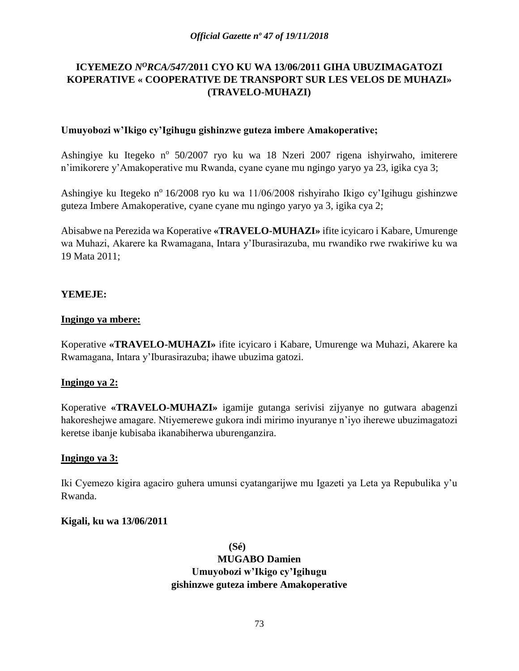# **ICYEMEZO** *N<sup>O</sup>RCA/547/***2011 CYO KU WA 13/06/2011 GIHA UBUZIMAGATOZI KOPERATIVE « COOPERATIVE DE TRANSPORT SUR LES VELOS DE MUHAZI» (TRAVELO-MUHAZI)**

#### **Umuyobozi w'Ikigo cy'Igihugu gishinzwe guteza imbere Amakoperative;**

Ashingiye ku Itegeko nº 50/2007 ryo ku wa 18 Nzeri 2007 rigena ishyirwaho, imiterere n'imikorere y'Amakoperative mu Rwanda, cyane cyane mu ngingo yaryo ya 23, igika cya 3;

Ashingiye ku Itegeko n<sup>o</sup> 16/2008 ryo ku wa 11/06/2008 rishyiraho Ikigo cy'Igihugu gishinzwe guteza Imbere Amakoperative, cyane cyane mu ngingo yaryo ya 3, igika cya 2;

Abisabwe na Perezida wa Koperative **«TRAVELO-MUHAZI»** ifite icyicaro i Kabare, Umurenge wa Muhazi, Akarere ka Rwamagana, Intara y'Iburasirazuba, mu rwandiko rwe rwakiriwe ku wa 19 Mata 2011;

### **YEMEJE:**

#### **Ingingo ya mbere:**

Koperative **«TRAVELO-MUHAZI»** ifite icyicaro i Kabare, Umurenge wa Muhazi, Akarere ka Rwamagana, Intara y'Iburasirazuba; ihawe ubuzima gatozi.

#### **Ingingo ya 2:**

Koperative **«TRAVELO-MUHAZI»** igamije gutanga serivisi zijyanye no gutwara abagenzi hakoreshejwe amagare. Ntiyemerewe gukora indi mirimo inyuranye n'iyo iherewe ubuzimagatozi keretse ibanje kubisaba ikanabiherwa uburenganzira.

#### **Ingingo ya 3:**

Iki Cyemezo kigira agaciro guhera umunsi cyatangarijwe mu Igazeti ya Leta ya Repubulika y'u Rwanda.

#### **Kigali, ku wa 13/06/2011**

**(Sé) MUGABO Damien Umuyobozi w'Ikigo cy'Igihugu gishinzwe guteza imbere Amakoperative**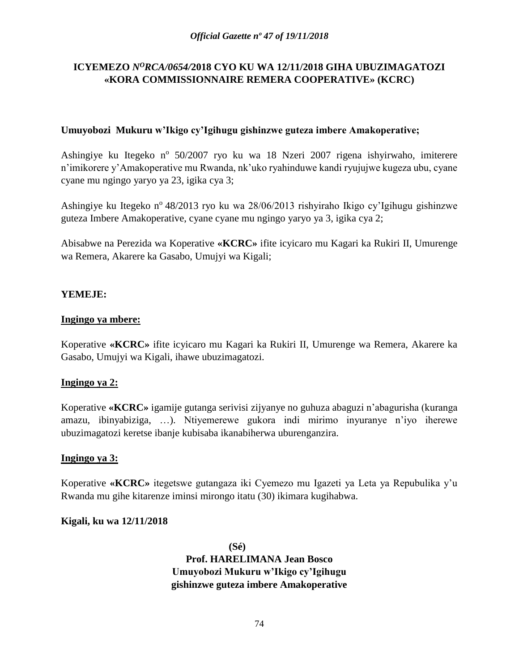# **ICYEMEZO** *N<sup>O</sup>RCA/0654/***2018 CYO KU WA 12/11/2018 GIHA UBUZIMAGATOZI «KORA COMMISSIONNAIRE REMERA COOPERATIVE» (KCRC)**

### **Umuyobozi Mukuru w'Ikigo cy'Igihugu gishinzwe guteza imbere Amakoperative;**

Ashingiye ku Itegeko nº 50/2007 ryo ku wa 18 Nzeri 2007 rigena ishyirwaho, imiterere n'imikorere y'Amakoperative mu Rwanda, nk'uko ryahinduwe kandi ryujujwe kugeza ubu, cyane cyane mu ngingo yaryo ya 23, igika cya 3;

Ashingiye ku Itegeko n<sup>o</sup> 48/2013 ryo ku wa 28/06/2013 rishyiraho Ikigo cy'Igihugu gishinzwe guteza Imbere Amakoperative, cyane cyane mu ngingo yaryo ya 3, igika cya 2;

Abisabwe na Perezida wa Koperative **«KCRC»** ifite icyicaro mu Kagari ka Rukiri II, Umurenge wa Remera, Akarere ka Gasabo, Umujyi wa Kigali;

# **YEMEJE:**

### **Ingingo ya mbere:**

Koperative **«KCRC»** ifite icyicaro mu Kagari ka Rukiri II, Umurenge wa Remera, Akarere ka Gasabo, Umujyi wa Kigali, ihawe ubuzimagatozi.

### **Ingingo ya 2:**

Koperative **«KCRC»** igamije gutanga serivisi zijyanye no guhuza abaguzi n'abagurisha (kuranga amazu, ibinyabiziga, …). Ntiyemerewe gukora indi mirimo inyuranye n'iyo iherewe ubuzimagatozi keretse ibanje kubisaba ikanabiherwa uburenganzira.

#### **Ingingo ya 3:**

Koperative **«KCRC»** itegetswe gutangaza iki Cyemezo mu Igazeti ya Leta ya Repubulika y'u Rwanda mu gihe kitarenze iminsi mirongo itatu (30) ikimara kugihabwa.

#### **Kigali, ku wa 12/11/2018**

**(Sé) Prof. HARELIMANA Jean Bosco Umuyobozi Mukuru w'Ikigo cy'Igihugu gishinzwe guteza imbere Amakoperative**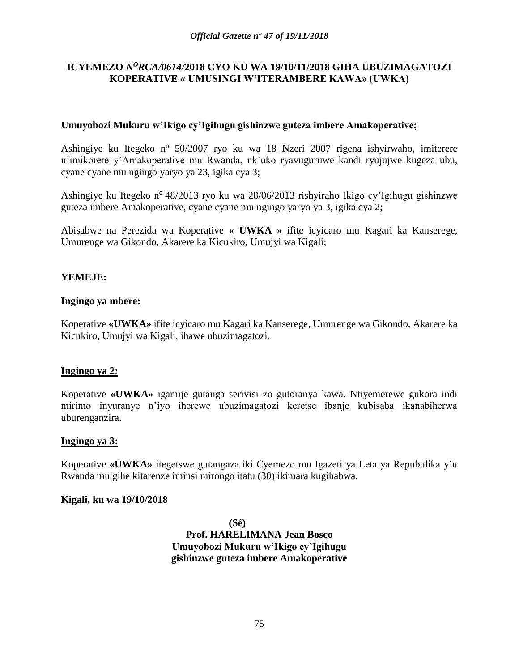### **ICYEMEZO** *N<sup>O</sup>RCA/0614/***2018 CYO KU WA 19/10/11/2018 GIHA UBUZIMAGATOZI KOPERATIVE « UMUSINGI W'ITERAMBERE KAWA» (UWKA)**

### **Umuyobozi Mukuru w'Ikigo cy'Igihugu gishinzwe guteza imbere Amakoperative;**

Ashingiye ku Itegeko nº 50/2007 ryo ku wa 18 Nzeri 2007 rigena ishyirwaho, imiterere n'imikorere y'Amakoperative mu Rwanda, nk'uko ryavuguruwe kandi ryujujwe kugeza ubu, cyane cyane mu ngingo yaryo ya 23, igika cya 3;

Ashingiye ku Itegeko n<sup>o</sup> 48/2013 ryo ku wa 28/06/2013 rishyiraho Ikigo cy'Igihugu gishinzwe guteza imbere Amakoperative, cyane cyane mu ngingo yaryo ya 3, igika cya 2;

Abisabwe na Perezida wa Koperative **« UWKA »** ifite icyicaro mu Kagari ka Kanserege, Umurenge wa Gikondo, Akarere ka Kicukiro, Umujyi wa Kigali;

# **YEMEJE:**

### **Ingingo ya mbere:**

Koperative **«UWKA»** ifite icyicaro mu Kagari ka Kanserege, Umurenge wa Gikondo, Akarere ka Kicukiro, Umujyi wa Kigali, ihawe ubuzimagatozi.

### **Ingingo ya 2:**

Koperative **«UWKA»** igamije gutanga serivisi zo gutoranya kawa. Ntiyemerewe gukora indi mirimo inyuranye n'iyo iherewe ubuzimagatozi keretse ibanje kubisaba ikanabiherwa uburenganzira.

### **Ingingo ya 3:**

Koperative **«UWKA»** itegetswe gutangaza iki Cyemezo mu Igazeti ya Leta ya Repubulika y'u Rwanda mu gihe kitarenze iminsi mirongo itatu (30) ikimara kugihabwa.

#### **Kigali, ku wa 19/10/2018**

**(Sé) Prof. HARELIMANA Jean Bosco Umuyobozi Mukuru w'Ikigo cy'Igihugu gishinzwe guteza imbere Amakoperative**